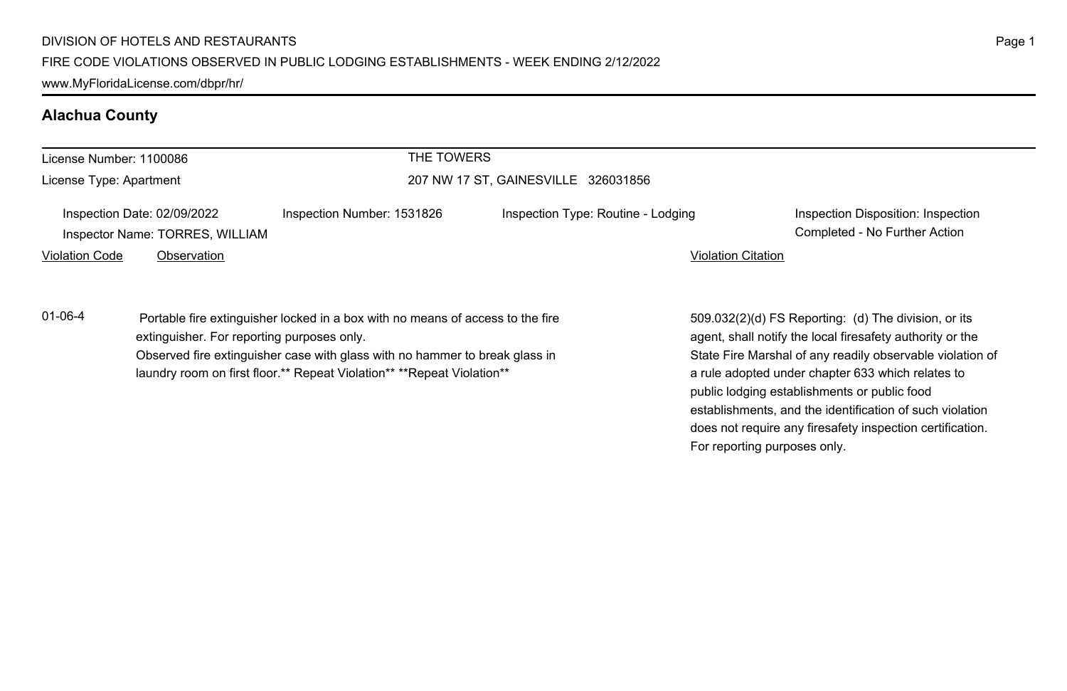## **Alachua County**

| License Number: 1100086 |                                                                | THE TOWERS                                                                                                                                                                                                                               |                                     |                           |                                                                                                                                                                                                                                     |
|-------------------------|----------------------------------------------------------------|------------------------------------------------------------------------------------------------------------------------------------------------------------------------------------------------------------------------------------------|-------------------------------------|---------------------------|-------------------------------------------------------------------------------------------------------------------------------------------------------------------------------------------------------------------------------------|
| License Type: Apartment |                                                                |                                                                                                                                                                                                                                          | 207 NW 17 ST. GAINESVILLE 326031856 |                           |                                                                                                                                                                                                                                     |
|                         | Inspection Date: 02/09/2022<br>Inspector Name: TORRES, WILLIAM | Inspection Number: 1531826                                                                                                                                                                                                               | Inspection Type: Routine - Lodging  |                           | Inspection Disposition: Inspection<br>Completed - No Further Action                                                                                                                                                                 |
| <b>Violation Code</b>   | Observation                                                    |                                                                                                                                                                                                                                          |                                     | <b>Violation Citation</b> |                                                                                                                                                                                                                                     |
| $01 - 06 - 4$           | extinguisher. For reporting purposes only.                     | Portable fire extinguisher locked in a box with no means of access to the fire<br>Observed fire extinguisher case with glass with no hammer to break glass in<br>laundry room on first floor.** Repeat Violation** ** Repeat Violation** |                                     |                           | 509.032(2)(d) FS Reporting: (d) The division, or its<br>agent, shall notify the local firesafety authority or the<br>State Fire Marshal of any readily observable violation of<br>a rule adopted under chapter 633 which relates to |

Page 1

public lodging establishments or public food establishments, and the identification of such violation does not require any firesafety inspection certification.

For reporting purposes only.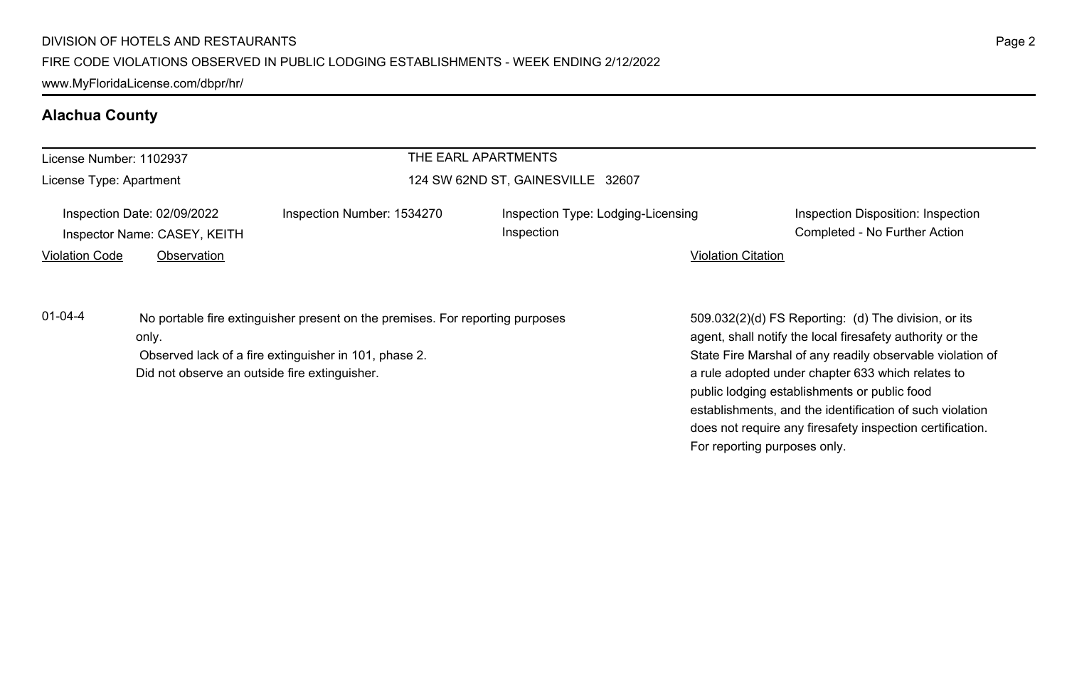www.MyFloridaLicense.com/dbpr/hr/

## **Alachua County**

| License Number: 1102937 |                                                             |                                                                                                                                        | THE EARL APARTMENTS                              |                                                                                                                                                                                                                                                                                                                                                                                                                                              |
|-------------------------|-------------------------------------------------------------|----------------------------------------------------------------------------------------------------------------------------------------|--------------------------------------------------|----------------------------------------------------------------------------------------------------------------------------------------------------------------------------------------------------------------------------------------------------------------------------------------------------------------------------------------------------------------------------------------------------------------------------------------------|
| License Type: Apartment |                                                             |                                                                                                                                        | 124 SW 62ND ST, GAINESVILLE 32607                |                                                                                                                                                                                                                                                                                                                                                                                                                                              |
|                         | Inspection Date: 02/09/2022<br>Inspector Name: CASEY, KEITH | Inspection Number: 1534270                                                                                                             | Inspection Type: Lodging-Licensing<br>Inspection | Inspection Disposition: Inspection<br>Completed - No Further Action                                                                                                                                                                                                                                                                                                                                                                          |
| <b>Violation Code</b>   | Observation                                                 |                                                                                                                                        |                                                  | <b>Violation Citation</b>                                                                                                                                                                                                                                                                                                                                                                                                                    |
| $01 - 04 - 4$           | only.<br>Did not observe an outside fire extinguisher.      | No portable fire extinguisher present on the premises. For reporting purposes<br>Observed lack of a fire extinguisher in 101, phase 2. |                                                  | 509.032(2)(d) FS Reporting: (d) The division, or its<br>agent, shall notify the local firesafety authority or the<br>State Fire Marshal of any readily observable violation of<br>a rule adopted under chapter 633 which relates to<br>public lodging establishments or public food<br>establishments, and the identification of such violation<br>does not require any firesafety inspection certification.<br>For reporting purposes only. |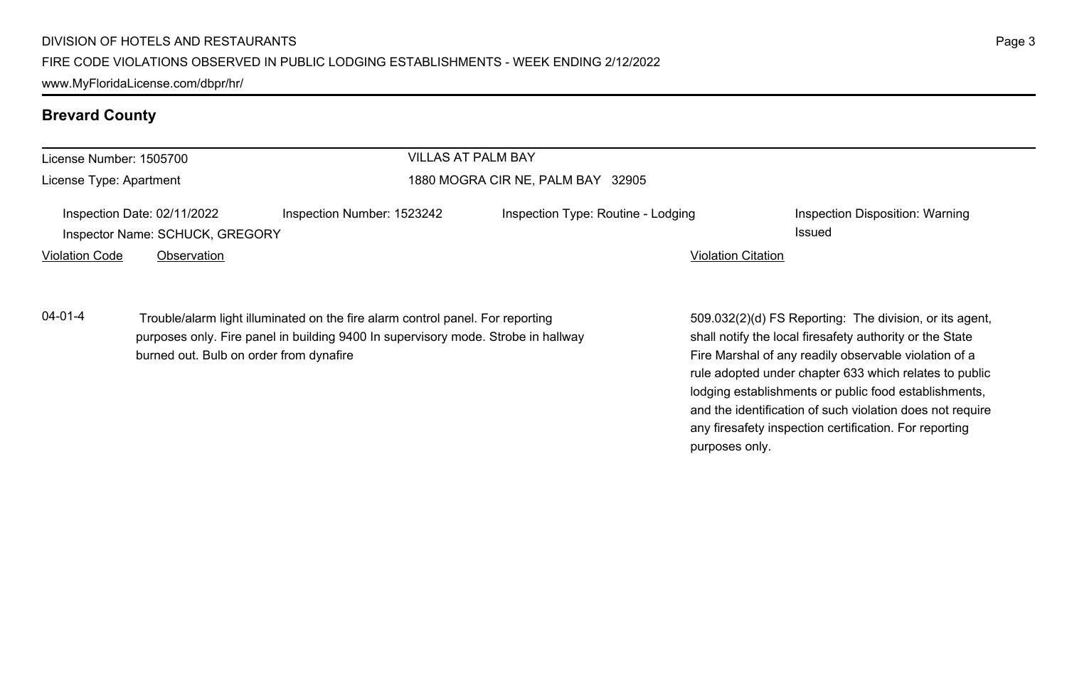burned out. Bulb on order from dynafire

www.MyFloridaLicense.com/dbpr/hr/

### **Brevard County**

| License Number: 1505700 |                                                                |                                                                                                                                                                     | <b>VILLAS AT PALM BAY</b>          |                           |                                                                                                                     |
|-------------------------|----------------------------------------------------------------|---------------------------------------------------------------------------------------------------------------------------------------------------------------------|------------------------------------|---------------------------|---------------------------------------------------------------------------------------------------------------------|
| License Type: Apartment |                                                                |                                                                                                                                                                     | 1880 MOGRA CIR NE, PALM BAY 32905  |                           |                                                                                                                     |
|                         | Inspection Date: 02/11/2022<br>Inspector Name: SCHUCK, GREGORY | Inspection Number: 1523242                                                                                                                                          | Inspection Type: Routine - Lodging |                           | Inspection Disposition: Warning<br>Issued                                                                           |
| <b>Violation Code</b>   | Observation                                                    |                                                                                                                                                                     |                                    | <b>Violation Citation</b> |                                                                                                                     |
| $04 - 01 - 4$           |                                                                | Trouble/alarm light illuminated on the fire alarm control panel. For reporting<br>purposes only. Fire panel in building 9400 In supervisory mode. Strobe in hallway |                                    |                           | 509.032(2)(d) FS Reporting: The division, or its agent,<br>shall notify the local firesafety authority or the State |

shall notify the local firesafety authority or the State Fire Marshal of any readily observable violation of a rule adopted under chapter 633 which relates to public lodging establishments or public food establishments, and the identification of such violation does not require any firesafety inspection certification. For reporting purposes only.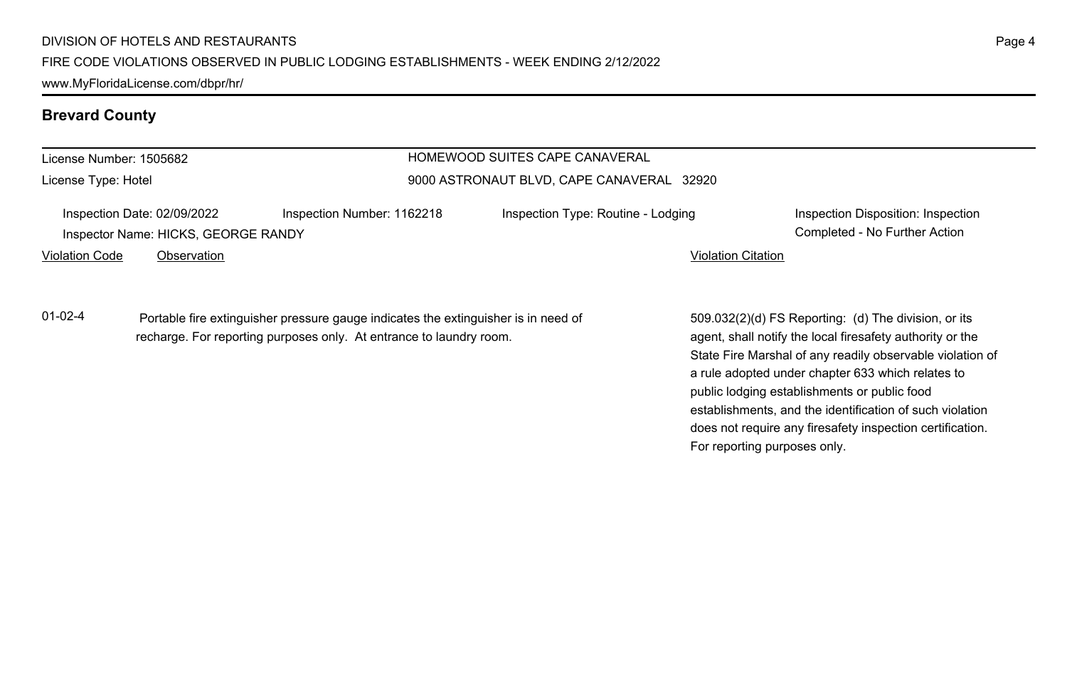**Brevard County**

| License Number: 1505682 |                                                                    |                                                                                    | HOMEWOOD SUITES CAPE CANAVERAL            |                                                                     |
|-------------------------|--------------------------------------------------------------------|------------------------------------------------------------------------------------|-------------------------------------------|---------------------------------------------------------------------|
| License Type: Hotel     |                                                                    |                                                                                    | 9000 ASTRONAUT BLVD, CAPE CANAVERAL 32920 |                                                                     |
|                         | Inspection Date: 02/09/2022<br>Inspector Name: HICKS, GEORGE RANDY | Inspection Number: 1162218                                                         | Inspection Type: Routine - Lodging        | Inspection Disposition: Inspection<br>Completed - No Further Action |
| <b>Violation Code</b>   | Observation                                                        |                                                                                    | <b>Violation Citation</b>                 |                                                                     |
| $01 - 02 - 4$           |                                                                    | Portable fire extinguisher pressure gauge indicates the extinguisher is in need of |                                           | 509.032(2)(d) FS Reporting: (d) The division, or its                |

recharge. For reporting purposes only. At entrance to laundry room.

 $509.032(2)(d)$  FS Reporting.  $(d)$ agent, shall notify the local firesafety authority or the State Fire Marshal of any readily observable violation of a rule adopted under chapter 633 which relates to public lodging establishments or public food establishments, and the identification of such violation does not require any firesafety inspection certification. For reporting purposes only.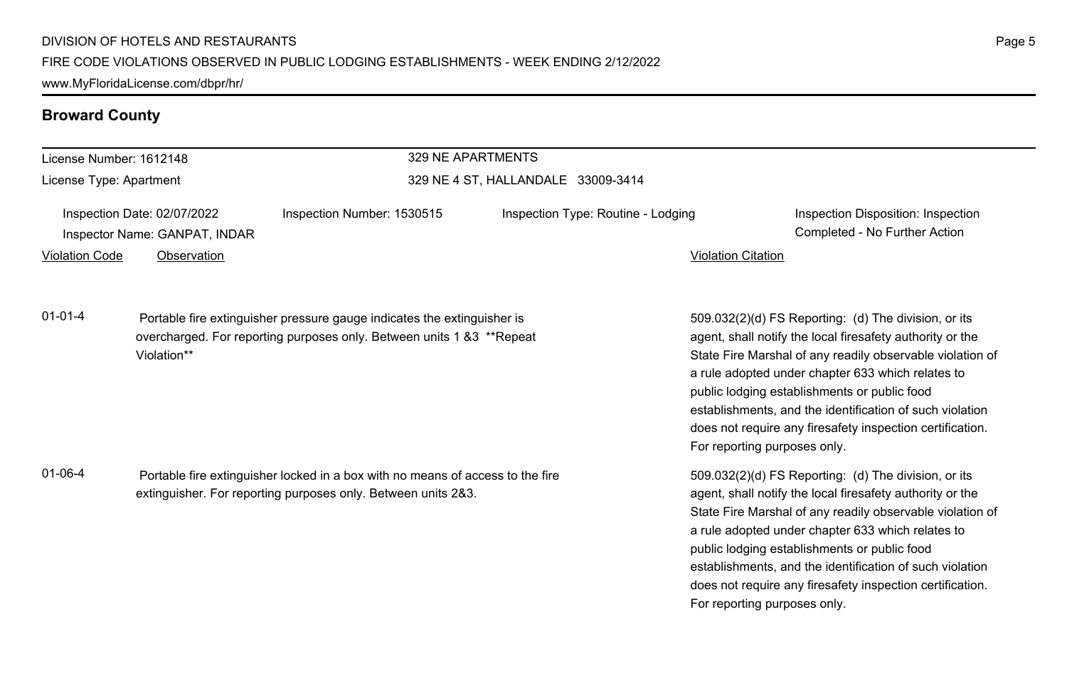www.MyFloridaLicense.com/dbpr/hr/

## **Broward County**

| License Number: 1612148                                                                                                                                          |                                                                             |                                                                                                                                                   | 329 NE APARTMENTS                  |                                                                                                                                                                                                                                                                                                                                                                                                              |                                                                                                                                                                                                                                                                                                                                                                                                              |
|------------------------------------------------------------------------------------------------------------------------------------------------------------------|-----------------------------------------------------------------------------|---------------------------------------------------------------------------------------------------------------------------------------------------|------------------------------------|--------------------------------------------------------------------------------------------------------------------------------------------------------------------------------------------------------------------------------------------------------------------------------------------------------------------------------------------------------------------------------------------------------------|--------------------------------------------------------------------------------------------------------------------------------------------------------------------------------------------------------------------------------------------------------------------------------------------------------------------------------------------------------------------------------------------------------------|
| License Type: Apartment                                                                                                                                          |                                                                             |                                                                                                                                                   | 329 NE 4 ST, HALLANDALE 33009-3414 |                                                                                                                                                                                                                                                                                                                                                                                                              |                                                                                                                                                                                                                                                                                                                                                                                                              |
| <b>Violation Code</b>                                                                                                                                            | Inspection Date: 02/07/2022<br>Inspector Name: GANPAT, INDAR<br>Observation | Inspection Number: 1530515                                                                                                                        | Inspection Type: Routine - Lodging | <b>Violation Citation</b>                                                                                                                                                                                                                                                                                                                                                                                    | Inspection Disposition: Inspection<br>Completed - No Further Action                                                                                                                                                                                                                                                                                                                                          |
|                                                                                                                                                                  |                                                                             |                                                                                                                                                   |                                    |                                                                                                                                                                                                                                                                                                                                                                                                              |                                                                                                                                                                                                                                                                                                                                                                                                              |
| $01 - 01 - 4$                                                                                                                                                    | Violation**                                                                 | Portable fire extinguisher pressure gauge indicates the extinguisher is<br>overcharged. For reporting purposes only. Between units 1 & 3 **Repeat |                                    | For reporting purposes only.                                                                                                                                                                                                                                                                                                                                                                                 | 509.032(2)(d) FS Reporting: (d) The division, or its<br>agent, shall notify the local firesafety authority or the<br>State Fire Marshal of any readily observable violation of<br>a rule adopted under chapter 633 which relates to<br>public lodging establishments or public food<br>establishments, and the identification of such violation<br>does not require any firesafety inspection certification. |
| $01 - 06 - 4$<br>Portable fire extinguisher locked in a box with no means of access to the fire<br>extinguisher. For reporting purposes only. Between units 2&3. |                                                                             |                                                                                                                                                   |                                    | 509.032(2)(d) FS Reporting: (d) The division, or its<br>agent, shall notify the local firesafety authority or the<br>State Fire Marshal of any readily observable violation of<br>a rule adopted under chapter 633 which relates to<br>public lodging establishments or public food<br>establishments, and the identification of such violation<br>does not require any firesafety inspection certification. |                                                                                                                                                                                                                                                                                                                                                                                                              |

For reporting purposes only.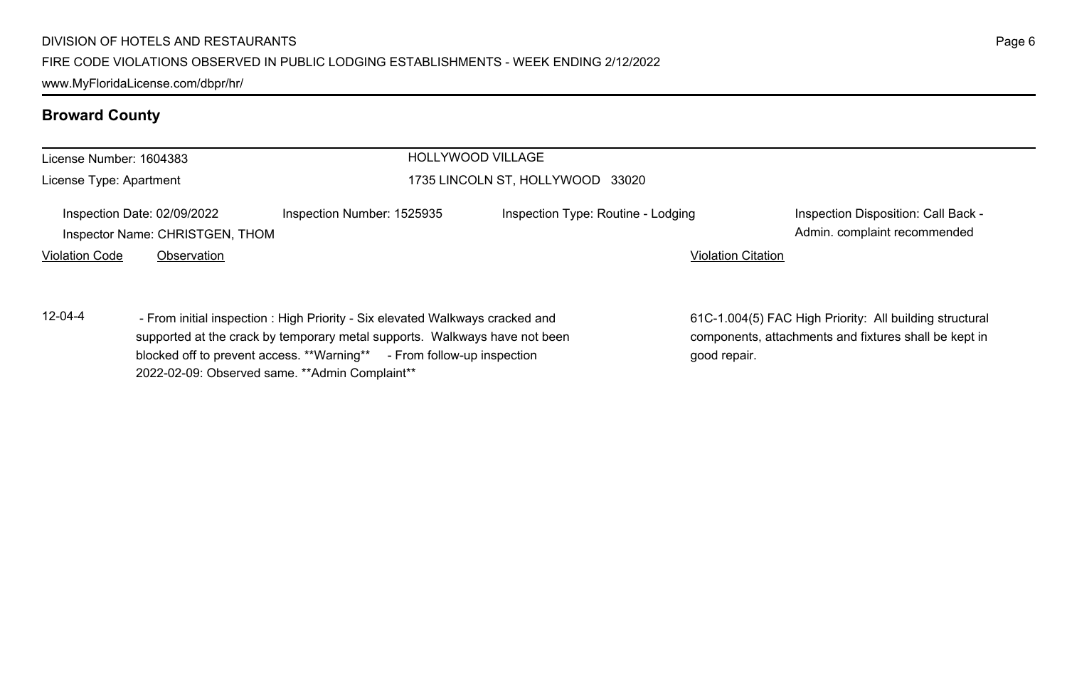2022-02-09: Observed same. \*\*Admin Complaint\*\*

www.MyFloridaLicense.com/dbpr/hr/

## **Broward County**

| License Number: 1604383                                                                                |  | HOLLYWOOD VILLAGE                                                                                                                                                                                                                     |                                                                 |                                                                                                                  |
|--------------------------------------------------------------------------------------------------------|--|---------------------------------------------------------------------------------------------------------------------------------------------------------------------------------------------------------------------------------------|-----------------------------------------------------------------|------------------------------------------------------------------------------------------------------------------|
| License Type: Apartment                                                                                |  |                                                                                                                                                                                                                                       | 1735 LINCOLN ST, HOLLYWOOD 33020                                |                                                                                                                  |
| Inspection Date: 02/09/2022<br>Inspector Name: CHRISTGEN, THOM<br><b>Violation Code</b><br>Observation |  | Inspection Number: 1525935                                                                                                                                                                                                            | Inspection Type: Routine - Lodging<br><b>Violation Citation</b> | Inspection Disposition: Call Back -<br>Admin. complaint recommended                                              |
|                                                                                                        |  |                                                                                                                                                                                                                                       |                                                                 |                                                                                                                  |
| $12 - 04 - 4$                                                                                          |  | - From initial inspection : High Priority - Six elevated Walkways cracked and<br>supported at the crack by temporary metal supports. Walkways have not been<br>blocked off to prevent access. **Warning** - From follow-up inspection | good repair.                                                    | 61C-1.004(5) FAC High Priority: All building structural<br>components, attachments and fixtures shall be kept in |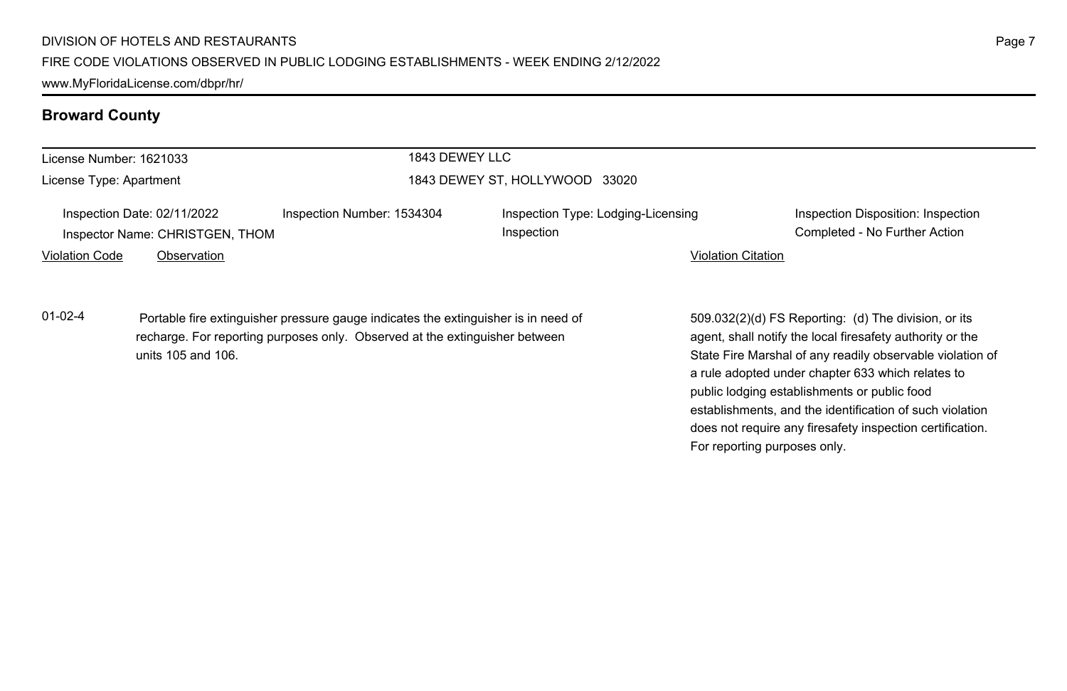| License Number: 1621033 |                                                                | 1843 DEWEY LLC                                                                                                                                                    |                                                  |                                                                                                                                                                                                                                                                                                                                                                                                                                              |
|-------------------------|----------------------------------------------------------------|-------------------------------------------------------------------------------------------------------------------------------------------------------------------|--------------------------------------------------|----------------------------------------------------------------------------------------------------------------------------------------------------------------------------------------------------------------------------------------------------------------------------------------------------------------------------------------------------------------------------------------------------------------------------------------------|
| License Type: Apartment |                                                                |                                                                                                                                                                   | 1843 DEWEY ST, HOLLYWOOD 33020                   |                                                                                                                                                                                                                                                                                                                                                                                                                                              |
|                         | Inspection Date: 02/11/2022<br>Inspector Name: CHRISTGEN, THOM | Inspection Number: 1534304                                                                                                                                        | Inspection Type: Lodging-Licensing<br>Inspection | Inspection Disposition: Inspection<br>Completed - No Further Action                                                                                                                                                                                                                                                                                                                                                                          |
| <b>Violation Code</b>   | Observation                                                    |                                                                                                                                                                   |                                                  | <b>Violation Citation</b>                                                                                                                                                                                                                                                                                                                                                                                                                    |
| 01-02-4                 | units 105 and 106.                                             | Portable fire extinguisher pressure gauge indicates the extinguisher is in need of<br>recharge. For reporting purposes only. Observed at the extinguisher between |                                                  | 509.032(2)(d) FS Reporting: (d) The division, or its<br>agent, shall notify the local firesafety authority or the<br>State Fire Marshal of any readily observable violation of<br>a rule adopted under chapter 633 which relates to<br>public lodging establishments or public food<br>establishments, and the identification of such violation<br>does not require any firesafety inspection certification.<br>For reporting purposes only. |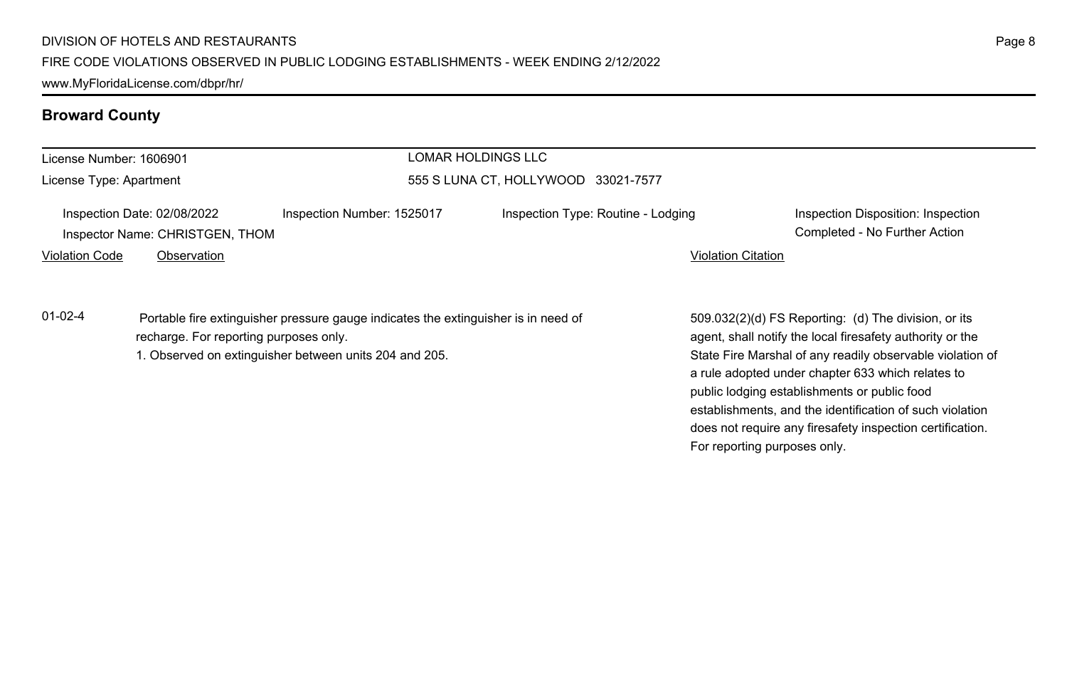www.MyFloridaLicense.com/dbpr/hr/

## **Broward County**

| License Number: 1606901 |                                                                |                                                                                                                                              | <b>LOMAR HOLDINGS LLC</b>           |                           |                                                                                                                                                                                                                                                                                     |
|-------------------------|----------------------------------------------------------------|----------------------------------------------------------------------------------------------------------------------------------------------|-------------------------------------|---------------------------|-------------------------------------------------------------------------------------------------------------------------------------------------------------------------------------------------------------------------------------------------------------------------------------|
| License Type: Apartment |                                                                |                                                                                                                                              | 555 S LUNA CT. HOLLYWOOD 33021-7577 |                           |                                                                                                                                                                                                                                                                                     |
|                         | Inspection Date: 02/08/2022<br>Inspector Name: CHRISTGEN, THOM | Inspection Number: 1525017                                                                                                                   | Inspection Type: Routine - Lodging  |                           | Inspection Disposition: Inspection<br>Completed - No Further Action                                                                                                                                                                                                                 |
| <b>Violation Code</b>   | Observation                                                    |                                                                                                                                              |                                     | <b>Violation Citation</b> |                                                                                                                                                                                                                                                                                     |
| $01 - 02 - 4$           | recharge. For reporting purposes only.                         | Portable fire extinguisher pressure gauge indicates the extinguisher is in need of<br>1. Observed on extinguisher between units 204 and 205. |                                     |                           | 509.032(2)(d) FS Reporting: (d) The division, or its<br>agent, shall notify the local firesafety authority or the<br>State Fire Marshal of any readily observable violation of<br>a rule adopted under chapter 633 which relates to<br>public lodging establishments or public food |

Page 8

establishments, and the identification of such violation does not require any firesafety inspection certification.

For reporting purposes only.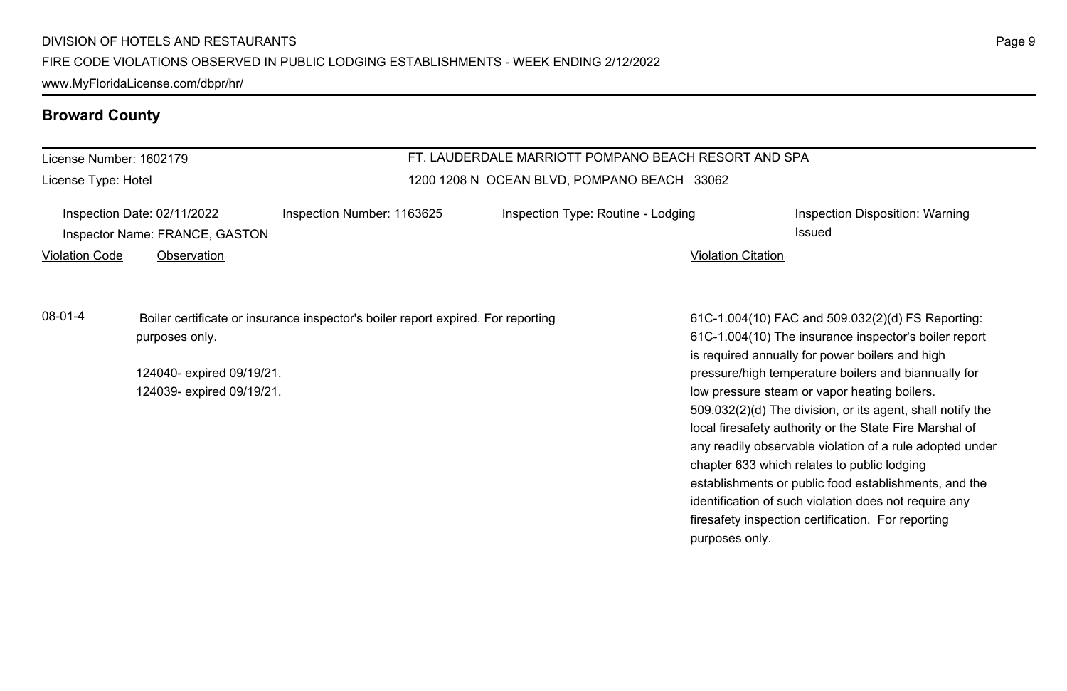#### FIRE CODE VIOLATIONS OBSERVED IN PUBLIC LODGING ESTABLISHMENTS - WEEK ENDING 2/12/2022

www.MyFloridaLicense.com/dbpr/hr/

## **Broward County**

| License Number: 1602179 |                                                                              |                                                                                  | FT. LAUDERDALE MARRIOTT POMPANO BEACH RESORT AND SPA |                           |                                                                                                                                                                                                                                                                                                                                                                                                                                                                                                                                                                                                                                                                                   |
|-------------------------|------------------------------------------------------------------------------|----------------------------------------------------------------------------------|------------------------------------------------------|---------------------------|-----------------------------------------------------------------------------------------------------------------------------------------------------------------------------------------------------------------------------------------------------------------------------------------------------------------------------------------------------------------------------------------------------------------------------------------------------------------------------------------------------------------------------------------------------------------------------------------------------------------------------------------------------------------------------------|
| License Type: Hotel     |                                                                              |                                                                                  | 1200 1208 N OCEAN BLVD, POMPANO BEACH 33062          |                           |                                                                                                                                                                                                                                                                                                                                                                                                                                                                                                                                                                                                                                                                                   |
| <b>Violation Code</b>   | Inspection Date: 02/11/2022<br>Inspector Name: FRANCE, GASTON<br>Observation | Inspection Number: 1163625                                                       | Inspection Type: Routine - Lodging                   | <b>Violation Citation</b> | Inspection Disposition: Warning<br>Issued                                                                                                                                                                                                                                                                                                                                                                                                                                                                                                                                                                                                                                         |
| 08-01-4                 | purposes only.<br>124040- expired 09/19/21.<br>124039- expired 09/19/21.     | Boiler certificate or insurance inspector's boiler report expired. For reporting |                                                      | purposes only.            | 61C-1.004(10) FAC and 509.032(2)(d) FS Reporting:<br>61C-1.004(10) The insurance inspector's boiler report<br>is required annually for power boilers and high<br>pressure/high temperature boilers and biannually for<br>low pressure steam or vapor heating boilers.<br>509.032(2)(d) The division, or its agent, shall notify the<br>local firesafety authority or the State Fire Marshal of<br>any readily observable violation of a rule adopted under<br>chapter 633 which relates to public lodging<br>establishments or public food establishments, and the<br>identification of such violation does not require any<br>firesafety inspection certification. For reporting |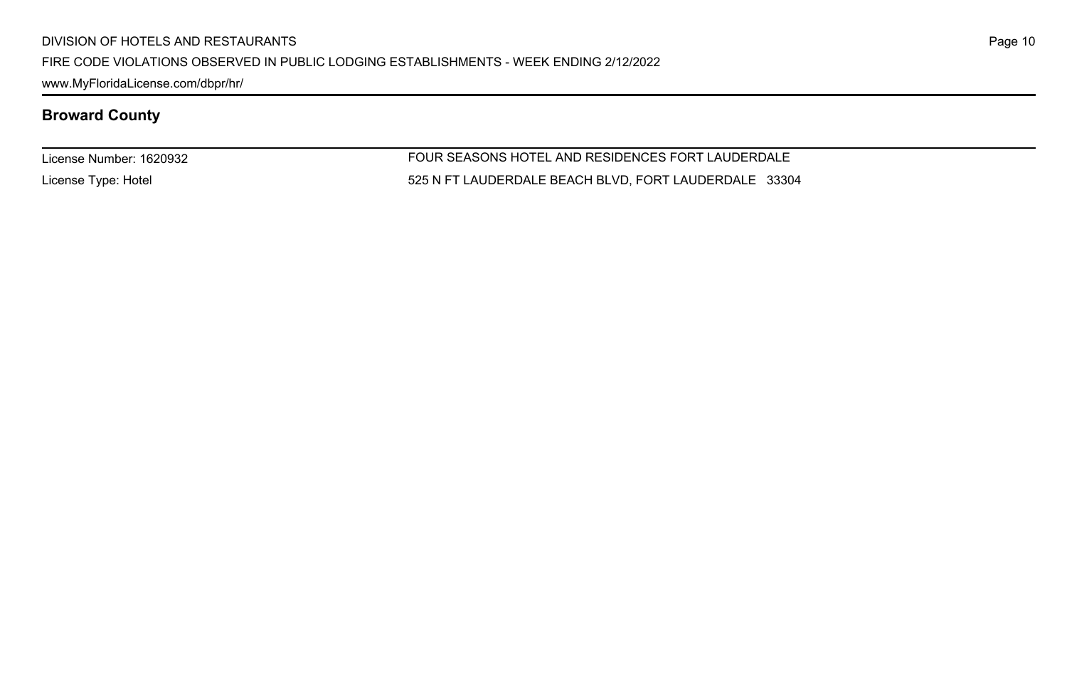FIRE CODE VIOLATIONS OBSERVED IN PUBLIC LODGING ESTABLISHMENTS - WEEK ENDING 2/12/2022

www.MyFloridaLicense.com/dbpr/hr/

## **Broward County**

License Number: 1620932

License Type: Hotel

FOUR SEASONS HOTEL AND RESIDENCES FORT LAUDERDALE 525 N FT LAUDERDALE BEACH BLVD, FORT LAUDERDALE 33304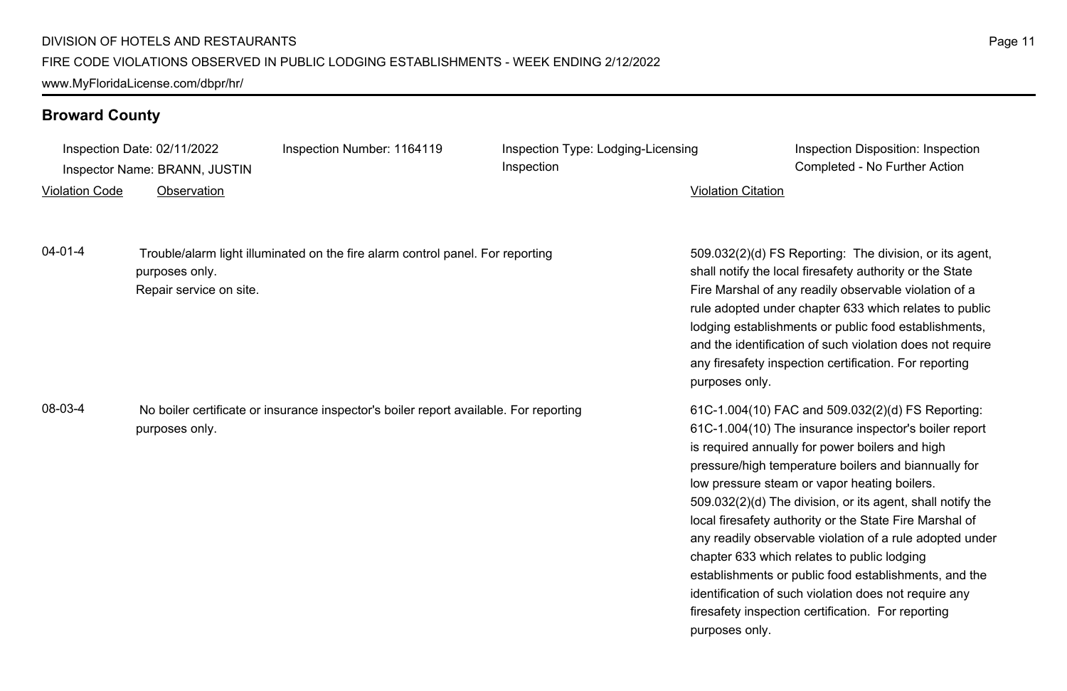Inspection Date: 02/11/2022 Inspection Number: 1164119 Inspection Type: Lodging-Licensing

Violation Code Observation Violation Citation

Inspection Inspector Name: BRANN, JUSTIN Completed - No Further Action

Inspection Disposition: Inspection

04-01-4 Trouble/alarm light illuminated on the fire alarm control panel. For reporting purposes only. Repair service on site.

08-03-4 No boiler certificate or insurance inspector's boiler report available. For reporting purposes only.

509.032(2)(d) FS Reporting: The division, or its agent, shall notify the local firesafety authority or the State Fire Marshal of any readily observable violation of a rule adopted under chapter 633 which relates to public lodging establishments or public food establishments, and the identification of such violation does not require any firesafety inspection certification. For reporting purposes only.

61C-1.004(10) FAC and 509.032(2)(d) FS Reporting: 61C-1.004(10) The insurance inspector's boiler report is required annually for power boilers and high pressure/high temperature boilers and biannually for low pressure steam or vapor heating boilers. 509.032(2)(d) The division, or its agent, shall notify the local firesafety authority or the State Fire Marshal of any readily observable violation of a rule adopted under chapter 633 which relates to public lodging establishments or public food establishments, and the identification of such violation does not require any firesafety inspection certification. For reporting purposes only.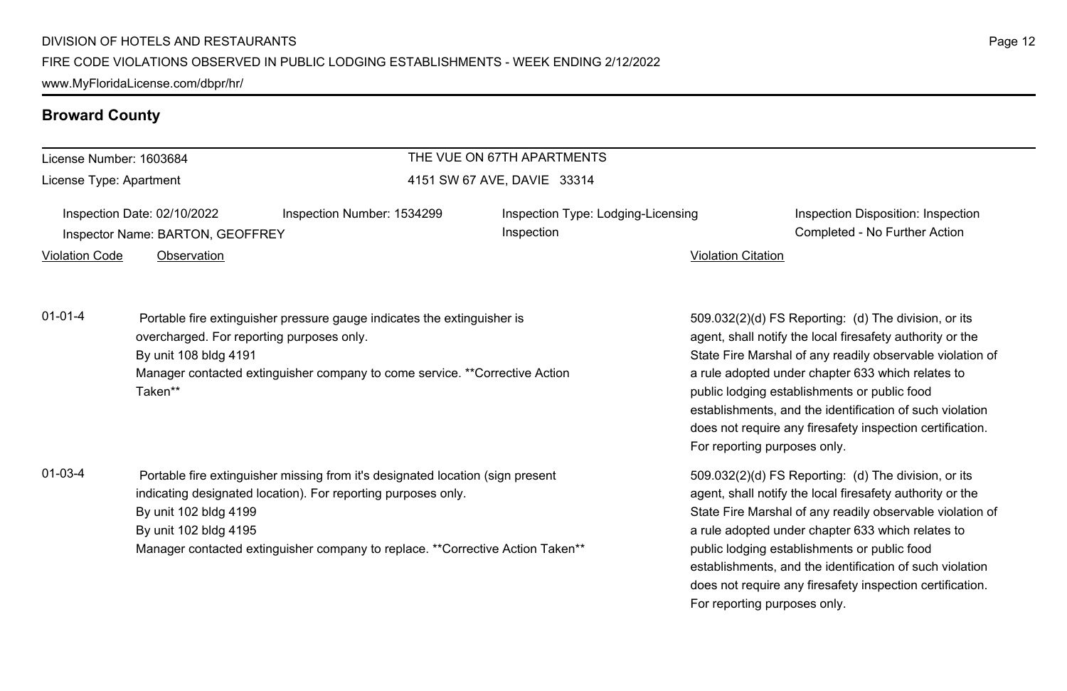| License Number: 1603684 |                                                                                                                                                                                                                                         |                                                                                                                                                                                                                                   | THE VUE ON 67TH APARTMENTS                       |                                                                                                                                                                                                                                                                                                                                                                                                                                              |  |  |
|-------------------------|-----------------------------------------------------------------------------------------------------------------------------------------------------------------------------------------------------------------------------------------|-----------------------------------------------------------------------------------------------------------------------------------------------------------------------------------------------------------------------------------|--------------------------------------------------|----------------------------------------------------------------------------------------------------------------------------------------------------------------------------------------------------------------------------------------------------------------------------------------------------------------------------------------------------------------------------------------------------------------------------------------------|--|--|
| License Type: Apartment |                                                                                                                                                                                                                                         |                                                                                                                                                                                                                                   | 4151 SW 67 AVE, DAVIE 33314                      |                                                                                                                                                                                                                                                                                                                                                                                                                                              |  |  |
| Violation Code          | Inspection Date: 02/10/2022<br>Inspector Name: BARTON, GEOFFREY<br>Observation                                                                                                                                                          | Inspection Number: 1534299                                                                                                                                                                                                        | Inspection Type: Lodging-Licensing<br>Inspection | Inspection Disposition: Inspection<br>Completed - No Further Action<br><b>Violation Citation</b>                                                                                                                                                                                                                                                                                                                                             |  |  |
| $01 - 01 - 4$           | Portable fire extinguisher pressure gauge indicates the extinguisher is<br>overcharged. For reporting purposes only.<br>By unit 108 bldg 4191<br>Manager contacted extinguisher company to come service. **Corrective Action<br>Taken** |                                                                                                                                                                                                                                   |                                                  | 509.032(2)(d) FS Reporting: (d) The division, or its<br>agent, shall notify the local firesafety authority or the<br>State Fire Marshal of any readily observable violation of<br>a rule adopted under chapter 633 which relates to<br>public lodging establishments or public food<br>establishments, and the identification of such violation<br>does not require any firesafety inspection certification.<br>For reporting purposes only. |  |  |
| $01 - 03 - 4$           | By unit 102 bldg 4199<br>By unit 102 bldg 4195                                                                                                                                                                                          | Portable fire extinguisher missing from it's designated location (sign present<br>indicating designated location). For reporting purposes only.<br>Manager contacted extinguisher company to replace. **Corrective Action Taken** |                                                  | 509.032(2)(d) FS Reporting: (d) The division, or its<br>agent, shall notify the local firesafety authority or the<br>State Fire Marshal of any readily observable violation of<br>a rule adopted under chapter 633 which relates to<br>public lodging establishments or public food<br>establishments, and the identification of such violation<br>does not require any firesafety inspection certification.                                 |  |  |

For reporting purposes only.

Page 12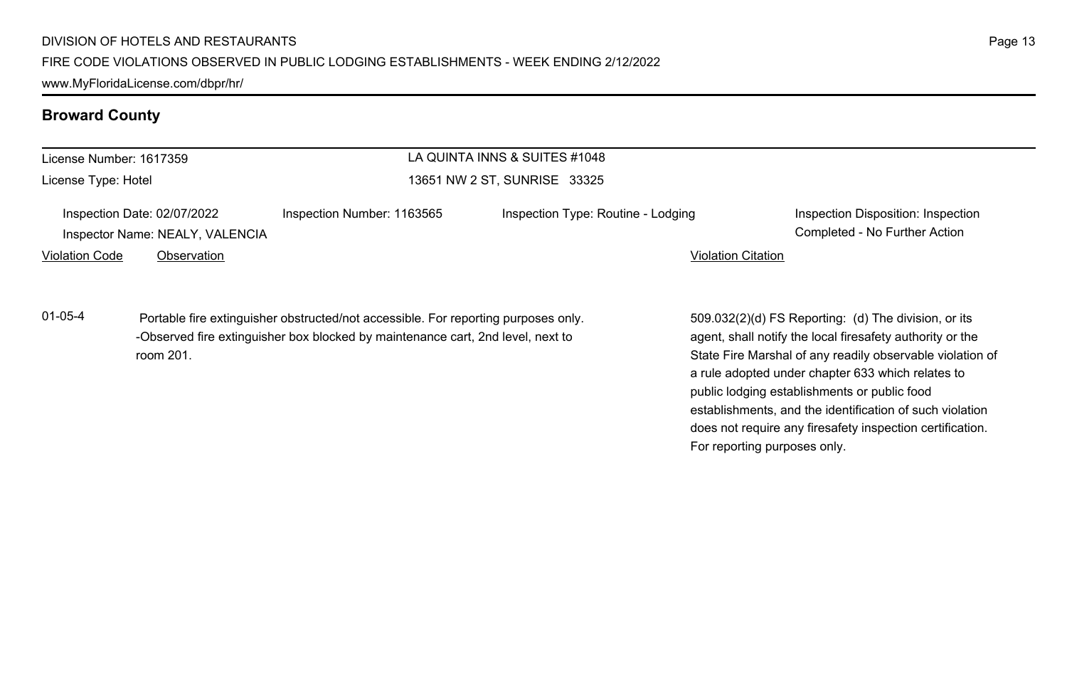| LA QUINTA INNS & SUITES #1048<br>License Number: 1617359 |                                                                |                                                                                                                                                                       |                                    |                           |                                                                                                                                                                                                                                                                                                                                                 |
|----------------------------------------------------------|----------------------------------------------------------------|-----------------------------------------------------------------------------------------------------------------------------------------------------------------------|------------------------------------|---------------------------|-------------------------------------------------------------------------------------------------------------------------------------------------------------------------------------------------------------------------------------------------------------------------------------------------------------------------------------------------|
| License Type: Hotel                                      |                                                                |                                                                                                                                                                       | 13651 NW 2 ST, SUNRISE 33325       |                           |                                                                                                                                                                                                                                                                                                                                                 |
|                                                          | Inspection Date: 02/07/2022<br>Inspector Name: NEALY, VALENCIA | Inspection Number: 1163565                                                                                                                                            | Inspection Type: Routine - Lodging |                           | Inspection Disposition: Inspection<br>Completed - No Further Action                                                                                                                                                                                                                                                                             |
| <b>Violation Code</b>                                    | Observation                                                    |                                                                                                                                                                       |                                    | <b>Violation Citation</b> |                                                                                                                                                                                                                                                                                                                                                 |
| $01 - 05 - 4$                                            | room 201.                                                      | Portable fire extinguisher obstructed/not accessible. For reporting purposes only.<br>-Observed fire extinguisher box blocked by maintenance cart, 2nd level, next to |                                    |                           | 509.032(2)(d) FS Reporting: (d) The division, or its<br>agent, shall notify the local firesafety authority or the<br>State Fire Marshal of any readily observable violation of<br>a rule adopted under chapter 633 which relates to<br>public lodging establishments or public food<br>establishments, and the identification of such violation |

does not require any firesafety inspection certification.

For reporting purposes only.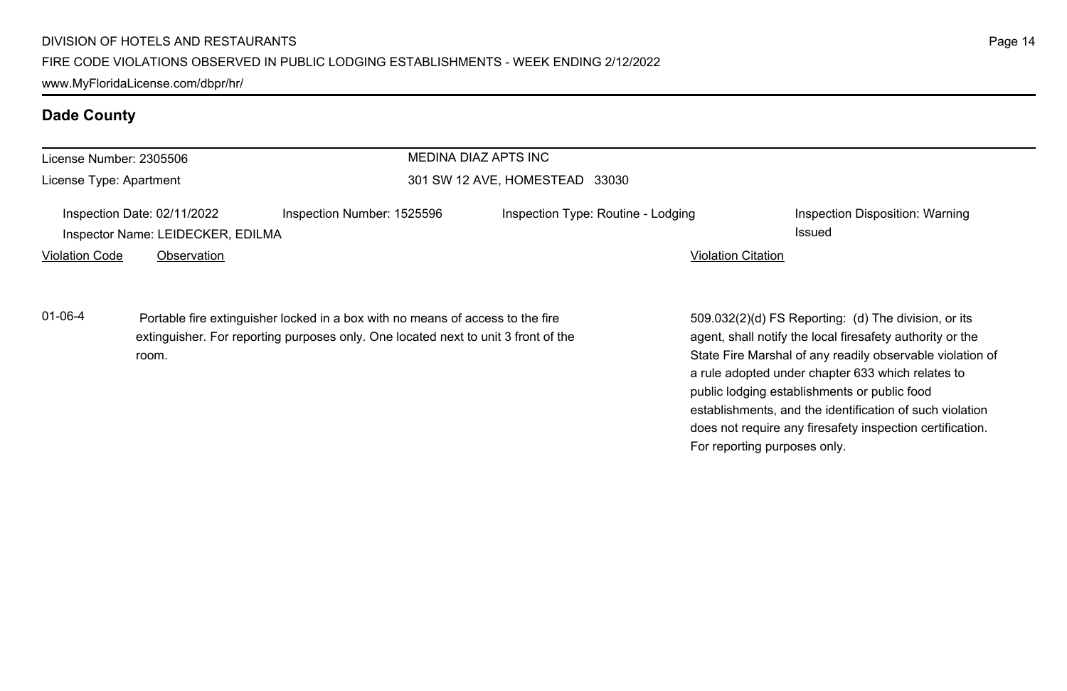| License Number: 2305506 |                                                                  |                                                                                                                                                                      | MEDINA DIAZ APTS INC               |                           |                                                                                                                                                                |
|-------------------------|------------------------------------------------------------------|----------------------------------------------------------------------------------------------------------------------------------------------------------------------|------------------------------------|---------------------------|----------------------------------------------------------------------------------------------------------------------------------------------------------------|
| License Type: Apartment |                                                                  |                                                                                                                                                                      | 301 SW 12 AVE, HOMESTEAD 33030     |                           |                                                                                                                                                                |
|                         | Inspection Date: 02/11/2022<br>Inspector Name: LEIDECKER, EDILMA | Inspection Number: 1525596                                                                                                                                           | Inspection Type: Routine - Lodging |                           | Inspection Disposition: Warning<br><b>Issued</b>                                                                                                               |
| <b>Violation Code</b>   | Observation                                                      |                                                                                                                                                                      |                                    | <b>Violation Citation</b> |                                                                                                                                                                |
| $01 - 06 - 4$           |                                                                  | Portable fire extinguisher locked in a box with no means of access to the fire<br>extinguisher. For reporting purposes only. One located next to unit 3 front of the |                                    |                           | 509.032(2)(d) FS Reporting: (d) The division, or its<br>agent, shall notify the local firesafety authority or the                                              |
|                         | room.                                                            |                                                                                                                                                                      |                                    |                           | State Fire Marshal of any readily observable violation of<br>a rule adopted under chapter 633 which relates to<br>public lodging establishments or public food |
|                         |                                                                  |                                                                                                                                                                      |                                    |                           | establishments, and the identification of such violation                                                                                                       |

Page 14

does not require any firesafety inspection certification.

For reporting purposes only.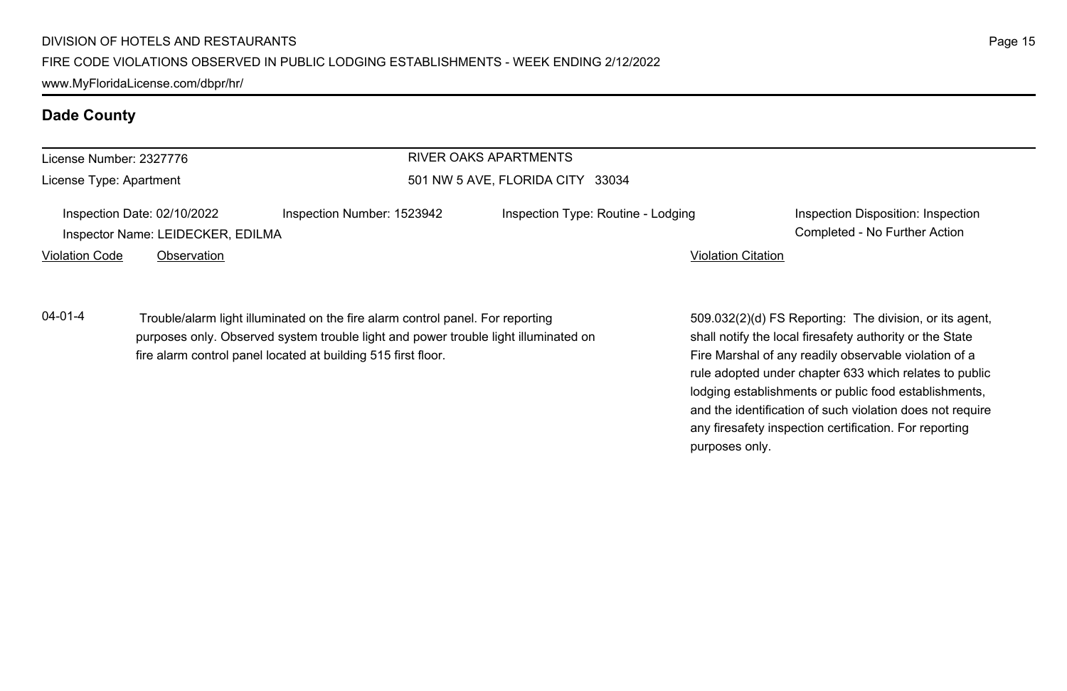| License Number: 2327776                                          |             |                                                                                                                                                                                                                                        | RIVER OAKS APARTMENTS              |                                                                                                                                                                              |
|------------------------------------------------------------------|-------------|----------------------------------------------------------------------------------------------------------------------------------------------------------------------------------------------------------------------------------------|------------------------------------|------------------------------------------------------------------------------------------------------------------------------------------------------------------------------|
| License Type: Apartment                                          |             | 501 NW 5 AVE, FLORIDA CITY 33034                                                                                                                                                                                                       |                                    |                                                                                                                                                                              |
| Inspection Date: 02/10/2022<br>Inspector Name: LEIDECKER, EDILMA |             | Inspection Number: 1523942                                                                                                                                                                                                             | Inspection Type: Routine - Lodging | Inspection Disposition: Inspection<br>Completed - No Further Action                                                                                                          |
| <b>Violation Code</b>                                            | Observation |                                                                                                                                                                                                                                        | <b>Violation Citation</b>          |                                                                                                                                                                              |
| $04 - 01 - 4$                                                    |             | Trouble/alarm light illuminated on the fire alarm control panel. For reporting<br>purposes only. Observed system trouble light and power trouble light illuminated on<br>fire alarm control panel located at building 515 first floor. |                                    | 509.032(2)(d) FS Reporting: The division, or its agent,<br>shall notify the local firesafety authority or the State<br>Fire Marshal of any readily observable violation of a |

Fire Marshal of any readily observable violation of a rule adopted under chapter 633 which relates to public lodging establishments or public food establishments, and the identification of such violation does not require any firesafety inspection certification. For reporting purposes only.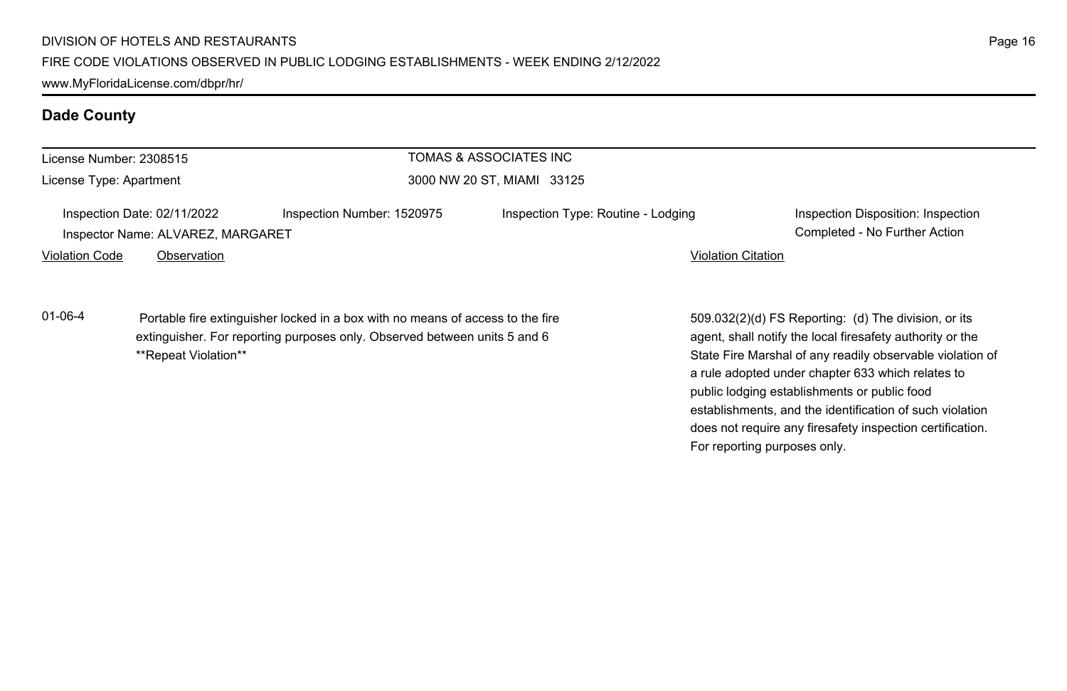| License Number: 2308515                                          |                      |                                                                                                                                                             | TOMAS & ASSOCIATES INC             |                                                                                                                                                                                |  |  |
|------------------------------------------------------------------|----------------------|-------------------------------------------------------------------------------------------------------------------------------------------------------------|------------------------------------|--------------------------------------------------------------------------------------------------------------------------------------------------------------------------------|--|--|
| License Type: Apartment                                          |                      |                                                                                                                                                             | 3000 NW 20 ST. MIAMI 33125         |                                                                                                                                                                                |  |  |
| Inspection Date: 02/11/2022<br>Inspector Name: ALVAREZ, MARGARET |                      | Inspection Number: 1520975                                                                                                                                  | Inspection Type: Routine - Lodging | Inspection Disposition: Inspection<br>Completed - No Further Action                                                                                                            |  |  |
| <b>Violation Code</b>                                            | Observation          |                                                                                                                                                             |                                    | <b>Violation Citation</b>                                                                                                                                                      |  |  |
| $01 - 06 - 4$                                                    | **Repeat Violation** | Portable fire extinguisher locked in a box with no means of access to the fire<br>extinguisher. For reporting purposes only. Observed between units 5 and 6 |                                    | 509.032(2)(d) FS Reporting: (d) The division, or its<br>agent, shall notify the local firesafety authority or the<br>State Fire Marshal of any readily observable violation of |  |  |

State Fire Marshal of any readily observable violation of a rule adopted under chapter 633 which relates to public lodging establishments or public food establishments, and the identification of such violation does not require any firesafety inspection certification. For reporting purposes only.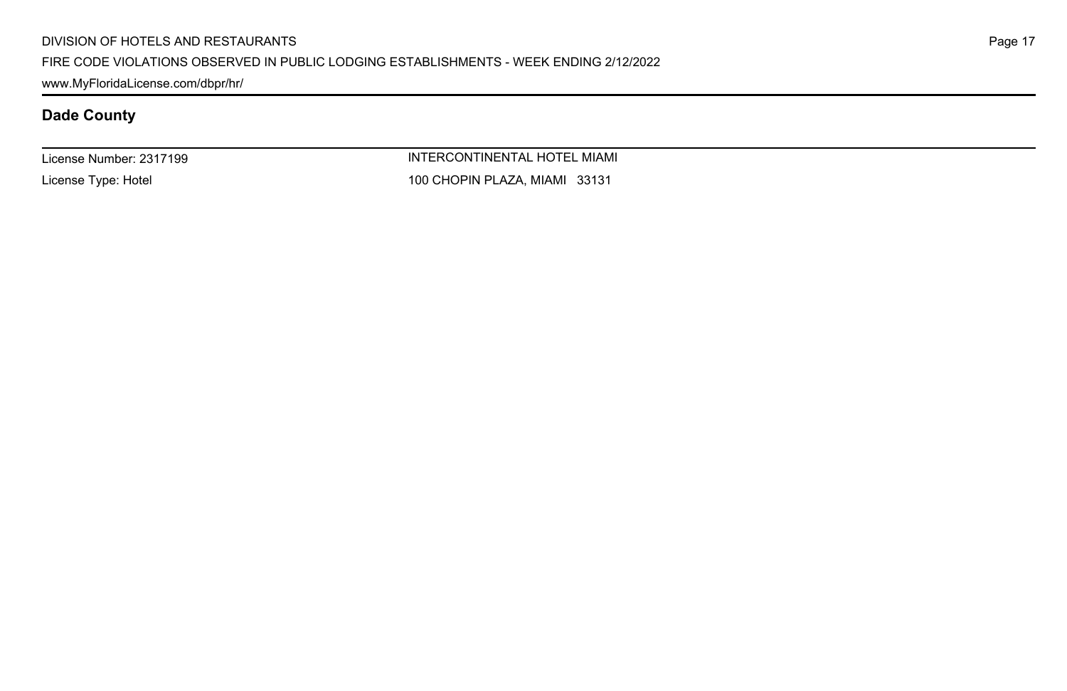#### FIRE CODE VIOLATIONS OBSERVED IN PUBLIC LODGING ESTABLISHMENTS - WEEK ENDING 2/12/2022

www.MyFloridaLicense.com/dbpr/hr/

## **Dade County**

License Number: 2317199

License Type: Hotel

INTERCONTINENTAL HOTEL MIAMI 100 CHOPIN PLAZA, MIAMI 33131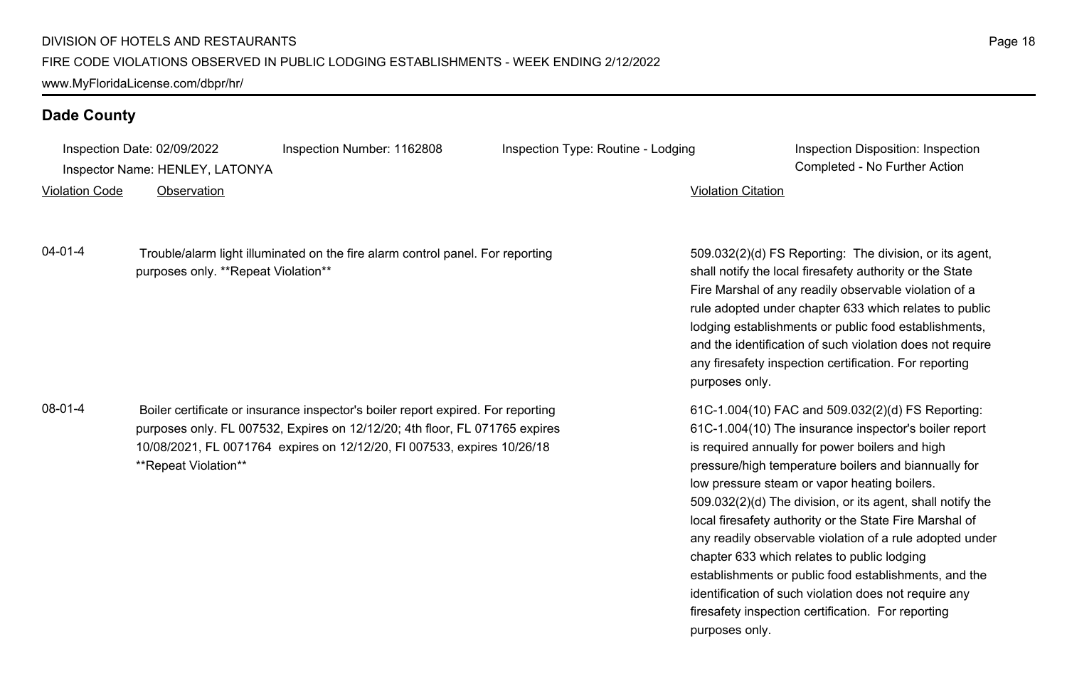Inspection Date: 02/09/2022 Inspection Number: 1162808 Inspection Type: Routine - Lodging Inspection Disposition: Inspection

Inspector Name: HENLEY, LATONYA Completed - No Further Action

Violation Code Observation Violation Citation

04-01-4 Trouble/alarm light illuminated on the fire alarm control panel. For reporting purposes only. \*\*Repeat Violation\*\*

08-01-4 Boiler certificate or insurance inspector's boiler report expired. For reporting purposes only. FL 007532, Expires on 12/12/20; 4th floor, FL 071765 expires 10/08/2021, FL 0071764 expires on 12/12/20, Fl 007533, expires 10/26/18 \*\*Repeat Violation\*\*

509.032(2)(d) FS Reporting: The division, or its agent, shall notify the local firesafety authority or the State Fire Marshal of any readily observable violation of a rule adopted under chapter 633 which relates to public lodging establishments or public food establishments, and the identification of such violation does not require any firesafety inspection certification. For reporting purposes only.

61C-1.004(10) FAC and 509.032(2)(d) FS Reporting: 61C-1.004(10) The insurance inspector's boiler report is required annually for power boilers and high pressure/high temperature boilers and biannually for low pressure steam or vapor heating boilers. 509.032(2)(d) The division, or its agent, shall notify the local firesafety authority or the State Fire Marshal of any readily observable violation of a rule adopted under chapter 633 which relates to public lodging establishments or public food establishments, and the identification of such violation does not require any firesafety inspection certification. For reporting purposes only.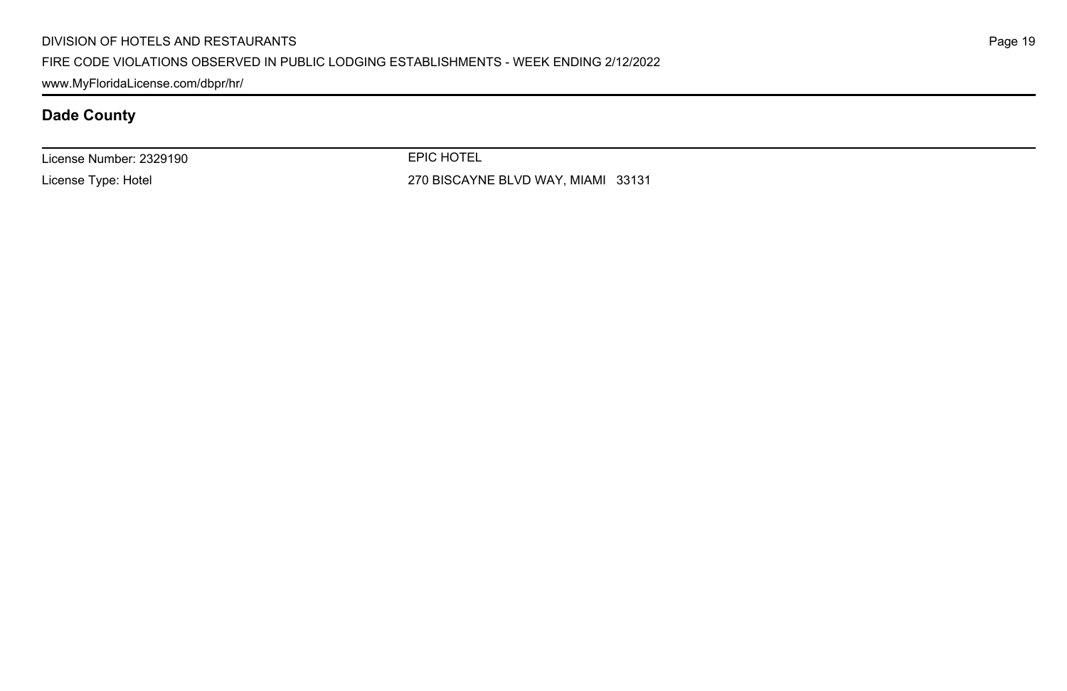#### DIVISION OF HOTELS AND RESTAURANTS

#### FIRE CODE VIOLATIONS OBSERVED IN PUBLIC LODGING ESTABLISHMENTS - WEEK ENDING 2/12/2022

www.MyFloridaLicense.com/dbpr/hr/

## **Dade County**

License Number: 2329190

License Type: Hotel

EPIC HOTEL

270 BISCAYNE BLVD WAY, MIAMI 33131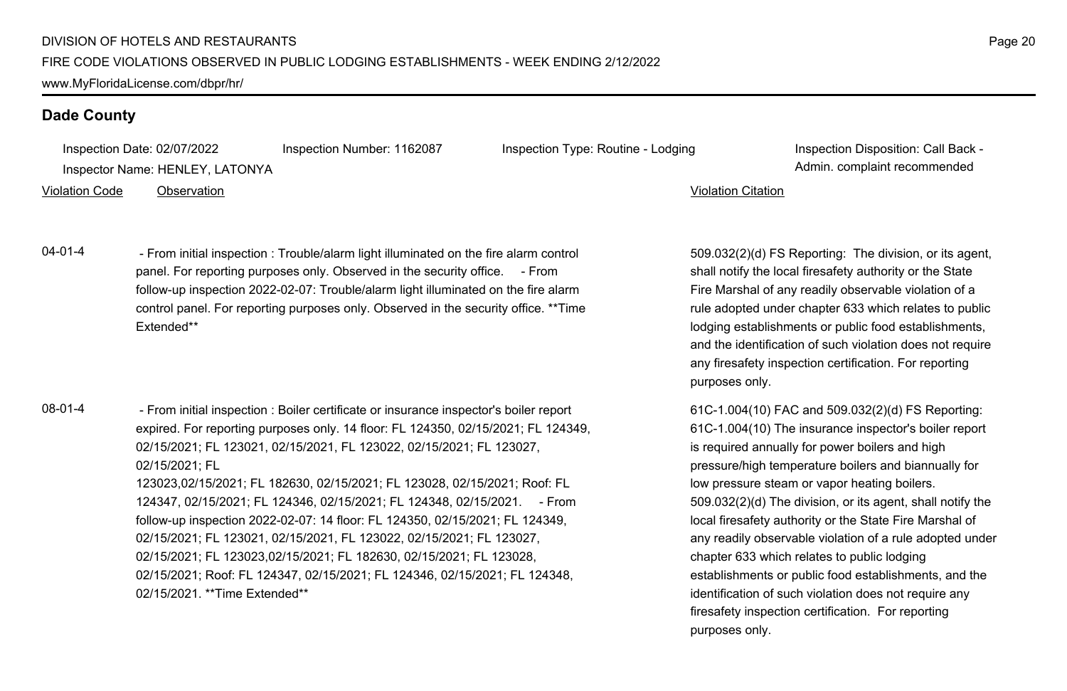Inspection Date: 02/07/2022 Inspection Number: 1162087 Inspection Type: Routine - Lodging Inspection Disposition: Call Back -

Inspector Name: HENLEY, LATONYA **Adminitional Complaint recommended** and the state of the state of the state of the state of the state of the state of the state of the state of the state of the state of the state of the st

Violation Code Observation Violation Citation

04-01-4 - From initial inspection : Trouble/alarm light illuminated on the fire alarm control panel. For reporting purposes only. Observed in the security office. - From follow-up inspection 2022-02-07: Trouble/alarm light illuminated on the fire alarm control panel. For reporting purposes only. Observed in the security office. \*\*Time Extended\*\*

08-01-4 - From initial inspection : Boiler certificate or insurance inspector's boiler report expired. For reporting purposes only. 14 floor: FL 124350, 02/15/2021; FL 124349, 02/15/2021; FL 123021, 02/15/2021, FL 123022, 02/15/2021; FL 123027, 02/15/2021; FL 123023,02/15/2021; FL 182630, 02/15/2021; FL 123028, 02/15/2021; Roof: FL 124347, 02/15/2021; FL 124346, 02/15/2021; FL 124348, 02/15/2021. - From follow-up inspection 2022-02-07: 14 floor: FL 124350, 02/15/2021; FL 124349, 02/15/2021; FL 123021, 02/15/2021, FL 123022, 02/15/2021; FL 123027, 02/15/2021; FL 123023,02/15/2021; FL 182630, 02/15/2021; FL 123028, 02/15/2021; Roof: FL 124347, 02/15/2021; FL 124346, 02/15/2021; FL 124348, 02/15/2021 \*\*Time Extended\*\*

509.032(2)(d) FS Reporting: The division, or its agent, shall notify the local firesafety authority or the State Fire Marshal of any readily observable violation of a rule adopted under chapter 633 which relates to public lodging establishments or public food establishments, and the identification of such violation does not require any firesafety inspection certification. For reporting purposes only.

61C-1.004(10) FAC and 509.032(2)(d) FS Reporting: 61C-1.004(10) The insurance inspector's boiler report is required annually for power boilers and high pressure/high temperature boilers and biannually for low pressure steam or vapor heating boilers. 509.032(2)(d) The division, or its agent, shall notify the local firesafety authority or the State Fire Marshal of any readily observable violation of a rule adopted under chapter 633 which relates to public lodging establishments or public food establishments, and the identification of such violation does not require any firesafety inspection certification. For reporting purposes only.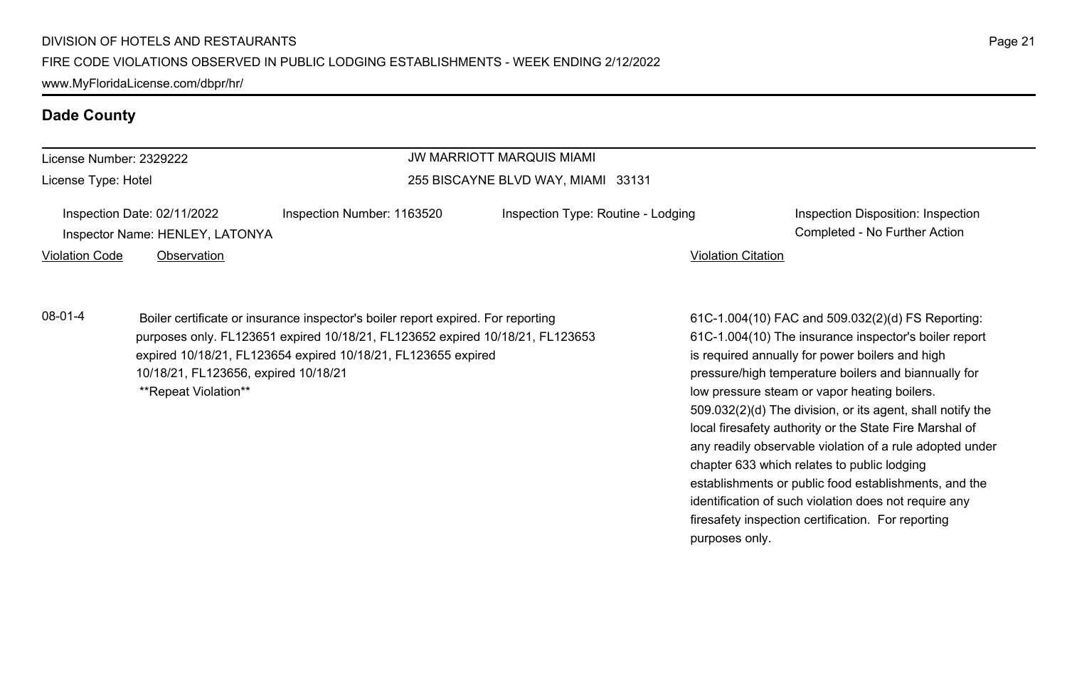www.MyFloridaLicense.com/dbpr/hr/

### **Dade County**

| License Number: 2329222 |                                                                                                       |                                                                                  | <b>JW MARRIOTT MARQUIS MIAMI</b>   |                                                 |                                                                     |
|-------------------------|-------------------------------------------------------------------------------------------------------|----------------------------------------------------------------------------------|------------------------------------|-------------------------------------------------|---------------------------------------------------------------------|
| License Type: Hotel     |                                                                                                       |                                                                                  | 255 BISCAYNE BLVD WAY, MIAMI 33131 |                                                 |                                                                     |
|                         | Inspection Date: 02/11/2022<br>Inspector Name: HENLEY, LATONYA                                        | Inspection Number: 1163520                                                       | Inspection Type: Routine - Lodging |                                                 | Inspection Disposition: Inspection<br>Completed - No Further Action |
| <b>Violation Code</b>   | Observation                                                                                           |                                                                                  |                                    | <b>Violation Citation</b>                       |                                                                     |
| $08-01-4$               |                                                                                                       | Boiler certificate or insurance inspector's boiler report expired. For reporting |                                    |                                                 | 61C-1.004(10) FAC and 509.032(2)(d) FS Reporting:                   |
|                         |                                                                                                       | purposes only. FL123651 expired 10/18/21, FL123652 expired 10/18/21, FL123653    |                                    |                                                 | 61C-1.004(10) The insurance inspector's boiler report               |
|                         | expired 10/18/21, FL123654 expired 10/18/21, FL123655 expired<br>10/18/21, FL123656, expired 10/18/21 |                                                                                  |                                    | is required annually for power boilers and high |                                                                     |
|                         |                                                                                                       |                                                                                  |                                    |                                                 | pressure/high temperature boilers and biannually for                |
|                         |                                                                                                       | **Repeat Violation**                                                             |                                    |                                                 | low pressure steam or vapor heating boilers.                        |

509.032(2)(d) The division, or its agent, shall notify the local firesafety authority or the State Fire Marshal of any readily observable violation of a rule adopted under

establishments or public food establishments, and the identification of such violation does not require any firesafety inspection certification. For reporting

chapter 633 which relates to public lodging

purposes only.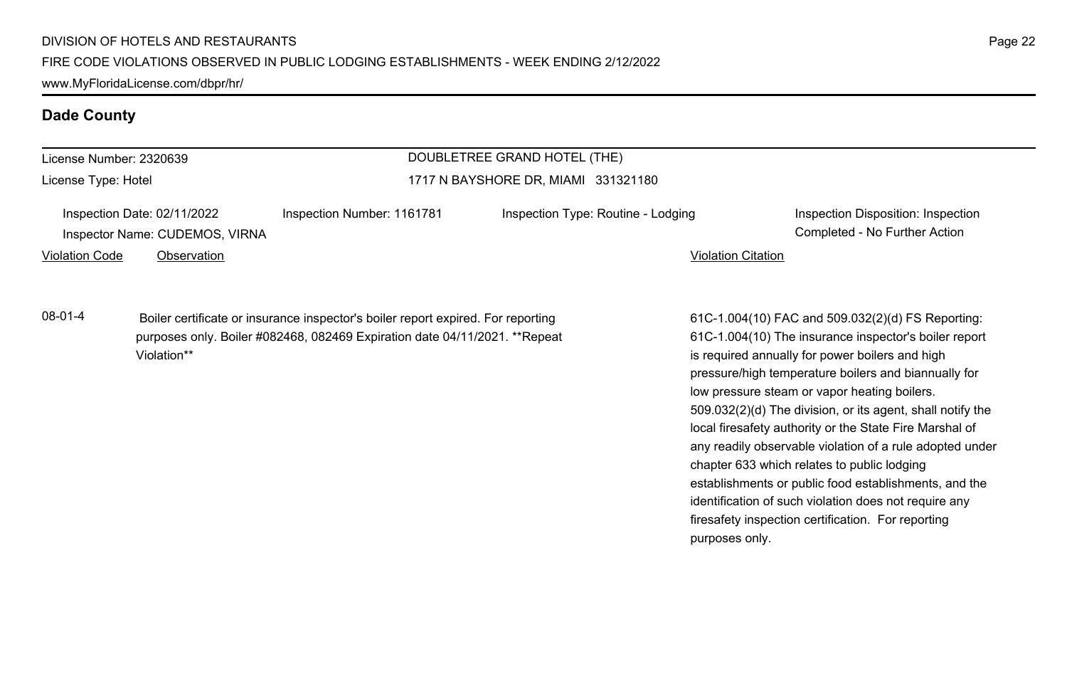| License Number: 2320639        |                            | DOUBLETREE GRAND HOTEL (THE)        |  |
|--------------------------------|----------------------------|-------------------------------------|--|
| License Type: Hotel            |                            | 1717 N BAYSHORE DR. MIAMI 331321180 |  |
| Inspection Date: 02/11/2022    | Inspection Number: 1161781 | Inspection Type: Routine - Lo       |  |
| Inspector Name: CUDEMOS, VIRNA |                            |                                     |  |

Inspection Type: Routine - Lodging Inspection Disposition: Inspection Disposition: Inspection

Completed - No Further Action

Violation Code Observation Violation Citation

08-01-4 Boiler certificate or insurance inspector's boiler report expired. For reporting purposes only. Boiler #082468, 082469 Expiration date 04/11/2021. \*\*Repeat Violation\*\*

61C-1.004(10) FAC and 509.032(2)(d) FS Reporting: 61C-1.004(10) The insurance inspector's boiler report is required annually for power boilers and high pressure/high temperature boilers and biannually for low pressure steam or vapor heating boilers. 509.032(2)(d) The division, or its agent, shall notify the local firesafety authority or the State Fire Marshal of any readily observable violation of a rule adopted under chapter 633 which relates to public lodging establishments or public food establishments, and the identification of such violation does not require any firesafety inspection certification. For reporting purposes only.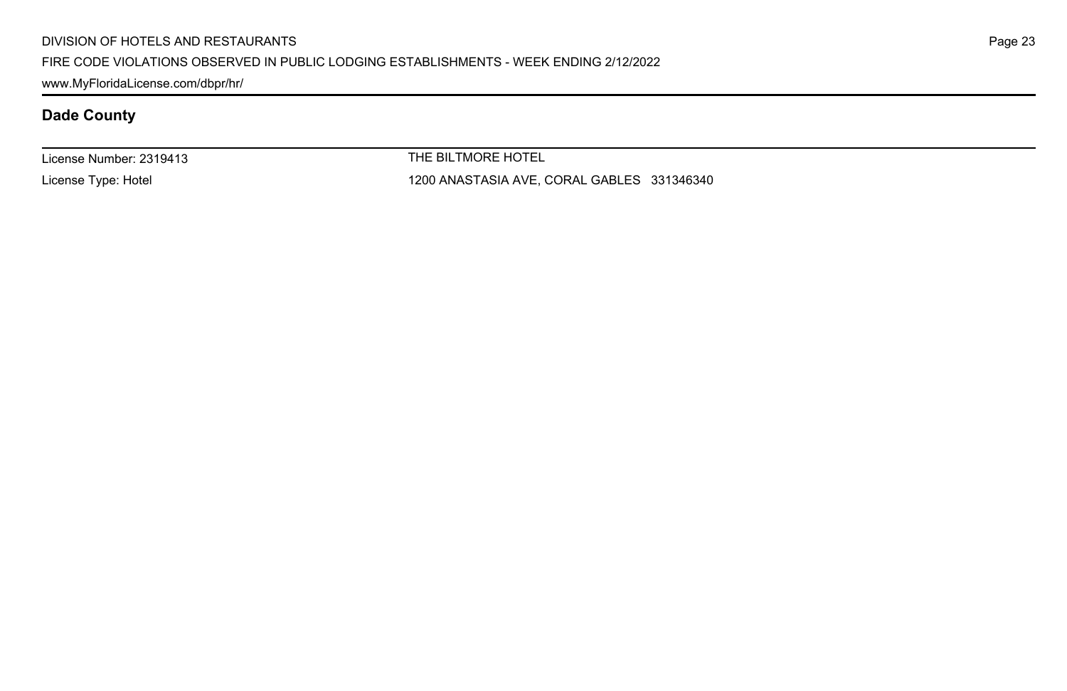#### DIVISION OF HOTELS AND RESTAURANTS

#### FIRE CODE VIOLATIONS OBSERVED IN PUBLIC LODGING ESTABLISHMENTS - WEEK ENDING 2/12/2022

www.MyFloridaLicense.com/dbpr/hr/

# **Dade County**

License Number: 2319413

License Type: Hotel

THE BILTMORE HOTEL

1200 ANASTASIA AVE, CORAL GABLES 331346340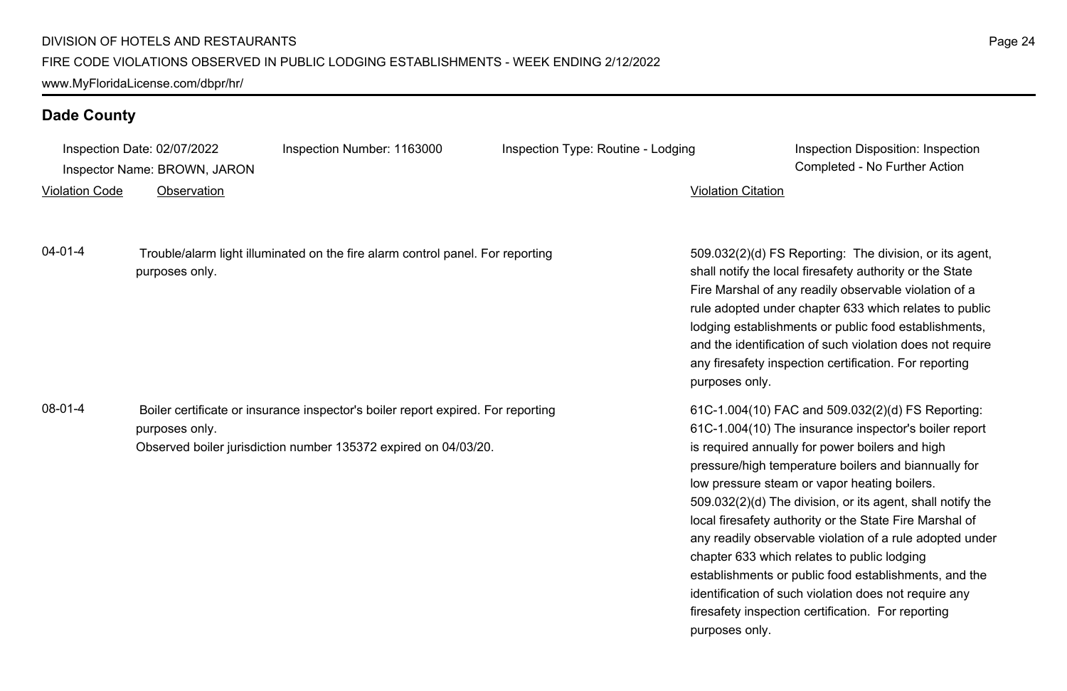|                       | Inspection Date: 02/07/2022  | Inspection Number: 1163000                                                                                                                          | Inspection Type: Routine - Lodging | Inspection Disposition: Inspection                                                                                                                                                                                                                                                                                                                                                                                                                         |
|-----------------------|------------------------------|-----------------------------------------------------------------------------------------------------------------------------------------------------|------------------------------------|------------------------------------------------------------------------------------------------------------------------------------------------------------------------------------------------------------------------------------------------------------------------------------------------------------------------------------------------------------------------------------------------------------------------------------------------------------|
|                       | Inspector Name: BROWN, JARON |                                                                                                                                                     |                                    | Completed - No Further Action                                                                                                                                                                                                                                                                                                                                                                                                                              |
| <b>Violation Code</b> | Observation                  |                                                                                                                                                     |                                    | <b>Violation Citation</b>                                                                                                                                                                                                                                                                                                                                                                                                                                  |
| 04-01-4               | purposes only.               | Trouble/alarm light illuminated on the fire alarm control panel. For reporting                                                                      |                                    | 509.032(2)(d) FS Reporting: The division, or its agent,<br>shall notify the local firesafety authority or the State<br>Fire Marshal of any readily observable violation of a<br>rule adopted under chapter 633 which relates to public<br>lodging establishments or public food establishments,<br>and the identification of such violation does not require<br>any firesafety inspection certification. For reporting<br>purposes only.                   |
| 08-01-4               | purposes only.               | Boiler certificate or insurance inspector's boiler report expired. For reporting<br>Observed boiler jurisdiction number 135372 expired on 04/03/20. |                                    | 61C-1.004(10) FAC and 509.032(2)(d) FS Reporting:<br>61C-1.004(10) The insurance inspector's boiler report<br>is required annually for power boilers and high<br>pressure/high temperature boilers and biannually for<br>low pressure steam or vapor heating boilers.<br>509.032(2)(d) The division, or its agent, shall notify the<br>local firesafety authority or the State Fire Marshal of<br>any readily observable violation of a rule adopted under |

chapter 633 which relates to public lodging

purposes only.

establishments or public food establishments, and the identification of such violation does not require any firesafety inspection certification. For reporting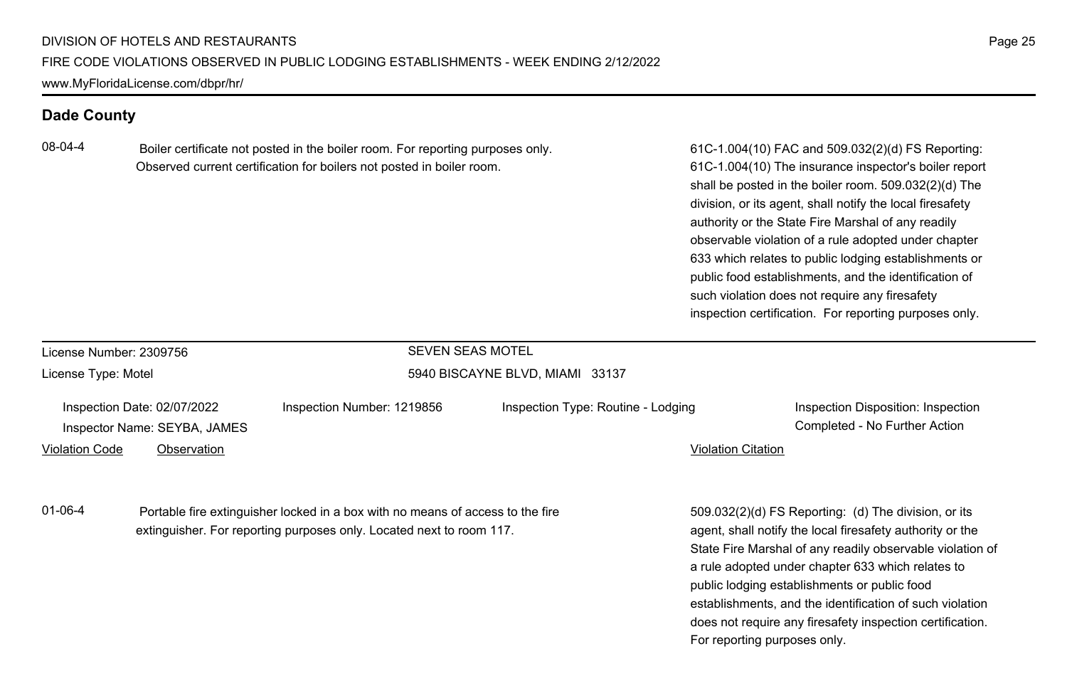08-04-4 Boiler certificate not posted in the boiler room. For reporting purposes only. Observed current certification for boilers not posted in boiler room.

61C-1.004(10) FAC and 509.032(2)(d) FS Reporting: 61C-1.004(10) The insurance inspector's boiler report shall be posted in the boiler room. 509.032(2)(d) The division, or its agent, shall notify the local firesafety authority or the State Fire Marshal of any readily observable violation of a rule adopted under chapter 633 which relates to public lodging establishments or public food establishments, and the identification of such violation does not require any firesafety inspection certification. For reporting purposes only.

| License Number: 2309756                                                                                                                                                 |  |                            | <b>SEVEN SEAS MOTEL</b>                                                                                                                                                        |                                                                                                                                                                                                                                                            |  |
|-------------------------------------------------------------------------------------------------------------------------------------------------------------------------|--|----------------------------|--------------------------------------------------------------------------------------------------------------------------------------------------------------------------------|------------------------------------------------------------------------------------------------------------------------------------------------------------------------------------------------------------------------------------------------------------|--|
| License Type: Motel                                                                                                                                                     |  |                            | 5940 BISCAYNE BLVD, MIAMI 33137                                                                                                                                                |                                                                                                                                                                                                                                                            |  |
| Inspection Date: 02/07/2022<br>Inspector Name: SEYBA, JAMES<br><b>Violation Code</b><br>Observation                                                                     |  | Inspection Number: 1219856 | Inspection Type: Routine - Lodging                                                                                                                                             | Inspection Disposition: Inspection<br>Completed - No Further Action<br><b>Violation Citation</b>                                                                                                                                                           |  |
| $01 - 06 - 4$<br>Portable fire extinguisher locked in a box with no means of access to the fire<br>extinguisher. For reporting purposes only. Located next to room 117. |  |                            | 509.032(2)(d) FS Reporting: (d) The division, or its<br>agent, shall notify the local firesafety authority or the<br>State Fire Marshal of any readily observable violation of |                                                                                                                                                                                                                                                            |  |
|                                                                                                                                                                         |  |                            |                                                                                                                                                                                | a rule adopted under chapter 633 which relates to<br>public lodging establishments or public food<br>establishments, and the identification of such violation<br>does not require any firesafety inspection certification.<br>For reporting purposes only. |  |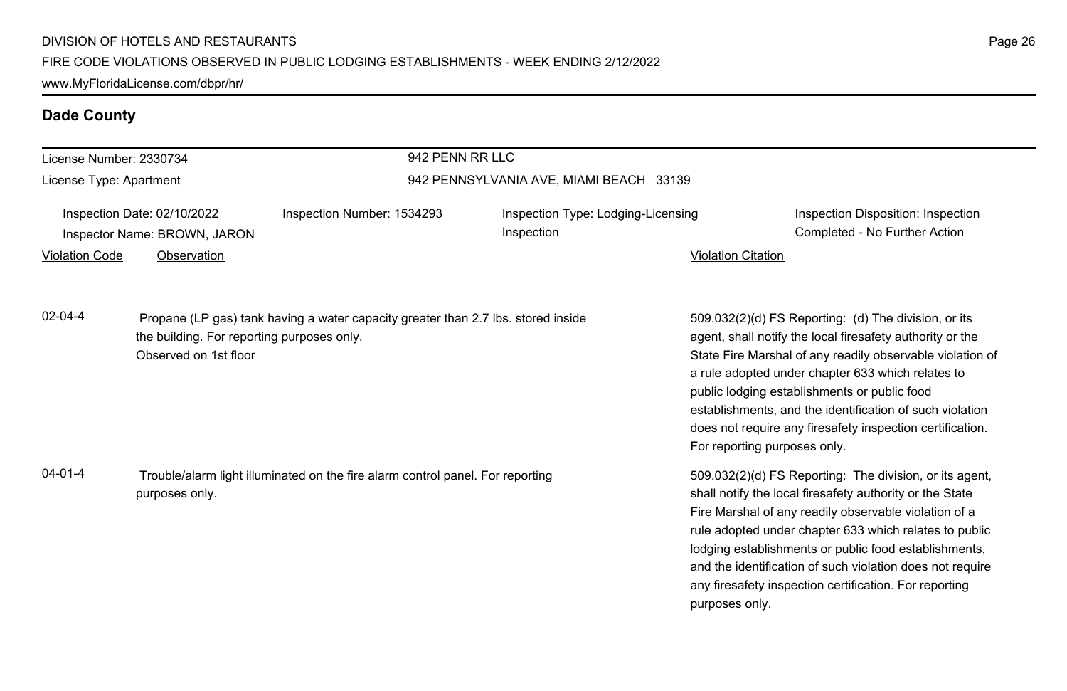| License Number: 2330734                                                                                           |                                                                                                                                                          | 942 PENN RR LLC            |                                                                                                                                                                                                                                                                                                                                                                                                                                          |                                                                                                                                                                                                                                                                                                                                                                                                                                              |  |
|-------------------------------------------------------------------------------------------------------------------|----------------------------------------------------------------------------------------------------------------------------------------------------------|----------------------------|------------------------------------------------------------------------------------------------------------------------------------------------------------------------------------------------------------------------------------------------------------------------------------------------------------------------------------------------------------------------------------------------------------------------------------------|----------------------------------------------------------------------------------------------------------------------------------------------------------------------------------------------------------------------------------------------------------------------------------------------------------------------------------------------------------------------------------------------------------------------------------------------|--|
| License Type: Apartment                                                                                           |                                                                                                                                                          |                            | 942 PENNSYLVANIA AVE, MIAMI BEACH 33139                                                                                                                                                                                                                                                                                                                                                                                                  |                                                                                                                                                                                                                                                                                                                                                                                                                                              |  |
|                                                                                                                   | Inspection Date: 02/10/2022<br>Inspector Name: BROWN, JARON                                                                                              | Inspection Number: 1534293 | Inspection Type: Lodging-Licensing<br>Inspection                                                                                                                                                                                                                                                                                                                                                                                         | Inspection Disposition: Inspection<br>Completed - No Further Action                                                                                                                                                                                                                                                                                                                                                                          |  |
| <b>Violation Code</b>                                                                                             | Observation                                                                                                                                              |                            |                                                                                                                                                                                                                                                                                                                                                                                                                                          | <b>Violation Citation</b>                                                                                                                                                                                                                                                                                                                                                                                                                    |  |
| $02 - 04 - 4$                                                                                                     | Propane (LP gas) tank having a water capacity greater than 2.7 lbs. stored inside<br>the building. For reporting purposes only.<br>Observed on 1st floor |                            |                                                                                                                                                                                                                                                                                                                                                                                                                                          | 509.032(2)(d) FS Reporting: (d) The division, or its<br>agent, shall notify the local firesafety authority or the<br>State Fire Marshal of any readily observable violation of<br>a rule adopted under chapter 633 which relates to<br>public lodging establishments or public food<br>establishments, and the identification of such violation<br>does not require any firesafety inspection certification.<br>For reporting purposes only. |  |
| $04 - 01 - 4$<br>Trouble/alarm light illuminated on the fire alarm control panel. For reporting<br>purposes only. |                                                                                                                                                          |                            | 509.032(2)(d) FS Reporting: The division, or its agent,<br>shall notify the local firesafety authority or the State<br>Fire Marshal of any readily observable violation of a<br>rule adopted under chapter 633 which relates to public<br>lodging establishments or public food establishments,<br>and the identification of such violation does not require<br>any firesafety inspection certification. For reporting<br>purposes only. |                                                                                                                                                                                                                                                                                                                                                                                                                                              |  |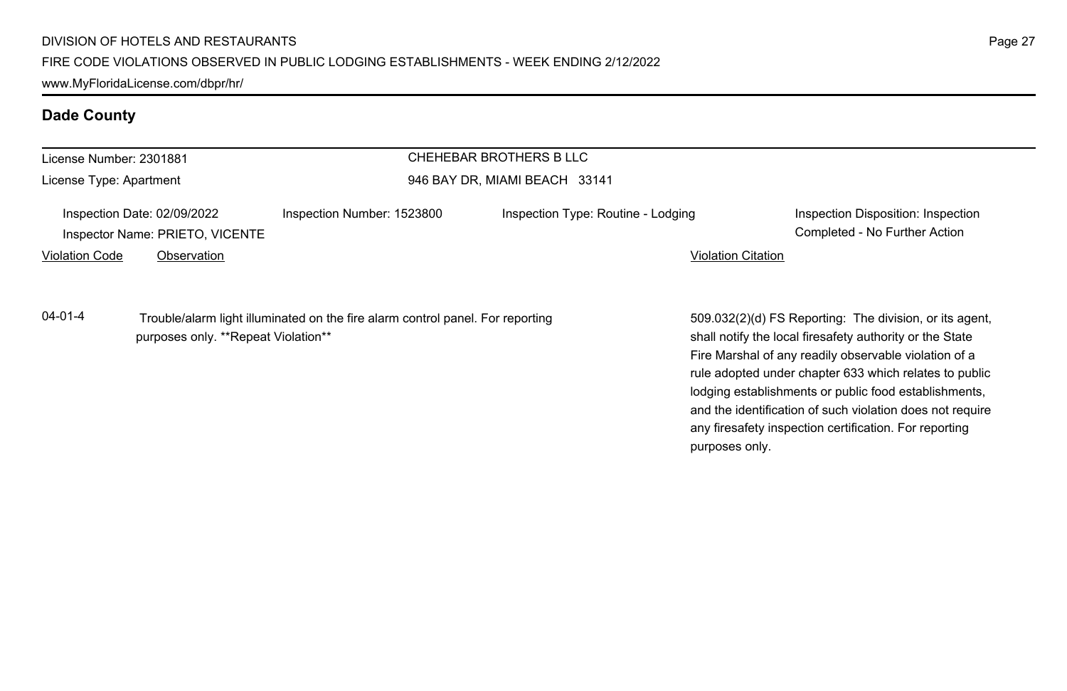| License Number: 2301881 |                                                                |                                                                                | CHEHEBAR BROTHERS B LLC            |                                                                                                                                                                                                                                                                                                 |
|-------------------------|----------------------------------------------------------------|--------------------------------------------------------------------------------|------------------------------------|-------------------------------------------------------------------------------------------------------------------------------------------------------------------------------------------------------------------------------------------------------------------------------------------------|
| License Type: Apartment |                                                                | 946 BAY DR, MIAMI BEACH 33141                                                  |                                    |                                                                                                                                                                                                                                                                                                 |
|                         | Inspection Date: 02/09/2022<br>Inspector Name: PRIETO, VICENTE | Inspection Number: 1523800                                                     | Inspection Type: Routine - Lodging | Inspection Disposition: Inspection<br>Completed - No Further Action                                                                                                                                                                                                                             |
| <b>Violation Code</b>   | Observation                                                    |                                                                                |                                    | <b>Violation Citation</b>                                                                                                                                                                                                                                                                       |
| $04 - 01 - 4$           | purposes only. **Repeat Violation**                            | Trouble/alarm light illuminated on the fire alarm control panel. For reporting |                                    | 509.032(2)(d) FS Reporting: The division, or its agent,<br>shall notify the local firesafety authority or the State<br>Fire Marshal of any readily observable violation of a<br>rule adopted under chapter 633 which relates to public<br>lodging establishments or public food establishments, |

and the identification of such violation does not require any firesafety inspection certification. For reporting

purposes only.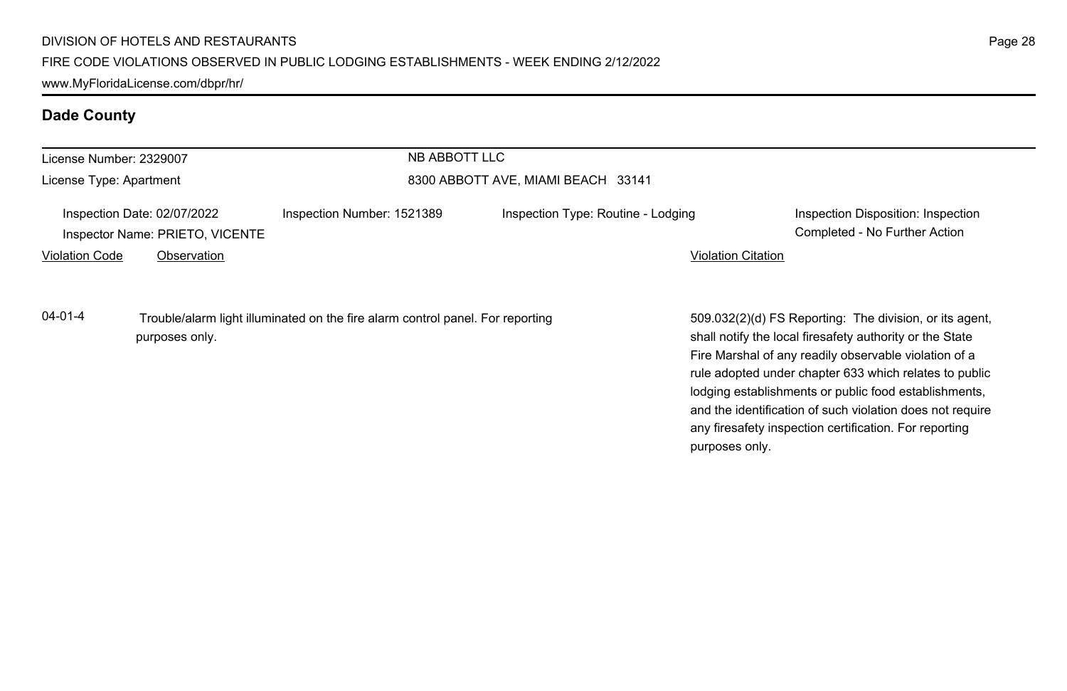| License Number: 2329007                                        |                | NB ABBOTT LLC                                                                  |                                    |                                                                                                                                                                                                                                                                                                                                                                                                                        |
|----------------------------------------------------------------|----------------|--------------------------------------------------------------------------------|------------------------------------|------------------------------------------------------------------------------------------------------------------------------------------------------------------------------------------------------------------------------------------------------------------------------------------------------------------------------------------------------------------------------------------------------------------------|
| License Type: Apartment                                        |                |                                                                                | 8300 ABBOTT AVE, MIAMI BEACH 33141 |                                                                                                                                                                                                                                                                                                                                                                                                                        |
| Inspection Date: 02/07/2022<br>Inspector Name: PRIETO, VICENTE |                | Inspection Number: 1521389                                                     | Inspection Type: Routine - Lodging | Inspection Disposition: Inspection<br>Completed - No Further Action                                                                                                                                                                                                                                                                                                                                                    |
| <b>Violation Code</b>                                          | Observation    |                                                                                |                                    | <b>Violation Citation</b>                                                                                                                                                                                                                                                                                                                                                                                              |
| $04 - 01 - 4$                                                  | purposes only. | Trouble/alarm light illuminated on the fire alarm control panel. For reporting |                                    | 509.032(2)(d) FS Reporting: The division, or its agent,<br>shall notify the local firesafety authority or the State<br>Fire Marshal of any readily observable violation of a<br>rule adopted under chapter 633 which relates to public<br>lodging establishments or public food establishments,<br>and the identification of such violation does not require<br>any firesafety inspection certification. For reporting |

purposes only.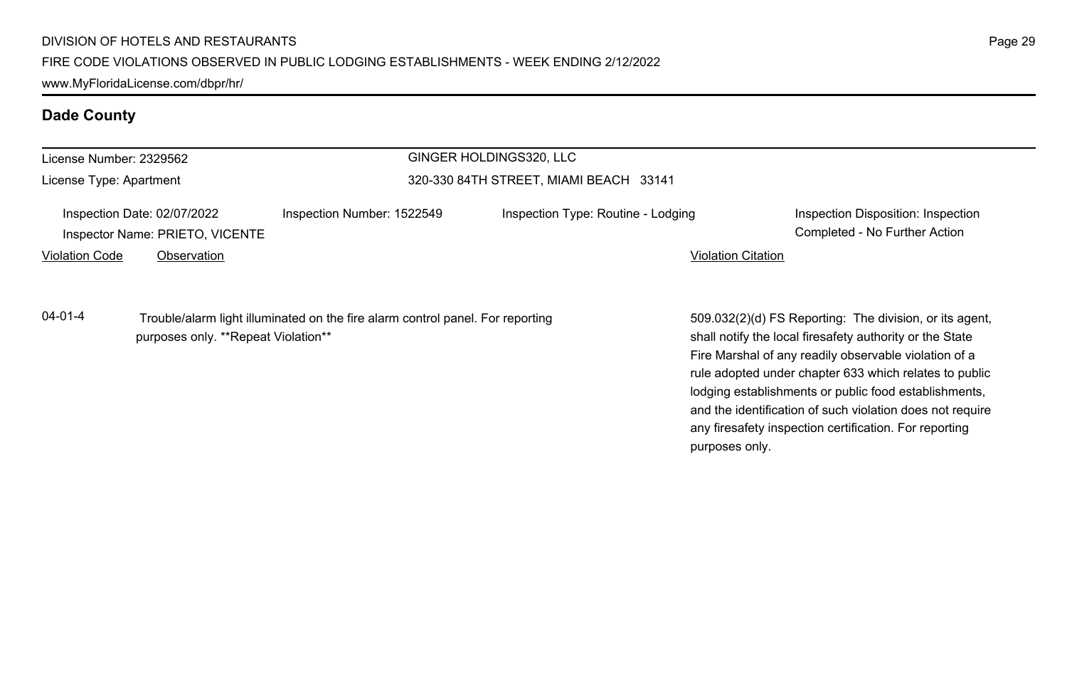| License Number: 2329562 |                                                                |                                                                                | GINGER HOLDINGS320, LLC                |                                                                                                                     |  |  |
|-------------------------|----------------------------------------------------------------|--------------------------------------------------------------------------------|----------------------------------------|---------------------------------------------------------------------------------------------------------------------|--|--|
| License Type: Apartment |                                                                |                                                                                | 320-330 84TH STREET, MIAMI BEACH 33141 |                                                                                                                     |  |  |
|                         | Inspection Date: 02/07/2022<br>Inspector Name: PRIETO, VICENTE | Inspection Number: 1522549                                                     | Inspection Type: Routine - Lodging     | Inspection Disposition: Inspection<br>Completed - No Further Action                                                 |  |  |
| <b>Violation Code</b>   | Observation                                                    |                                                                                |                                        | <b>Violation Citation</b>                                                                                           |  |  |
| $04 - 01 - 4$           | purposes only. **Repeat Violation**                            | Trouble/alarm light illuminated on the fire alarm control panel. For reporting |                                        | 509.032(2)(d) FS Reporting: The division, or its agent.<br>shall notify the local firesafety authority or the State |  |  |

509.032(2)(d) FS Reporting: The division, or its agent, Fire Marshal of any readily observable violation of a rule adopted under chapter 633 which relates to public lodging establishments or public food establishments, and the identification of such violation does not require any firesafety inspection certification. For reporting purposes only.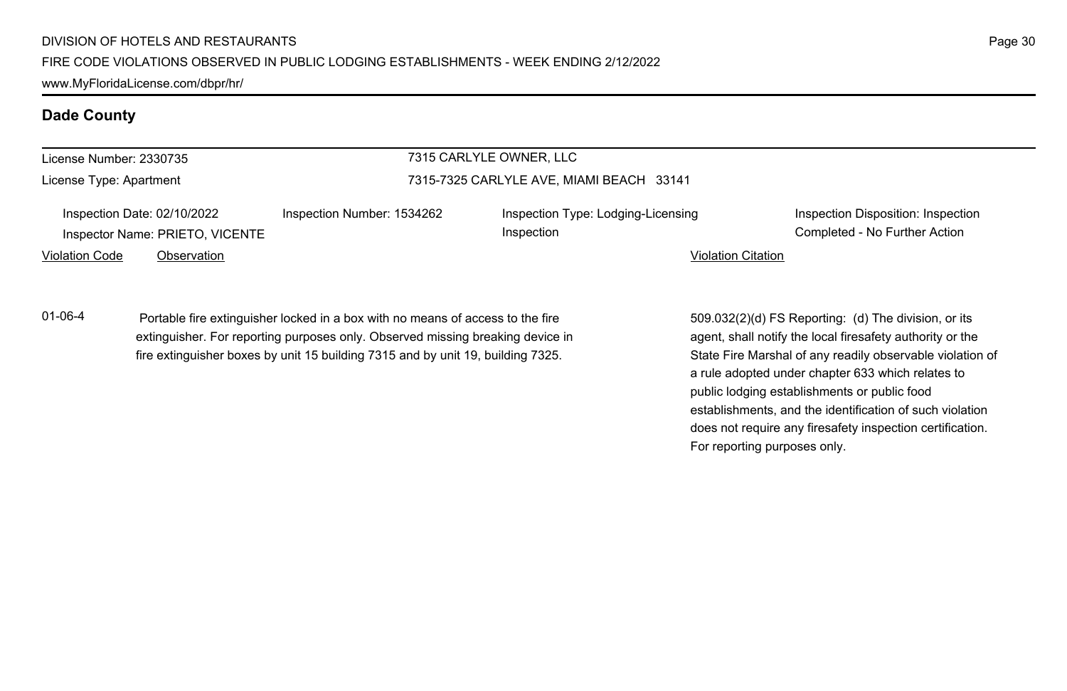| License Number: 2330735 |                                                                |                                                                                | 7315 CARLYLE OWNER, LLC                          |                           |                                                                     |
|-------------------------|----------------------------------------------------------------|--------------------------------------------------------------------------------|--------------------------------------------------|---------------------------|---------------------------------------------------------------------|
| License Type: Apartment |                                                                | 7315-7325 CARLYLE AVE, MIAMI BEACH 33141                                       |                                                  |                           |                                                                     |
|                         | Inspection Date: 02/10/2022<br>Inspector Name: PRIETO, VICENTE | Inspection Number: 1534262                                                     | Inspection Type: Lodging-Licensing<br>Inspection |                           | Inspection Disposition: Inspection<br>Completed - No Further Action |
| Violation Code          | Observation                                                    |                                                                                |                                                  | <b>Violation Citation</b> |                                                                     |
| 01-06-4                 |                                                                | Portable fire extinguisher locked in a box with no means of access to the fire |                                                  |                           | 509.032(2)(d) FS Reporting: (d) The division, or its                |

extinguisher. For reporting purposes only. Observed missing breaking device in fire extinguisher boxes by unit 15 building 7315 and by unit 19, building 7325.

agent, shall notify the local firesafety authority or the State Fire Marshal of any readily observable violation of a rule adopted under chapter 633 which relates to public lodging establishments or public food establishments, and the identification of such violation does not require any firesafety inspection certification. For reporting purposes only.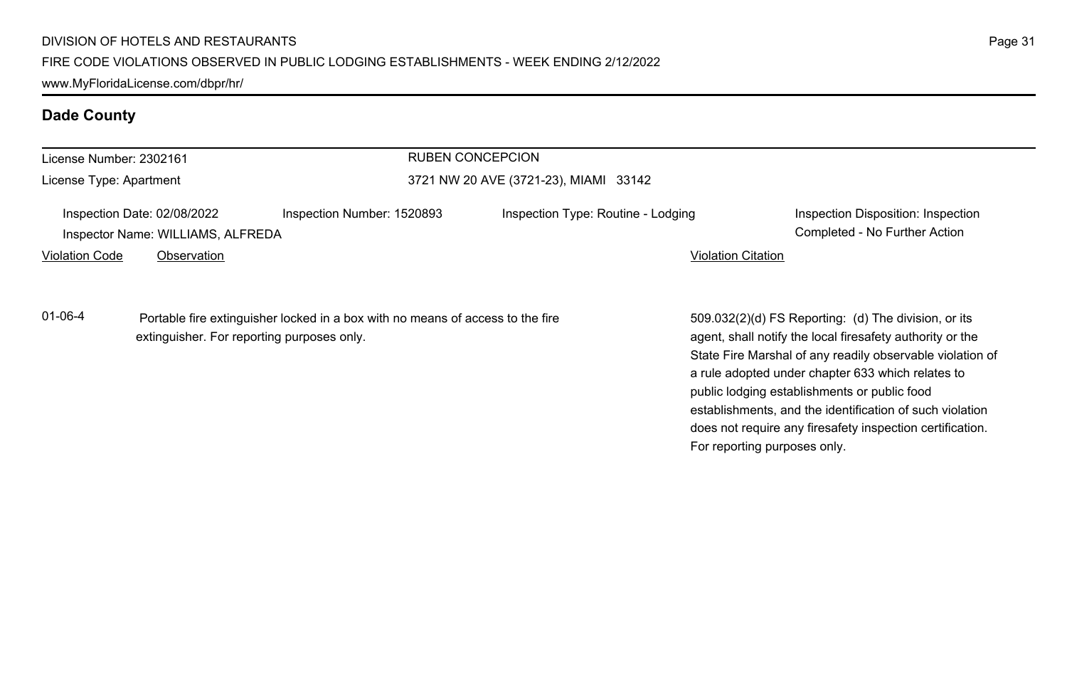| License Number: 2302161 |                                                                  |                                                                                | <b>RUBEN CONCEPCION</b>               |                           |                                                                                                                   |  |
|-------------------------|------------------------------------------------------------------|--------------------------------------------------------------------------------|---------------------------------------|---------------------------|-------------------------------------------------------------------------------------------------------------------|--|
| License Type: Apartment |                                                                  |                                                                                | 3721 NW 20 AVE (3721-23), MIAMI 33142 |                           |                                                                                                                   |  |
|                         | Inspection Date: 02/08/2022<br>Inspector Name: WILLIAMS, ALFREDA | Inspection Number: 1520893                                                     | Inspection Type: Routine - Lodging    |                           | Inspection Disposition: Inspection<br>Completed - No Further Action                                               |  |
| <b>Violation Code</b>   | Observation                                                      |                                                                                |                                       | <b>Violation Citation</b> |                                                                                                                   |  |
| $01 - 06 - 4$           | extinguisher. For reporting purposes only.                       | Portable fire extinguisher locked in a box with no means of access to the fire |                                       |                           | 509.032(2)(d) FS Reporting: (d) The division, or its<br>agent, shall notify the local firesafety authority or the |  |

State Fire Marshal of any readily observable violation of a rule adopted under chapter 633 which relates to public lodging establishments or public food establishments, and the identification of such violation does not require any firesafety inspection certification. For reporting purposes only.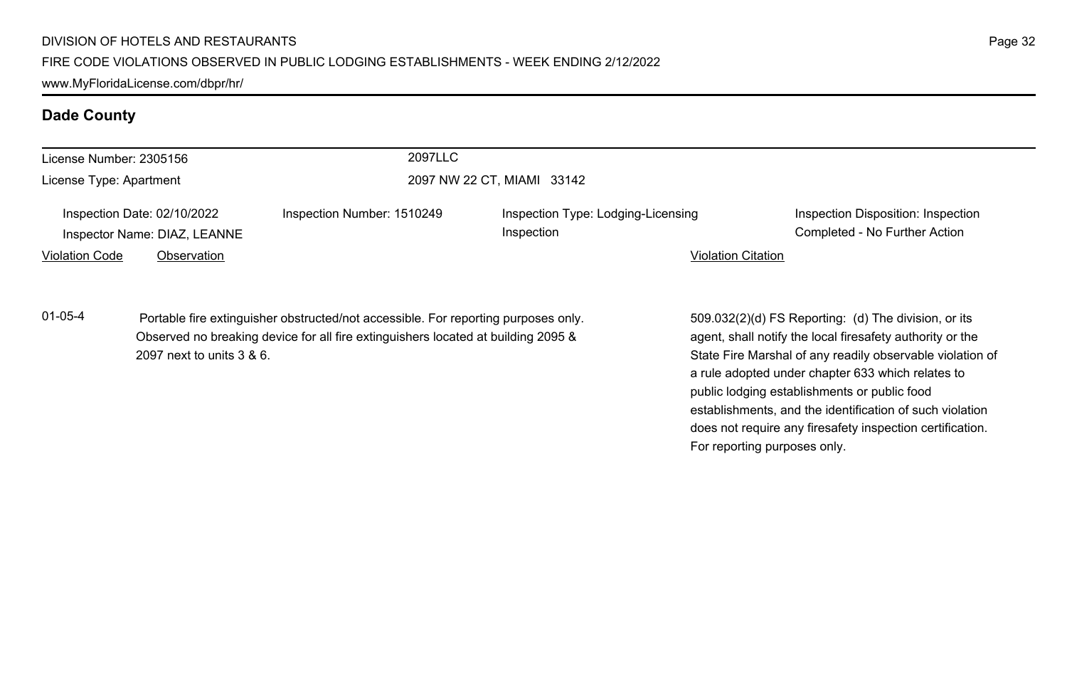|                         |                                                             | 2097LLC                                                                                                                                                                 |                                                  |                                                                                                                                                                                                                                                                                                                                                                                                                                              |                                                                     |
|-------------------------|-------------------------------------------------------------|-------------------------------------------------------------------------------------------------------------------------------------------------------------------------|--------------------------------------------------|----------------------------------------------------------------------------------------------------------------------------------------------------------------------------------------------------------------------------------------------------------------------------------------------------------------------------------------------------------------------------------------------------------------------------------------------|---------------------------------------------------------------------|
| License Number: 2305156 |                                                             |                                                                                                                                                                         |                                                  |                                                                                                                                                                                                                                                                                                                                                                                                                                              |                                                                     |
| License Type: Apartment |                                                             | 2097 NW 22 CT, MIAMI 33142                                                                                                                                              |                                                  |                                                                                                                                                                                                                                                                                                                                                                                                                                              |                                                                     |
|                         | Inspection Date: 02/10/2022<br>Inspector Name: DIAZ, LEANNE | Inspection Number: 1510249                                                                                                                                              | Inspection Type: Lodging-Licensing<br>Inspection |                                                                                                                                                                                                                                                                                                                                                                                                                                              | Inspection Disposition: Inspection<br>Completed - No Further Action |
| <b>Violation Code</b>   | Observation                                                 |                                                                                                                                                                         |                                                  | <b>Violation Citation</b>                                                                                                                                                                                                                                                                                                                                                                                                                    |                                                                     |
| $01 - 05 - 4$           | 2097 next to units 3 & 6.                                   | Portable fire extinguisher obstructed/not accessible. For reporting purposes only.<br>Observed no breaking device for all fire extinguishers located at building 2095 & |                                                  | 509.032(2)(d) FS Reporting: (d) The division, or its<br>agent, shall notify the local firesafety authority or the<br>State Fire Marshal of any readily observable violation of<br>a rule adopted under chapter 633 which relates to<br>public lodging establishments or public food<br>establishments, and the identification of such violation<br>does not require any firesafety inspection certification.<br>For reporting purposes only. |                                                                     |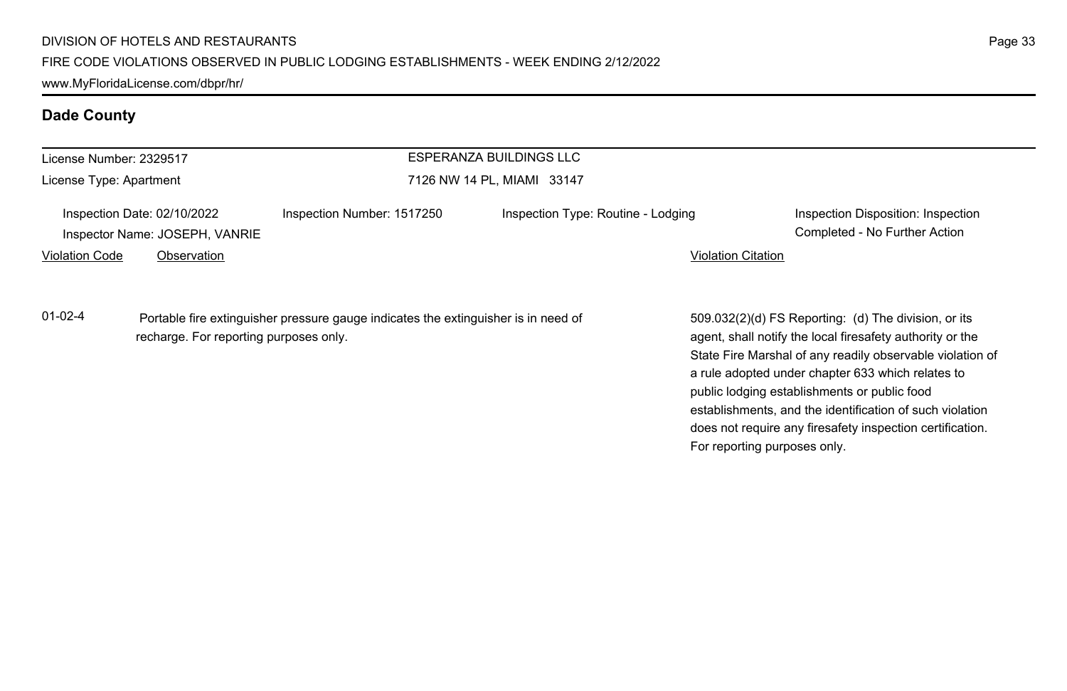| License Number: 2329517                                       |             |                                                                                    | ESPERANZA BUILDINGS LLC            |                              |                                                                                                                                                                                                                                                                                     |
|---------------------------------------------------------------|-------------|------------------------------------------------------------------------------------|------------------------------------|------------------------------|-------------------------------------------------------------------------------------------------------------------------------------------------------------------------------------------------------------------------------------------------------------------------------------|
| License Type: Apartment                                       |             | 7126 NW 14 PL, MIAMI 33147                                                         |                                    |                              |                                                                                                                                                                                                                                                                                     |
| Inspection Date: 02/10/2022<br>Inspector Name: JOSEPH, VANRIE |             | Inspection Number: 1517250                                                         | Inspection Type: Routine - Lodging |                              | Inspection Disposition: Inspection<br>Completed - No Further Action                                                                                                                                                                                                                 |
| Violation Code                                                | Observation |                                                                                    |                                    | <b>Violation Citation</b>    |                                                                                                                                                                                                                                                                                     |
| $01-02-4$<br>recharge. For reporting purposes only.           |             | Portable fire extinguisher pressure gauge indicates the extinguisher is in need of |                                    |                              | 509.032(2)(d) FS Reporting: (d) The division, or its<br>agent, shall notify the local firesafety authority or the<br>State Fire Marshal of any readily observable violation of<br>a rule adopted under chapter 633 which relates to<br>public lodging establishments or public food |
|                                                               |             |                                                                                    |                                    | For reporting purposes only. | establishments, and the identification of such violation<br>does not require any firesafety inspection certification.                                                                                                                                                               |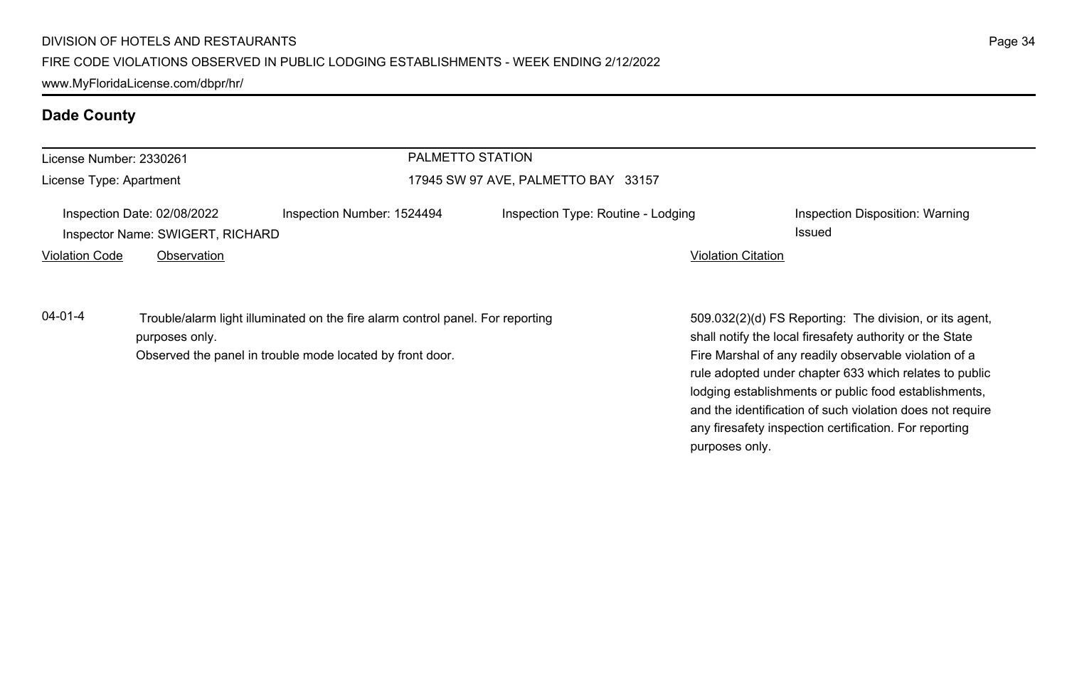| License Number: 2330261<br>License Type: Apartment              |                                                           | PALMETTO STATION                                                               |                                    |                                                                                                                                                                                                                                       |                                                  |
|-----------------------------------------------------------------|-----------------------------------------------------------|--------------------------------------------------------------------------------|------------------------------------|---------------------------------------------------------------------------------------------------------------------------------------------------------------------------------------------------------------------------------------|--------------------------------------------------|
|                                                                 |                                                           | 17945 SW 97 AVE, PALMETTO BAY 33157                                            |                                    |                                                                                                                                                                                                                                       |                                                  |
| Inspection Date: 02/08/2022<br>Inspector Name: SWIGERT, RICHARD |                                                           | Inspection Number: 1524494                                                     | Inspection Type: Routine - Lodging |                                                                                                                                                                                                                                       | Inspection Disposition: Warning<br><b>Issued</b> |
| <b>Violation Code</b>                                           | Observation                                               |                                                                                |                                    | <b>Violation Citation</b>                                                                                                                                                                                                             |                                                  |
| $04 - 01 - 4$                                                   | purposes only.                                            | Trouble/alarm light illuminated on the fire alarm control panel. For reporting |                                    | 509.032(2)(d) FS Reporting: The division, or its agent,<br>shall notify the local firesafety authority or the State                                                                                                                   |                                                  |
|                                                                 | Observed the panel in trouble mode located by front door. |                                                                                |                                    | Fire Marshal of any readily observable violation of a<br>rule adopted under chapter 633 which relates to public<br>lodging establishments or public food establishments,<br>and the identification of such violation does not require |                                                  |

any firesafety inspection certification. For reporting

purposes only.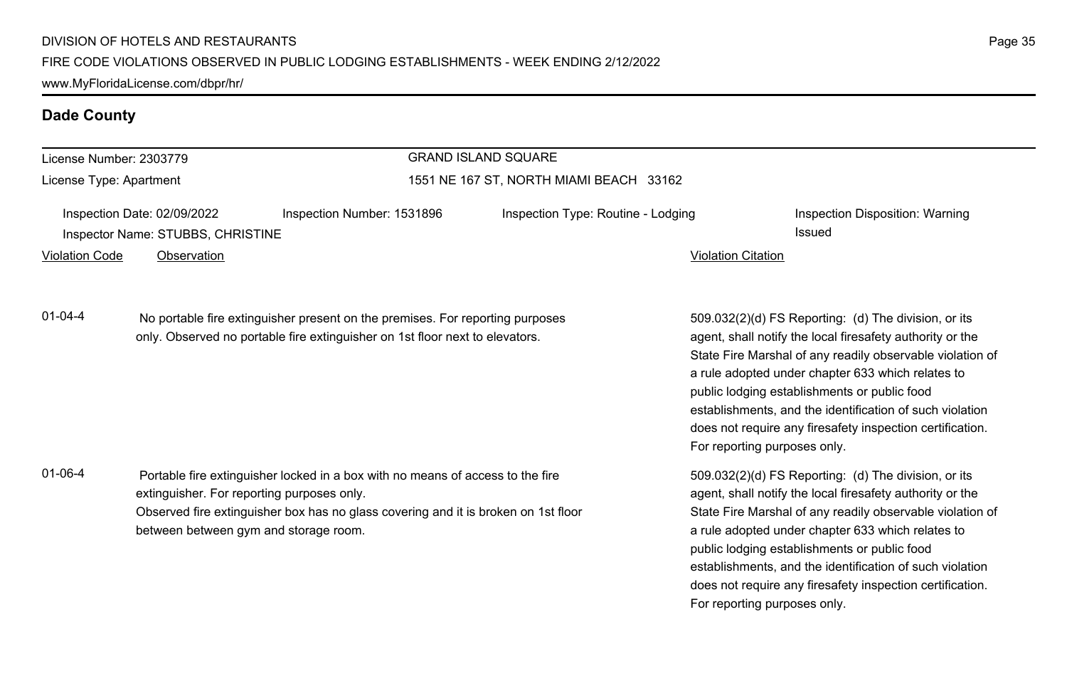| License Number: 2303779<br>License Type: Apartment                                                                                                                                                                                                                                                                       |                                                                                                                                                                                                                                                             |                                         | <b>GRAND ISLAND SQUARE</b> |                                                                                                                                                                                                                                                                                                                                                                                                                                                                                                                                                              |  |
|--------------------------------------------------------------------------------------------------------------------------------------------------------------------------------------------------------------------------------------------------------------------------------------------------------------------------|-------------------------------------------------------------------------------------------------------------------------------------------------------------------------------------------------------------------------------------------------------------|-----------------------------------------|----------------------------|--------------------------------------------------------------------------------------------------------------------------------------------------------------------------------------------------------------------------------------------------------------------------------------------------------------------------------------------------------------------------------------------------------------------------------------------------------------------------------------------------------------------------------------------------------------|--|
|                                                                                                                                                                                                                                                                                                                          |                                                                                                                                                                                                                                                             | 1551 NE 167 ST, NORTH MIAMI BEACH 33162 |                            |                                                                                                                                                                                                                                                                                                                                                                                                                                                                                                                                                              |  |
| Inspection Number: 1531896<br>Inspection Date: 02/09/2022<br>Inspector Name: STUBBS, CHRISTINE<br><b>Violation Code</b><br>Observation<br>$01 - 04 - 4$<br>No portable fire extinguisher present on the premises. For reporting purposes<br>only. Observed no portable fire extinguisher on 1st floor next to elevators. |                                                                                                                                                                                                                                                             |                                         |                            | Inspection Type: Routine - Lodging<br>Inspection Disposition: Warning<br>Issued<br><b>Violation Citation</b><br>509.032(2)(d) FS Reporting: (d) The division, or its<br>agent, shall notify the local firesafety authority or the<br>State Fire Marshal of any readily observable violation of<br>a rule adopted under chapter 633 which relates to<br>public lodging establishments or public food<br>establishments, and the identification of such violation<br>does not require any firesafety inspection certification.<br>For reporting purposes only. |  |
|                                                                                                                                                                                                                                                                                                                          |                                                                                                                                                                                                                                                             |                                         |                            |                                                                                                                                                                                                                                                                                                                                                                                                                                                                                                                                                              |  |
| $01 - 06 - 4$                                                                                                                                                                                                                                                                                                            | Portable fire extinguisher locked in a box with no means of access to the fire<br>extinguisher. For reporting purposes only.<br>Observed fire extinguisher box has no glass covering and it is broken on 1st floor<br>between between gym and storage room. |                                         |                            | 509.032(2)(d) FS Reporting: (d) The division, or its<br>agent, shall notify the local firesafety authority or the<br>State Fire Marshal of any readily observable violation of<br>a rule adopted under chapter 633 which relates to<br>public lodging establishments or public food<br>establishments, and the identification of such violation                                                                                                                                                                                                              |  |

does not require any firesafety inspection certification.

For reporting purposes only.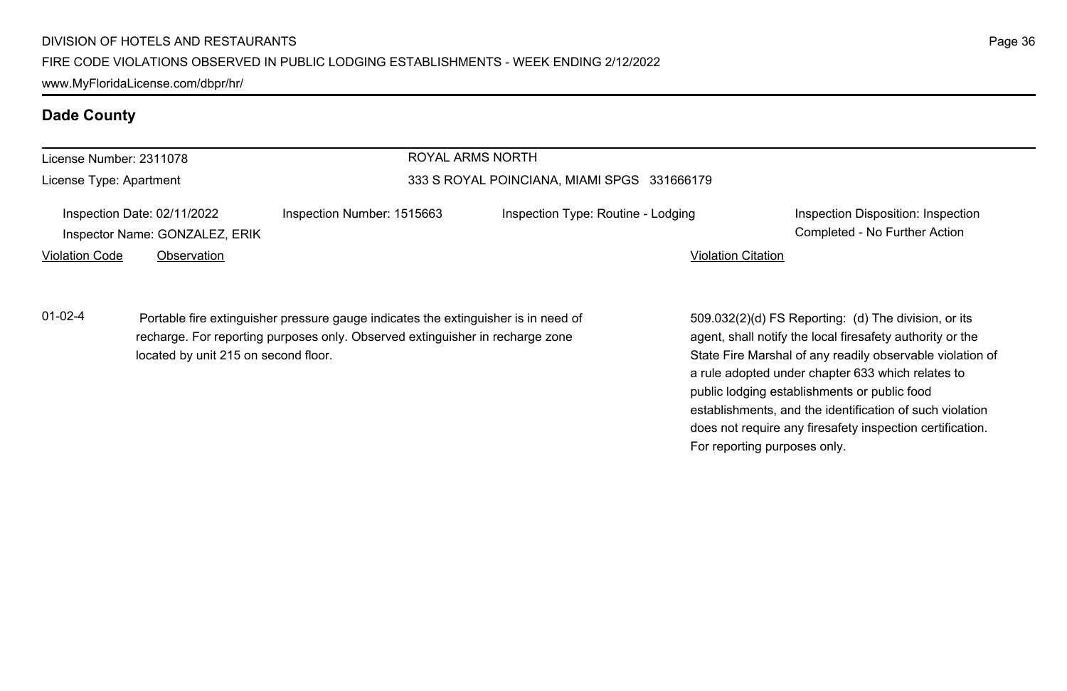| License Number: 2311078<br>License Type: Apartment<br>Inspection Date: 02/11/2022<br>Inspector Name: GONZALEZ, ERIK |                                                                                                                                                                                                             |                                             | ROYAL ARMS NORTH                   |                                                                                                                                                                                                                                                                                     |                                                                     |  |
|---------------------------------------------------------------------------------------------------------------------|-------------------------------------------------------------------------------------------------------------------------------------------------------------------------------------------------------------|---------------------------------------------|------------------------------------|-------------------------------------------------------------------------------------------------------------------------------------------------------------------------------------------------------------------------------------------------------------------------------------|---------------------------------------------------------------------|--|
|                                                                                                                     |                                                                                                                                                                                                             | 333 S ROYAL POINCIANA, MIAMI SPGS 331666179 |                                    |                                                                                                                                                                                                                                                                                     |                                                                     |  |
|                                                                                                                     |                                                                                                                                                                                                             | Inspection Number: 1515663                  | Inspection Type: Routine - Lodging |                                                                                                                                                                                                                                                                                     | Inspection Disposition: Inspection<br>Completed - No Further Action |  |
| <b>Violation Code</b>                                                                                               | Observation                                                                                                                                                                                                 |                                             |                                    | <b>Violation Citation</b>                                                                                                                                                                                                                                                           |                                                                     |  |
| $01 - 02 - 4$                                                                                                       | Portable fire extinguisher pressure gauge indicates the extinguisher is in need of<br>recharge. For reporting purposes only. Observed extinguisher in recharge zone<br>located by unit 215 on second floor. |                                             |                                    | 509.032(2)(d) FS Reporting: (d) The division, or its<br>agent, shall notify the local firesafety authority or the<br>State Fire Marshal of any readily observable violation of<br>a rule adopted under chapter 633 which relates to<br>public lodging establishments or public food |                                                                     |  |

does not require any firesafety inspection certification.

For reporting purposes only.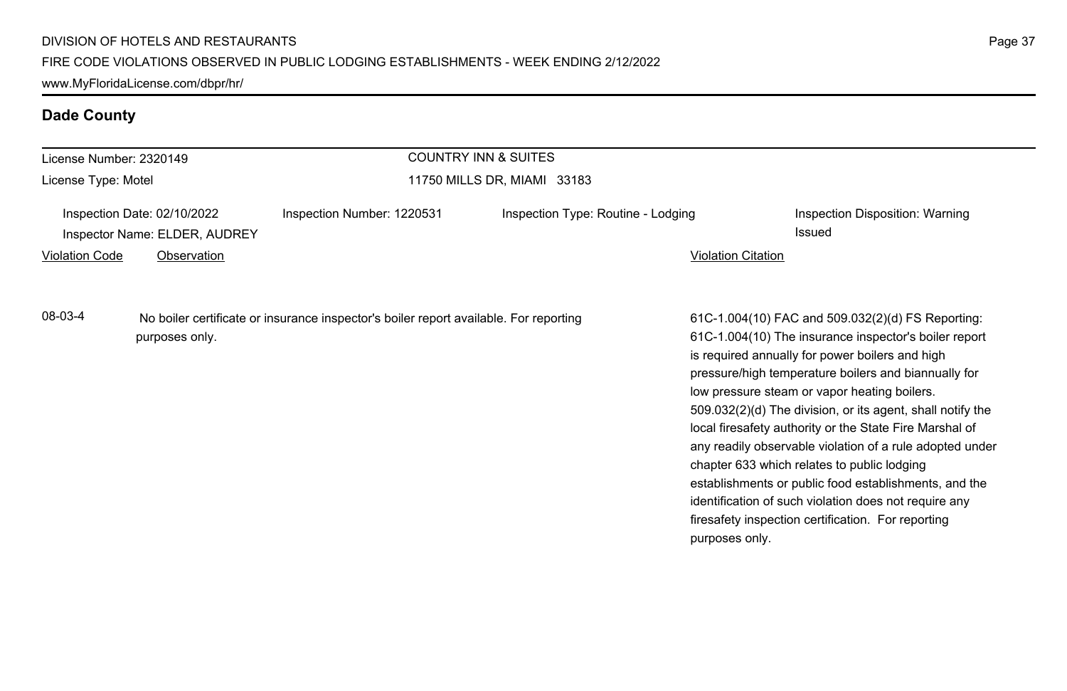# **Dade County**

| License Number: 2320149<br>License Type: Motel                                                                     |                                                                             |                            | <b>COUNTRY INN &amp; SUITES</b>    |                                                                                                                                                                                                                                                                                                                                                                                                                                                                                                                                                                                                                                                                                   |                                           |
|--------------------------------------------------------------------------------------------------------------------|-----------------------------------------------------------------------------|----------------------------|------------------------------------|-----------------------------------------------------------------------------------------------------------------------------------------------------------------------------------------------------------------------------------------------------------------------------------------------------------------------------------------------------------------------------------------------------------------------------------------------------------------------------------------------------------------------------------------------------------------------------------------------------------------------------------------------------------------------------------|-------------------------------------------|
|                                                                                                                    |                                                                             |                            | 11750 MILLS DR, MIAMI 33183        |                                                                                                                                                                                                                                                                                                                                                                                                                                                                                                                                                                                                                                                                                   |                                           |
| <b>Violation Code</b>                                                                                              | Inspection Date: 02/10/2022<br>Inspector Name: ELDER, AUDREY<br>Observation | Inspection Number: 1220531 | Inspection Type: Routine - Lodging | <b>Violation Citation</b>                                                                                                                                                                                                                                                                                                                                                                                                                                                                                                                                                                                                                                                         | Inspection Disposition: Warning<br>Issued |
| 08-03-4<br>No boiler certificate or insurance inspector's boiler report available. For reporting<br>purposes only. |                                                                             |                            | purposes only.                     | 61C-1.004(10) FAC and 509.032(2)(d) FS Reporting:<br>61C-1.004(10) The insurance inspector's boiler report<br>is required annually for power boilers and high<br>pressure/high temperature boilers and biannually for<br>low pressure steam or vapor heating boilers.<br>509.032(2)(d) The division, or its agent, shall notify the<br>local firesafety authority or the State Fire Marshal of<br>any readily observable violation of a rule adopted under<br>chapter 633 which relates to public lodging<br>establishments or public food establishments, and the<br>identification of such violation does not require any<br>firesafety inspection certification. For reporting |                                           |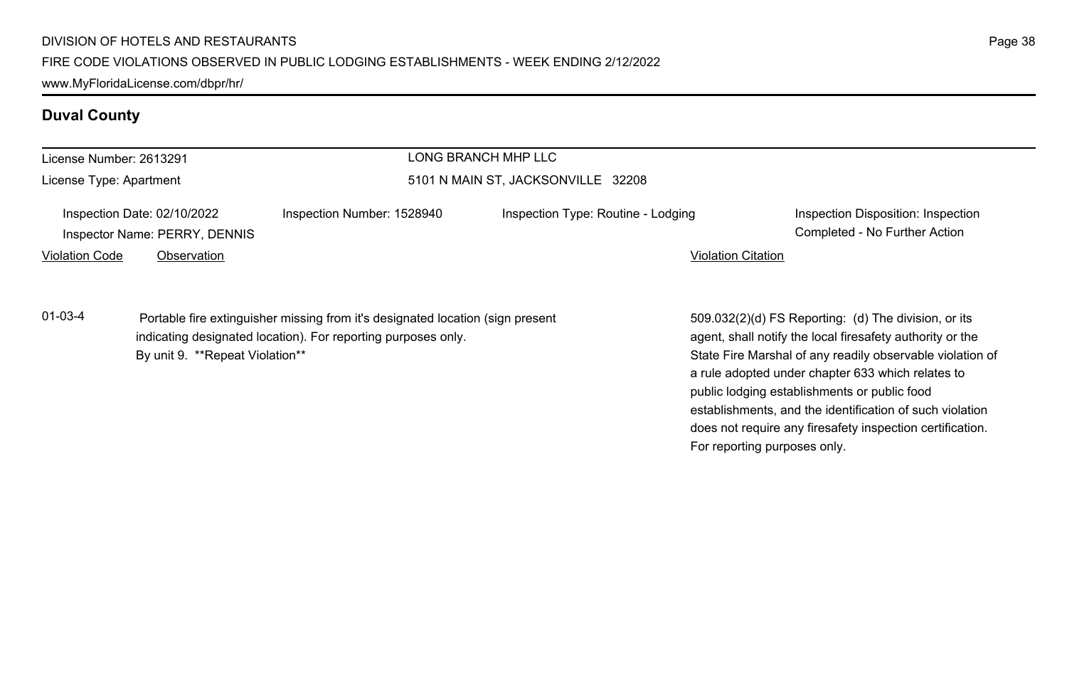# **Duval County**

| License Number: 2613291 |                                                              |                                                                                                                                                 | LONG BRANCH MHP LLC                |                                                                                                                                                                |
|-------------------------|--------------------------------------------------------------|-------------------------------------------------------------------------------------------------------------------------------------------------|------------------------------------|----------------------------------------------------------------------------------------------------------------------------------------------------------------|
| License Type: Apartment |                                                              | 5101 N MAIN ST, JACKSONVILLE 32208                                                                                                              |                                    |                                                                                                                                                                |
|                         | Inspection Date: 02/10/2022<br>Inspector Name: PERRY, DENNIS | Inspection Number: 1528940                                                                                                                      | Inspection Type: Routine - Lodging | Inspection Disposition: Inspection<br>Completed - No Further Action                                                                                            |
| <b>Violation Code</b>   | Observation                                                  |                                                                                                                                                 | <b>Violation Citation</b>          |                                                                                                                                                                |
| $01-03-4$               |                                                              | Portable fire extinguisher missing from it's designated location (sign present<br>indicating designated location). For reporting purposes only. |                                    | 509.032(2)(d) FS Reporting: (d) The division, or its<br>agent, shall notify the local firesafety authority or the                                              |
|                         | By unit 9. **Repeat Violation**                              |                                                                                                                                                 |                                    | State Fire Marshal of any readily observable violation of<br>a rule adopted under chapter 633 which relates to<br>public lodging establishments or public food |

establishments, and the identification of such violation does not require any firesafety inspection certification.

For reporting purposes only.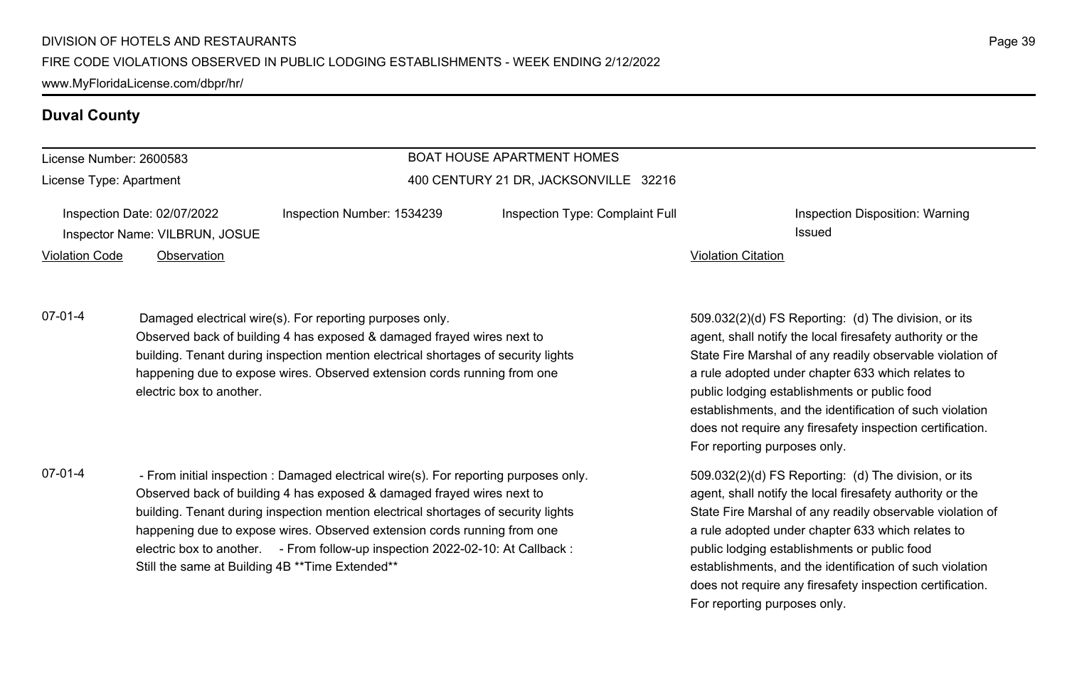### **Duval County**

#### License Number: 2600583

License Type: Apartment

### BOAT HOUSE APARTMENT HOMES 400 CENTURY 21 DR, JACKSONVILLE 32216

| Inspection Date: 02/07/2022 |                                | Inspection Number: 1534239 | Inspection Type: Complaint Full |                    | Inspection Disposition: Warning |
|-----------------------------|--------------------------------|----------------------------|---------------------------------|--------------------|---------------------------------|
|                             | Inspector Name: VILBRUN, JOSUE |                            |                                 |                    | Issued                          |
| Violation Code              | Observation                    |                            |                                 | Violation Citation |                                 |

07-01-4 Damaged electrical wire(s). For reporting purposes only. Observed back of building 4 has exposed & damaged frayed wires next to building. Tenant during inspection mention electrical shortages of security lights happening due to expose wires. Observed extension cords running from one electric box to another.

07-01-4 - From initial inspection : Damaged electrical wire(s). For reporting purposes only. Observed back of building 4 has exposed & damaged frayed wires next to building. Tenant during inspection mention electrical shortages of security lights happening due to expose wires. Observed extension cords running from one electric box to another. - From follow-up inspection 2022-02-10: At Callback : Still the same at Building 4B \*\*Time Extended\*\*

509.032(2)(d) FS Reporting: (d) The division, or its agent, shall notify the local firesafety authority or the State Fire Marshal of any readily observable violation of a rule adopted under chapter 633 which relates to public lodging establishments or public food establishments, and the identification of such violation does not require any firesafety inspection certification. For reporting purposes only.

509.032(2)(d) FS Reporting: (d) The division, or its agent, shall notify the local firesafety authority or the State Fire Marshal of any readily observable violation of a rule adopted under chapter 633 which relates to public lodging establishments or public food establishments, and the identification of such violation does not require any firesafety inspection certification. For reporting purposes only.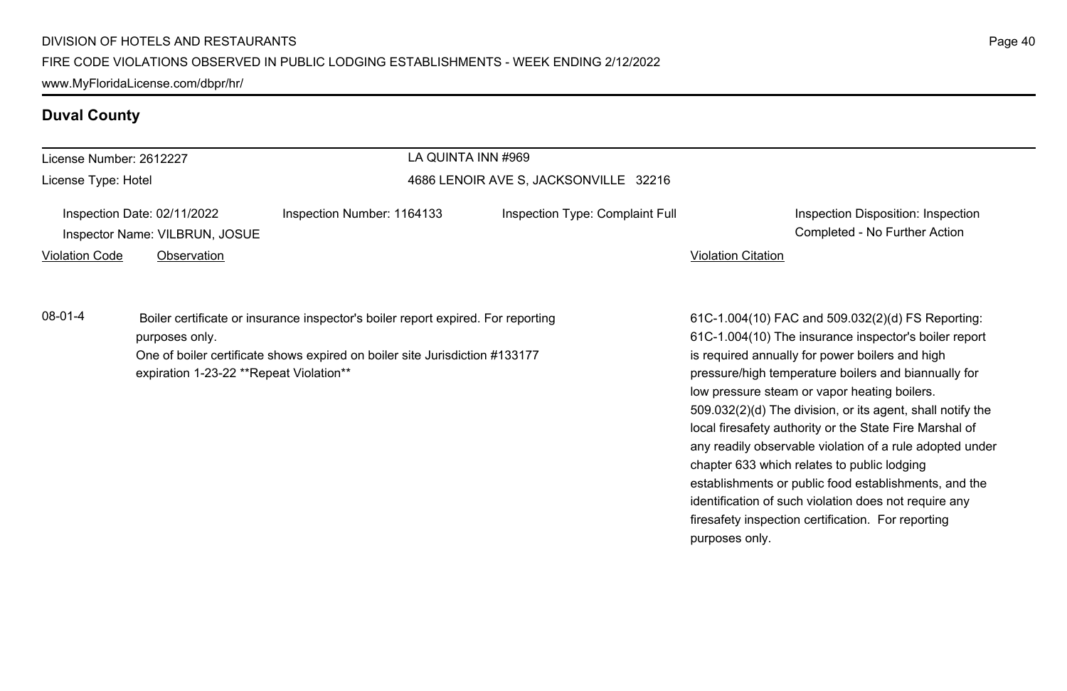# **Duval County**

| License Number: 2612227 |                                                                              | LA QUINTA INN #969                                                                                                                                              |                                 |                           |                                                                                                                                                                                                                                                                                                                                                                                                                                                            |
|-------------------------|------------------------------------------------------------------------------|-----------------------------------------------------------------------------------------------------------------------------------------------------------------|---------------------------------|---------------------------|------------------------------------------------------------------------------------------------------------------------------------------------------------------------------------------------------------------------------------------------------------------------------------------------------------------------------------------------------------------------------------------------------------------------------------------------------------|
| License Type: Hotel     |                                                                              | 4686 LENOIR AVE S, JACKSONVILLE 32216                                                                                                                           |                                 |                           |                                                                                                                                                                                                                                                                                                                                                                                                                                                            |
| <b>Violation Code</b>   | Inspection Date: 02/11/2022<br>Inspector Name: VILBRUN, JOSUE<br>Observation | Inspection Number: 1164133                                                                                                                                      | Inspection Type: Complaint Full | <b>Violation Citation</b> | Inspection Disposition: Inspection<br>Completed - No Further Action                                                                                                                                                                                                                                                                                                                                                                                        |
| 08-01-4                 | purposes only.<br>expiration 1-23-22 **Repeat Violation**                    | Boiler certificate or insurance inspector's boiler report expired. For reporting<br>One of boiler certificate shows expired on boiler site Jurisdiction #133177 |                                 |                           | 61C-1.004(10) FAC and 509.032(2)(d) FS Reporting:<br>61C-1.004(10) The insurance inspector's boiler report<br>is required annually for power boilers and high<br>pressure/high temperature boilers and biannually for<br>low pressure steam or vapor heating boilers.<br>509.032(2)(d) The division, or its agent, shall notify the<br>local firesafety authority or the State Fire Marshal of<br>any readily observable violation of a rule adopted under |

chapter 633 which relates to public lodging

purposes only.

establishments or public food establishments, and the identification of such violation does not require any firesafety inspection certification. For reporting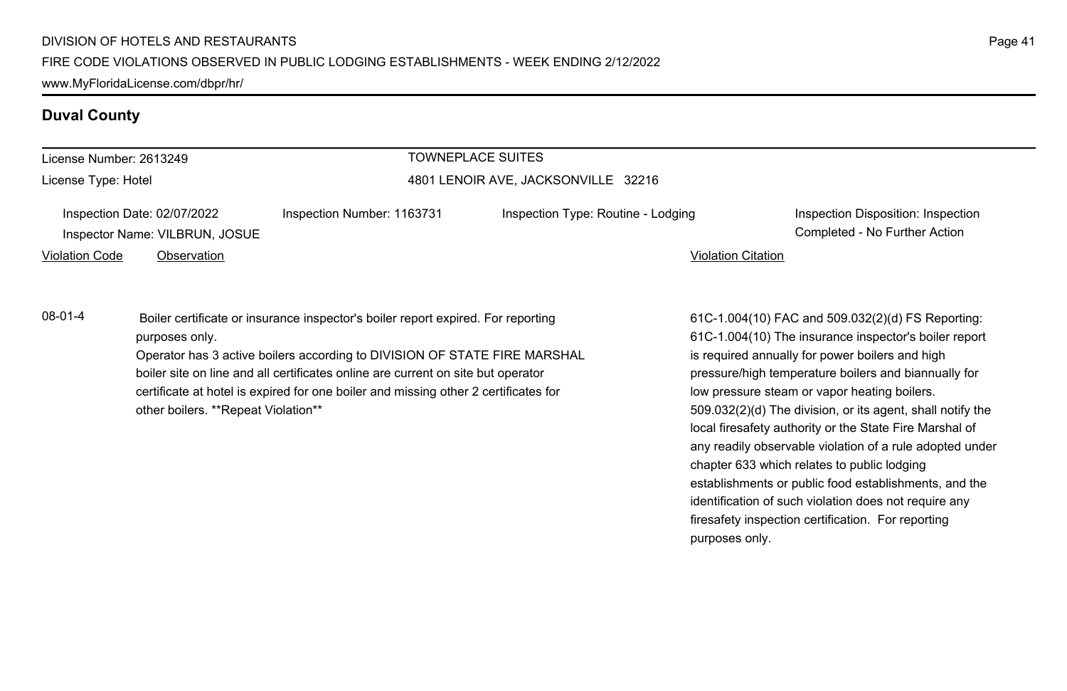### **Duval County**

| License Number: 2613249 |                                                               |                                                                                                                                                                                                                                                   | <b>TOWNEPLACE SUITES</b>           |                                                                                                                                                                                                                       |
|-------------------------|---------------------------------------------------------------|---------------------------------------------------------------------------------------------------------------------------------------------------------------------------------------------------------------------------------------------------|------------------------------------|-----------------------------------------------------------------------------------------------------------------------------------------------------------------------------------------------------------------------|
| License Type: Hotel     |                                                               | 4801 LENOIR AVE, JACKSONVILLE 32216                                                                                                                                                                                                               |                                    |                                                                                                                                                                                                                       |
|                         | Inspection Date: 02/07/2022<br>Inspector Name: VILBRUN, JOSUE | Inspection Number: 1163731                                                                                                                                                                                                                        | Inspection Type: Routine - Lodging | Inspection Disposition: Inspection<br>Completed - No Further Action                                                                                                                                                   |
| Violation Code          | Observation                                                   |                                                                                                                                                                                                                                                   | <b>Violation Citation</b>          |                                                                                                                                                                                                                       |
| 08-01-4                 | purposes only.                                                | Boiler certificate or insurance inspector's boiler report expired. For reporting<br>Operator has 3 active boilers according to DIVISION OF STATE FIRE MARSHAL<br>boiler site on line and all certificates online are current on site but operator |                                    | 61C-1.004(10) FAC and 509.032(2)(d) FS Reporting:<br>61C-1.004(10) The insurance inspector's boiler report<br>is required annually for power boilers and high<br>pressure/high temperature boilers and biannually for |

certificate at hotel is expired for one boiler and missing other 2 certificates for other boilers. \*\*Repeat Violation\*\*

61C-1.004(10) The insurance inspector's boiler report pressure/high temperature boilers and biannually for low pressure steam or vapor heating boilers. 509.032(2)(d) The division, or its agent, shall notify the local firesafety authority or the State Fire Marshal of any readily observable violation of a rule adopted under chapter 633 which relates to public lodging establishments or public food establishments, and the identification of such violation does not require any firesafety inspection certification. For reporting purposes only.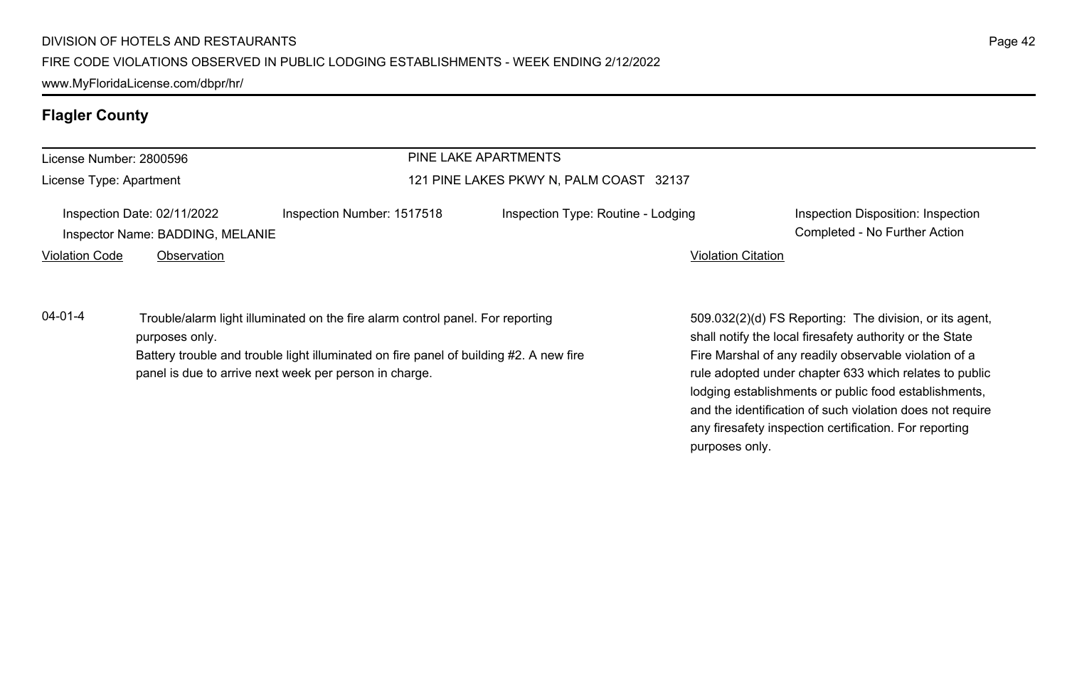# **Flagler County**

| License Number: 2800596 |                                                                                                                                                                                                                                                      |                            | PINE LAKE APARTMENTS                    |                           |                                                                                                                                                                                                                                        |
|-------------------------|------------------------------------------------------------------------------------------------------------------------------------------------------------------------------------------------------------------------------------------------------|----------------------------|-----------------------------------------|---------------------------|----------------------------------------------------------------------------------------------------------------------------------------------------------------------------------------------------------------------------------------|
| License Type: Apartment |                                                                                                                                                                                                                                                      |                            | 121 PINE LAKES PKWY N, PALM COAST 32137 |                           |                                                                                                                                                                                                                                        |
|                         | Inspection Date: 02/11/2022<br>Inspector Name: BADDING, MELANIE                                                                                                                                                                                      | Inspection Number: 1517518 | Inspection Type: Routine - Lodging      |                           | Inspection Disposition: Inspection<br>Completed - No Further Action                                                                                                                                                                    |
| <b>Violation Code</b>   | Observation                                                                                                                                                                                                                                          |                            |                                         | <b>Violation Citation</b> |                                                                                                                                                                                                                                        |
| $04 - 01 - 4$           | Trouble/alarm light illuminated on the fire alarm control panel. For reporting<br>purposes only.<br>Battery trouble and trouble light illuminated on fire panel of building #2. A new fire<br>panel is due to arrive next week per person in charge. |                            |                                         |                           | 509.032(2)(d) FS Reporting: The division, or its agent,<br>shall notify the local firesafety authority or the State<br>Fire Marshal of any readily observable violation of a<br>rule adopted under chapter 633 which relates to public |
|                         |                                                                                                                                                                                                                                                      |                            |                                         |                           | lodging establishments or public food establishments,                                                                                                                                                                                  |

and the identification of such violation does not require any firesafety inspection certification. For reporting

purposes only.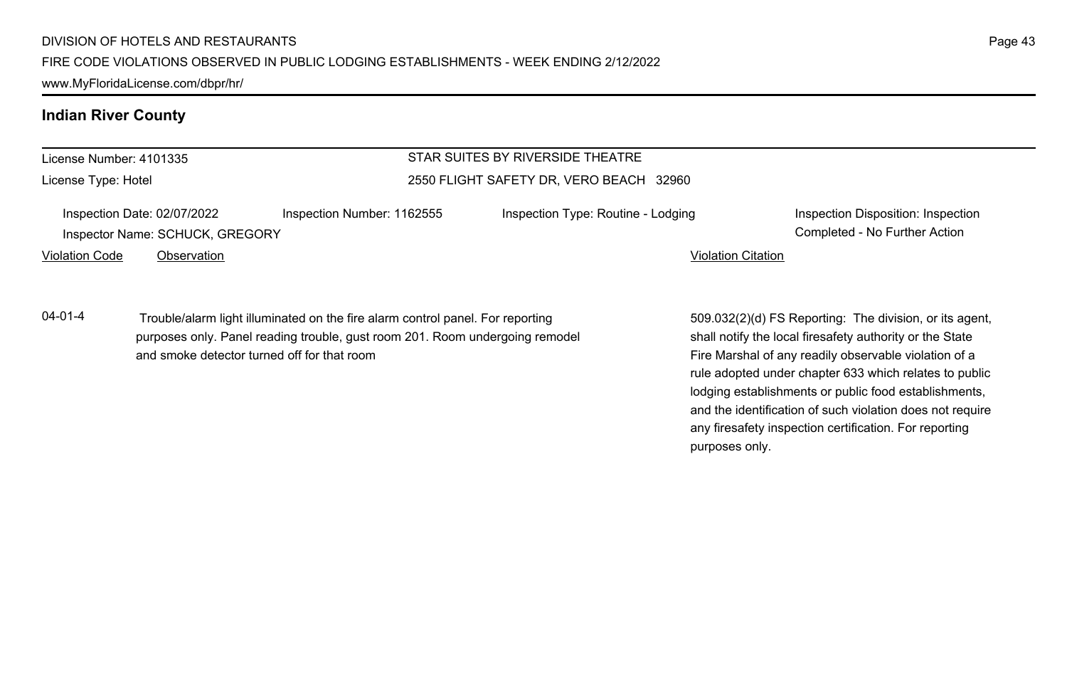www.MyFloridaLicense.com/dbpr/hr/

### **Indian River County**

License Number: 4101335 License Type: Hotel

### STAR SUITES BY RIVERSIDE THEATRE 2550 FLIGHT SAFETY DR, VERO BEACH 32960

| Inspection Date: 02/07/2022     | Inspect |
|---------------------------------|---------|
| Inspector Name: SCHUCK, GREGORY |         |

Inspection Date: 02/07/2022 Inspection Number: 1162555 Inspection Type: Routine - Lodging Inspection Disposition: Inspection

Violation Code Observation Violation Citation

Completed - No Further Action

04-01-4 Trouble/alarm light illuminated on the fire alarm control panel. For reporting purposes only. Panel reading trouble, gust room 201. Room undergoing remodel and smoke detector turned off for that room

509.032(2)(d) FS Reporting: The division, or its agent, shall notify the local firesafety authority or the State Fire Marshal of any readily observable violation of a rule adopted under chapter 633 which relates to public lodging establishments or public food establishments, and the identification of such violation does not require any firesafety inspection certification. For reporting purposes only.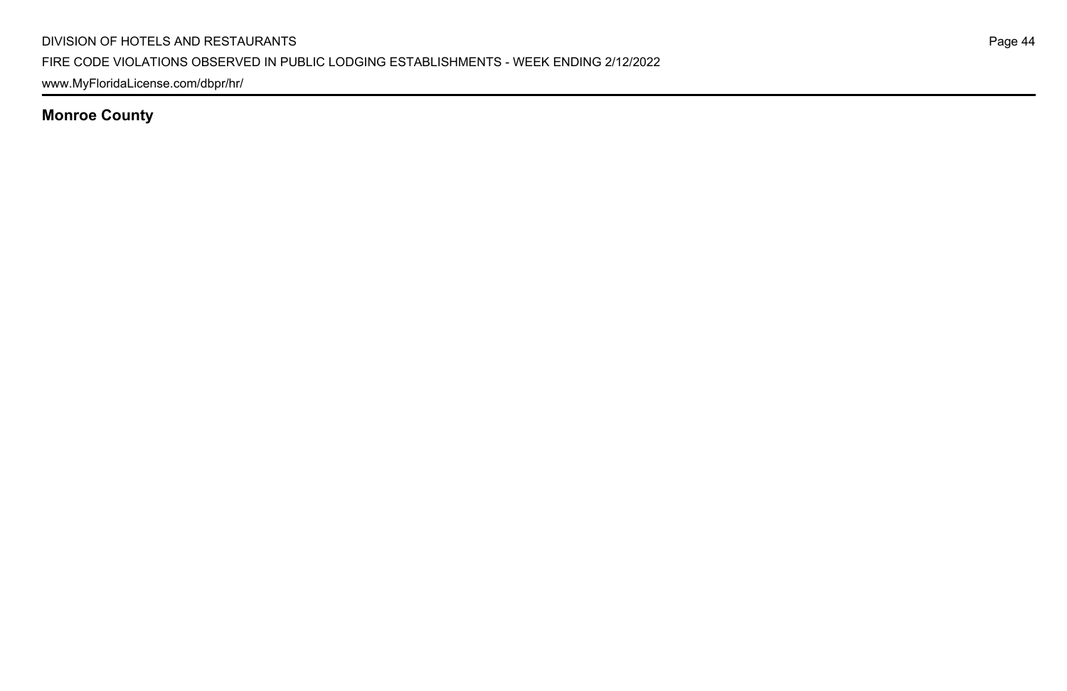www.MyFloridaLicense.com/dbpr/hr/

**Monroe County**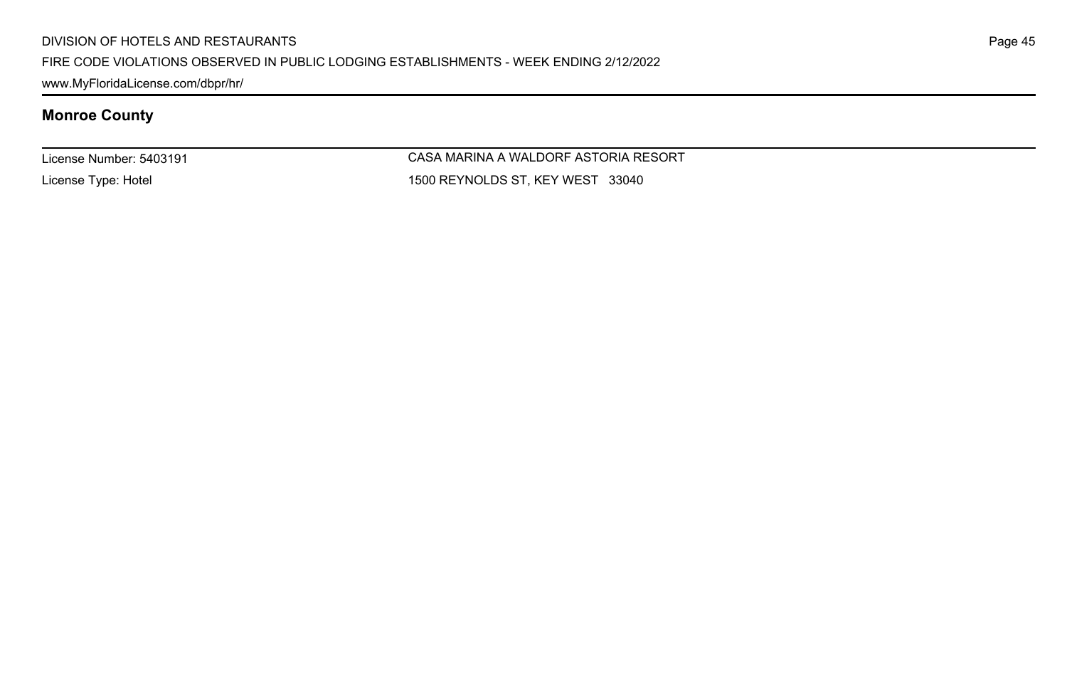www.MyFloridaLicense.com/dbpr/hr/

# **Monroe County**

License Number: 5403191

License Type: Hotel

CASA MARINA A WALDORF ASTORIA RESORT 1500 REYNOLDS ST, KEY WEST 33040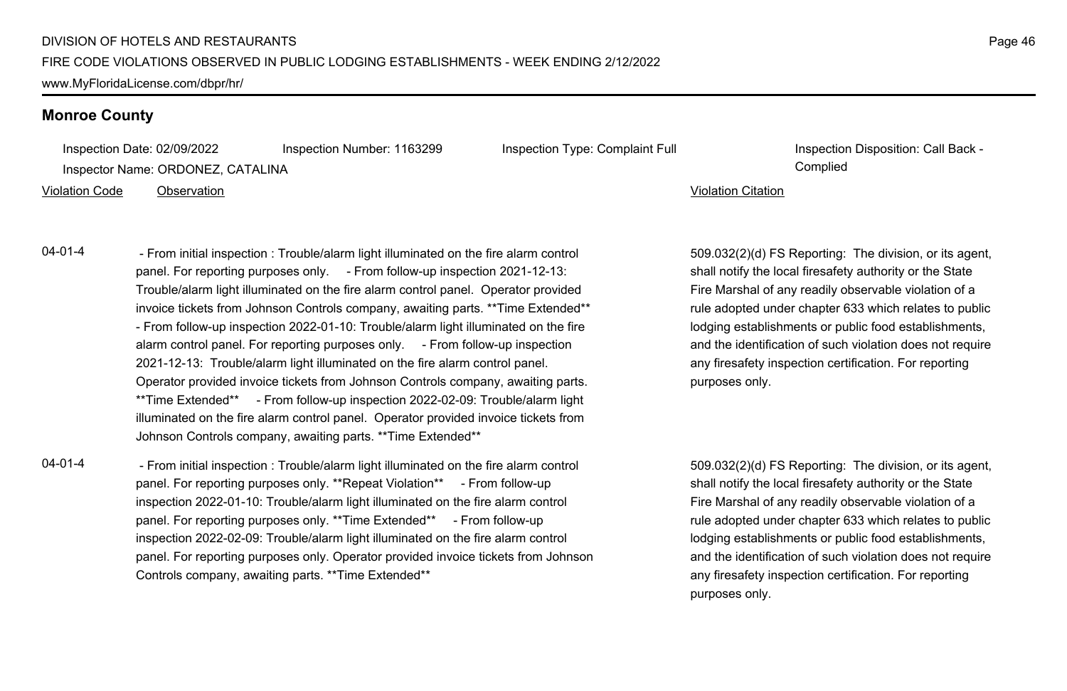#### **Monroe County**

Inspection Date: 02/09/2022 Inspection Number: 1163299 Inspection Type: Complaint Full Inspection Disposition: Call Back -Inspector Name: ORDONEZ, CATALINA Complied

#### Violation Code Observation Violation Citation

04-01-4 - From initial inspection : Trouble/alarm light illuminated on the fire alarm control panel. For reporting purposes only. - From follow-up inspection 2021-12-13: Trouble/alarm light illuminated on the fire alarm control panel. Operator provided invoice tickets from Johnson Controls company, awaiting parts. \*\*Time Extended\*\* - From follow-up inspection 2022-01-10: Trouble/alarm light illuminated on the fire alarm control panel. For reporting purposes only. - From follow-up inspection 2021-12-13: Trouble/alarm light illuminated on the fire alarm control panel. Operator provided invoice tickets from Johnson Controls company, awaiting parts. \*\*Time Extended\*\* - From follow-up inspection 2022-02-09: Trouble/alarm light illuminated on the fire alarm control panel. Operator provided invoice tickets from Johnson Controls company, awaiting parts. \*\*Time Extended\*\*

04-01-4 - From initial inspection : Trouble/alarm light illuminated on the fire alarm control panel. For reporting purposes only. \*\*Repeat Violation\*\* - From follow-up inspection 2022-01-10: Trouble/alarm light illuminated on the fire alarm control panel. For reporting purposes only. \*\*Time Extended\*\* - From follow-up inspection 2022-02-09: Trouble/alarm light illuminated on the fire alarm control panel. For reporting purposes only. Operator provided invoice tickets from Johnson Controls company, awaiting parts. \*\*Time Extended\*\*

509.032(2)(d) FS Reporting: The division, or its agent, shall notify the local firesafety authority or the State Fire Marshal of any readily observable violation of a rule adopted under chapter 633 which relates to public lodging establishments or public food establishments, and the identification of such violation does not require any firesafety inspection certification. For reporting purposes only.

509.032(2)(d) FS Reporting: The division, or its agent, shall notify the local firesafety authority or the State Fire Marshal of any readily observable violation of a rule adopted under chapter 633 which relates to public lodging establishments or public food establishments, and the identification of such violation does not require any firesafety inspection certification. For reporting purposes only.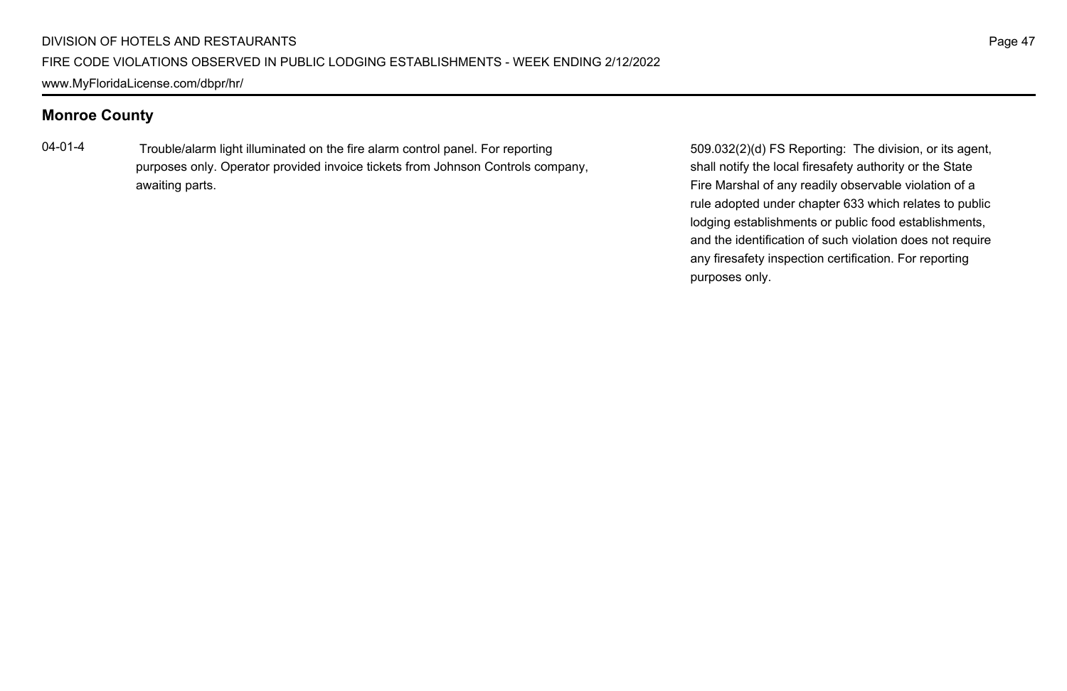### **Monroe County**

04-01-4 Trouble/alarm light illuminated on the fire alarm control panel. For reporting purposes only. Operator provided invoice tickets from Johnson Controls company, awaiting parts.

509.032(2)(d) FS Reporting: The division, or its agent, shall notify the local firesafety authority or the State Fire Marshal of any readily observable violation of a rule adopted under chapter 633 which relates to public lodging establishments or public food establishments, and the identification of such violation does not require any firesafety inspection certification. For reporting purposes only.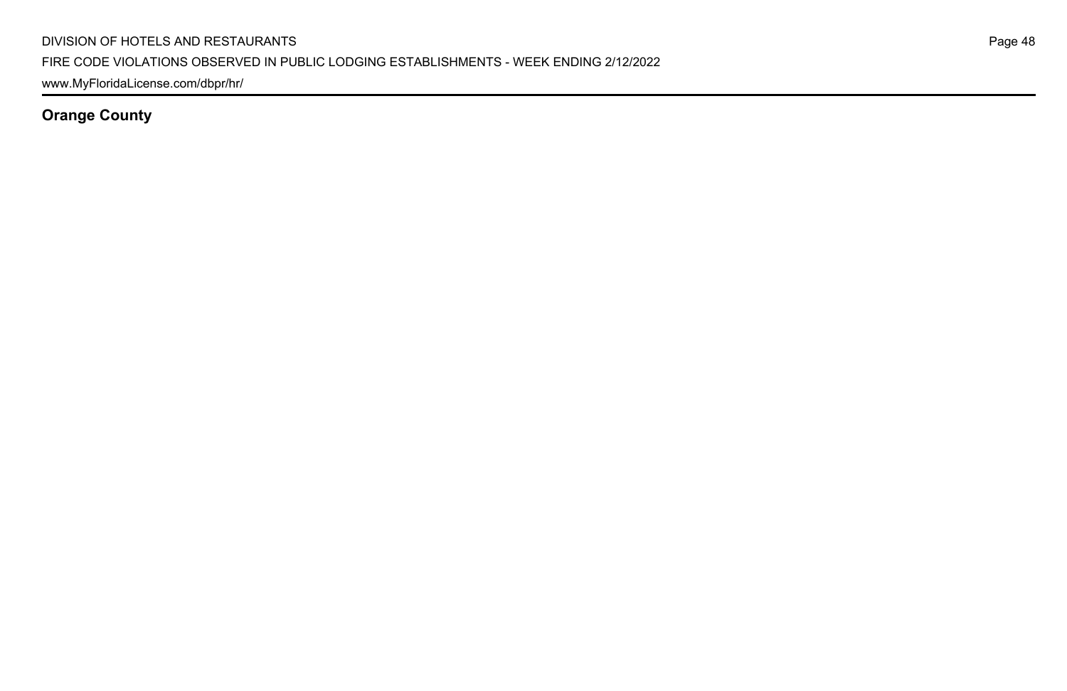www.MyFloridaLicense.com/dbpr/hr/

**Orange County**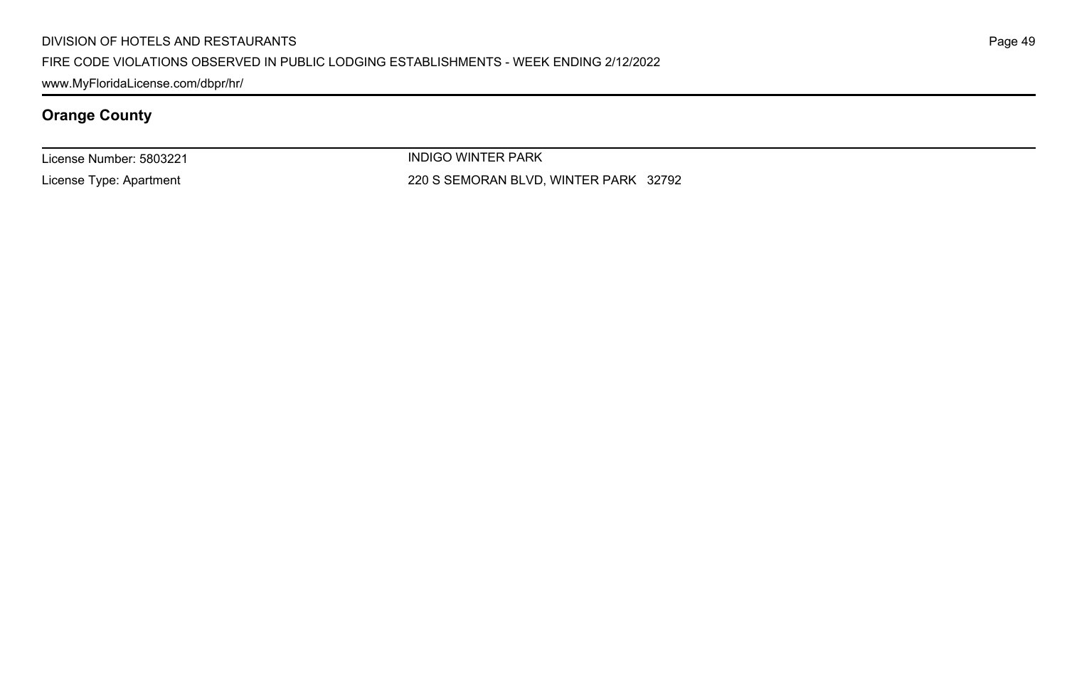#### DIVISION OF HOTELS AND RESTAURANTS

#### FIRE CODE VIOLATIONS OBSERVED IN PUBLIC LODGING ESTABLISHMENTS - WEEK ENDING 2/12/2022

www.MyFloridaLicense.com/dbpr/hr/

# **Orange County**

License Number: 5803221

License Type: Apartment

INDIGO WINTER PARK 220 S SEMORAN BLVD, WINTER PARK 32792 Page 49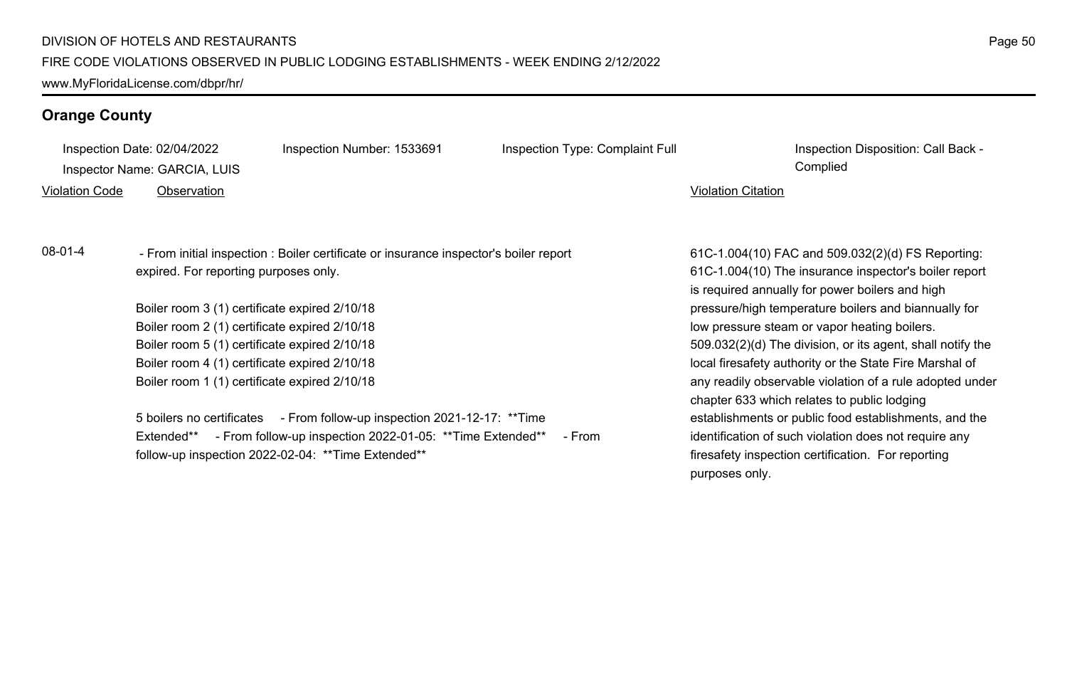### **Orange County**

| Inspection Date: 02/04/2022 |                                               | Inspection Number: 1533691                                                            | Inspection Type: Complaint Full |                           | Inspection Disposition: Call Back -                        |
|-----------------------------|-----------------------------------------------|---------------------------------------------------------------------------------------|---------------------------------|---------------------------|------------------------------------------------------------|
|                             | Inspector Name: GARCIA, LUIS                  |                                                                                       |                                 |                           | Complied                                                   |
| <b>Violation Code</b>       | Observation                                   |                                                                                       |                                 | <b>Violation Citation</b> |                                                            |
|                             |                                               |                                                                                       |                                 |                           |                                                            |
|                             |                                               |                                                                                       |                                 |                           |                                                            |
| $08-01-4$                   |                                               | - From initial inspection : Boiler certificate or insurance inspector's boiler report |                                 |                           | 61C-1.004(10) FAC and 509.032(2)(d) FS Reporting:          |
|                             | expired. For reporting purposes only.         |                                                                                       |                                 |                           | 61C-1.004(10) The insurance inspector's boiler report      |
|                             |                                               |                                                                                       |                                 |                           | is required annually for power boilers and high            |
|                             | Boiler room 3 (1) certificate expired 2/10/18 |                                                                                       |                                 |                           | pressure/high temperature boilers and biannually for       |
|                             | Boiler room 2 (1) certificate expired 2/10/18 |                                                                                       |                                 |                           | low pressure steam or vapor heating boilers.               |
|                             | Boiler room 5 (1) certificate expired 2/10/18 |                                                                                       |                                 |                           | 509.032(2)(d) The division, or its agent, shall notify the |

Boiler room 4 (1) certificate expired 2/10/18 Boiler room 1 (1) certificate expired 2/10/18

5 boilers no certificates - From follow-up inspection 2021-12-17: \*\*Time Extended\*\* - From follow-up inspection 2022-01-05: \*\*Time Extended\*\* - From follow-up inspection 2022-02-04: \*\*Time Extended\*\*

509.032(2)(d) The division, or its agent, shall notify the local firesafety authority or the State Fire Marshal of any readily observable violation of a rule adopted under chapter 633 which relates to public lodging establishments or public food establishments, and the identification of such violation does not require any firesafety inspection certification. For reporting purposes only.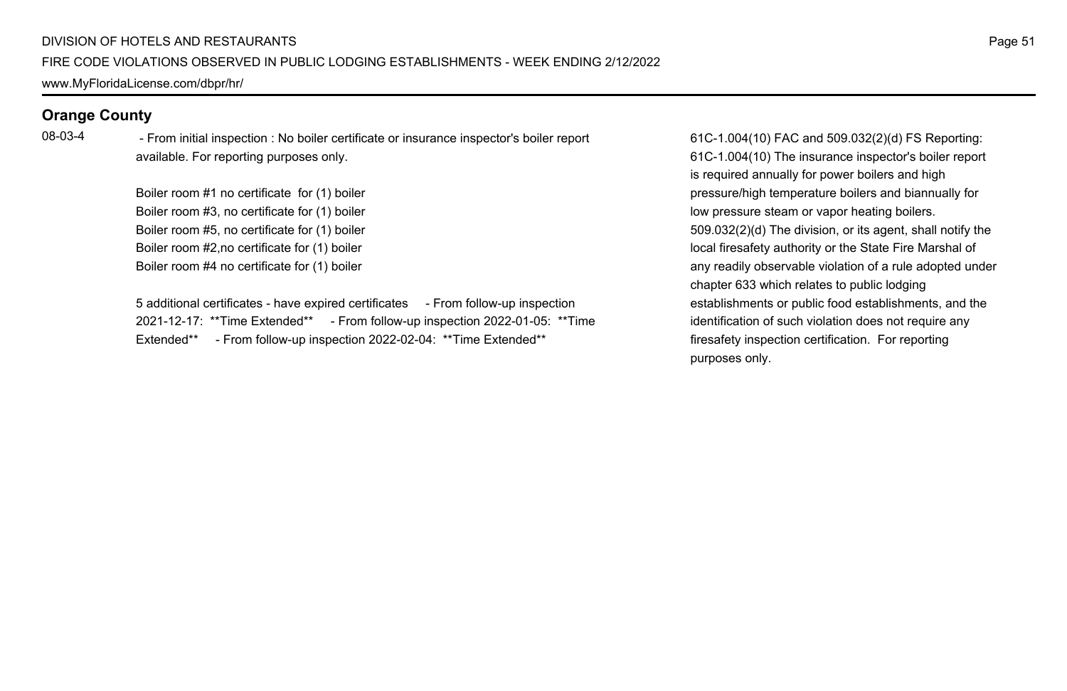### **Orange County**

08-03-4 - From initial inspection : No boiler certificate or insurance inspector's boiler report available. For reporting purposes only.

> Boiler room #1 no certificate for (1) boiler Boiler room #3, no certificate for (1) boiler Boiler room #5, no certificate for (1) boiler Boiler room #2,no certificate for (1) boiler Boiler room #4 no certificate for (1) boiler

5 additional certificates - have expired certificates - From follow-up inspection 2021-12-17: \*\*Time Extended\*\* - From follow-up inspection 2022-01-05: \*\*Time Extended\*\* - From follow-up inspection 2022-02-04: \*\* Time Extended\*\*

61C-1.004(10) FAC and 509.032(2)(d) FS Reporting: 61C-1.004(10) The insurance inspector's boiler report is required annually for power boilers and high pressure/high temperature boilers and biannually for low pressure steam or vapor heating boilers. 509.032(2)(d) The division, or its agent, shall notify the local firesafety authority or the State Fire Marshal of any readily observable violation of a rule adopted under chapter 633 which relates to public lodging establishments or public food establishments, and the identification of such violation does not require any firesafety inspection certification. For reporting purposes only.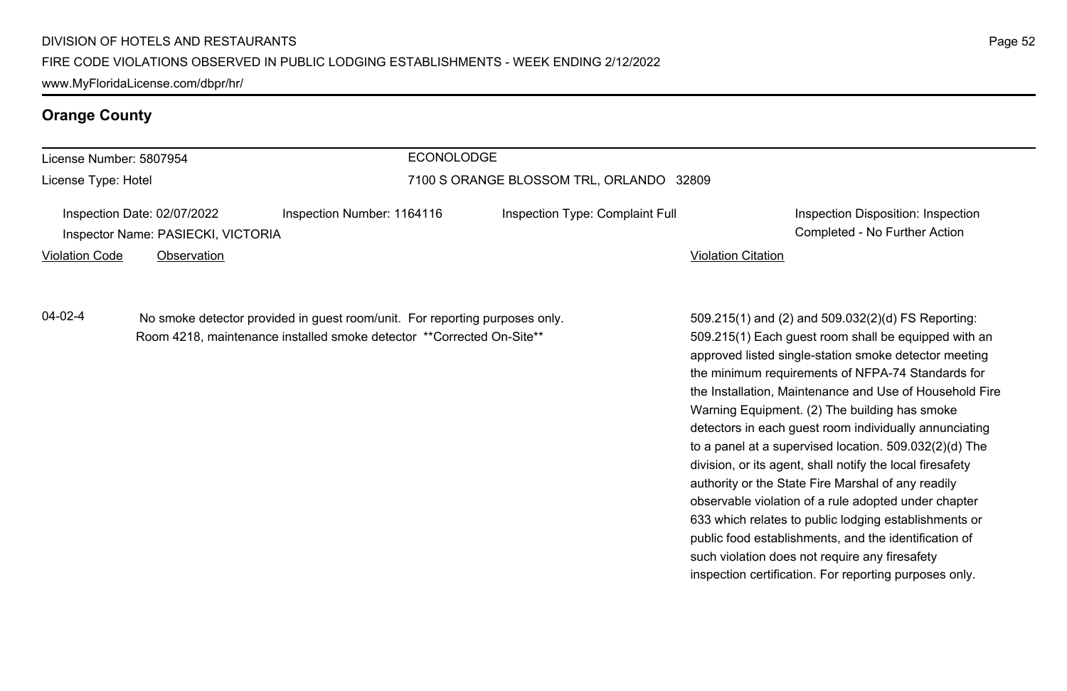#### **Orange County**

|  | License Number: 5807954 |  |
|--|-------------------------|--|
|  |                         |  |

License Type: Hotel

#### ECONOLODGE

#### 7100 S ORANGE BLOSSOM TRL, ORLANDO 32809

| Inspection Date: 02/07/2022        | Inspection No |
|------------------------------------|---------------|
| Inspector Name: PASIECKI, VICTORIA |               |

Inspection Date: 02/07/2022 Inspection Number: 1164116 Inspection Type: Complaint Full Inspection Disposition: Inspection Completed - No Further Action

Violation Code Observation Violation Citation

04-02-4 No smoke detector provided in guest room/unit. For reporting purposes only. Room 4218, maintenance installed smoke detector \*\*Corrected On-Site\*\*

509.215(1) and (2) and 509.032(2)(d) FS Reporting: 509.215(1) Each guest room shall be equipped with an approved listed single-station smoke detector meeting the minimum requirements of NFPA-74 Standards for the Installation, Maintenance and Use of Household Fire Warning Equipment. (2) The building has smoke detectors in each guest room individually annunciating to a panel at a supervised location. 509.032(2)(d) The division, or its agent, shall notify the local firesafety authority or the State Fire Marshal of any readily observable violation of a rule adopted under chapter 633 which relates to public lodging establishments or public food establishments, and the identification of such violation does not require any firesafety inspection certification. For reporting purposes only.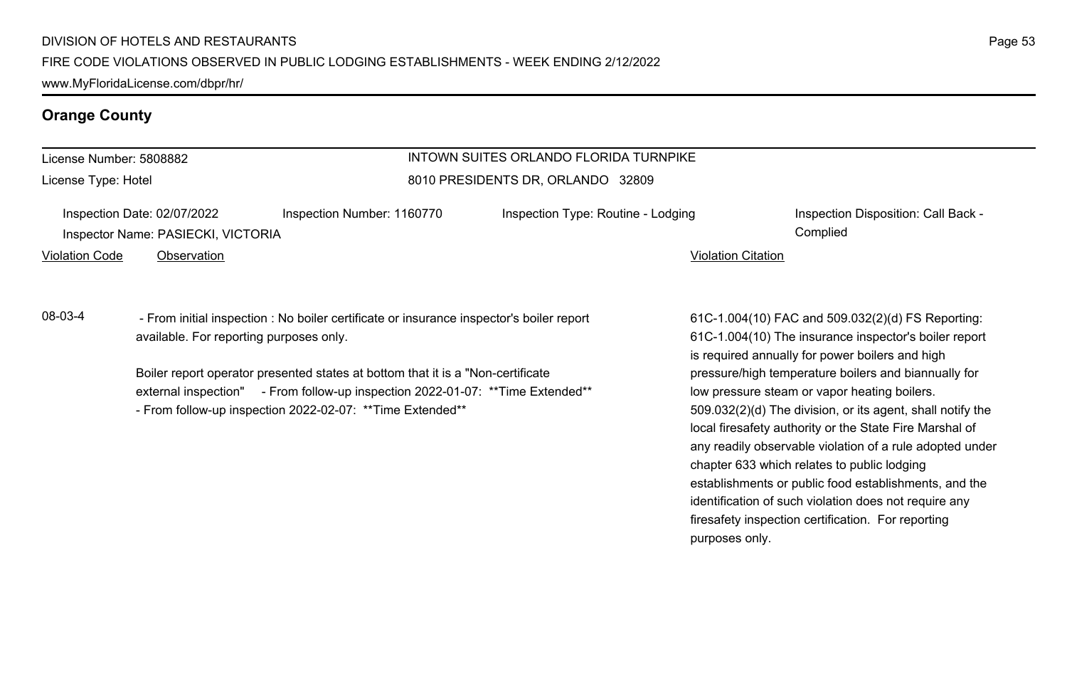### **Orange County**

#### License Number: 5808882

License Type: Hotel

### INTOWN SUITES ORLANDO FLORIDA TURNPIKE 8010 PRESIDENTS DR, ORLANDO 32809

| Inspection Date: 02/07/2022        | Inspection Number: 1160770 | Inspection Type: Routine - Lodging | Inspection |
|------------------------------------|----------------------------|------------------------------------|------------|
| Inspector Name: PASIECKI, VICTORIA |                            |                                    | Complied   |

Violation Code Observation Violation Citation

### 08-03-4 - From initial inspection : No boiler certificate or insurance inspector's boiler report available. For reporting purposes only.

Boiler report operator presented states at bottom that it is a "Non-certificate external inspection" - From follow-up inspection 2022-01-07: \*\* Time Extended\*\* - From follow-up inspection 2022-02-07: \*\*Time Extended\*\*

Inspection Disposition: Call Back - 1277 Inspection Disposition: Call Back -

61C-1.004(10) FAC and 509.032(2)(d) FS Reporting: 61C-1.004(10) The insurance inspector's boiler report is required annually for power boilers and high pressure/high temperature boilers and biannually for low pressure steam or vapor heating boilers. 509.032(2)(d) The division, or its agent, shall notify the local firesafety authority or the State Fire Marshal of any readily observable violation of a rule adopted under chapter 633 which relates to public lodging establishments or public food establishments, and the identification of such violation does not require any firesafety inspection certification. For reporting purposes only.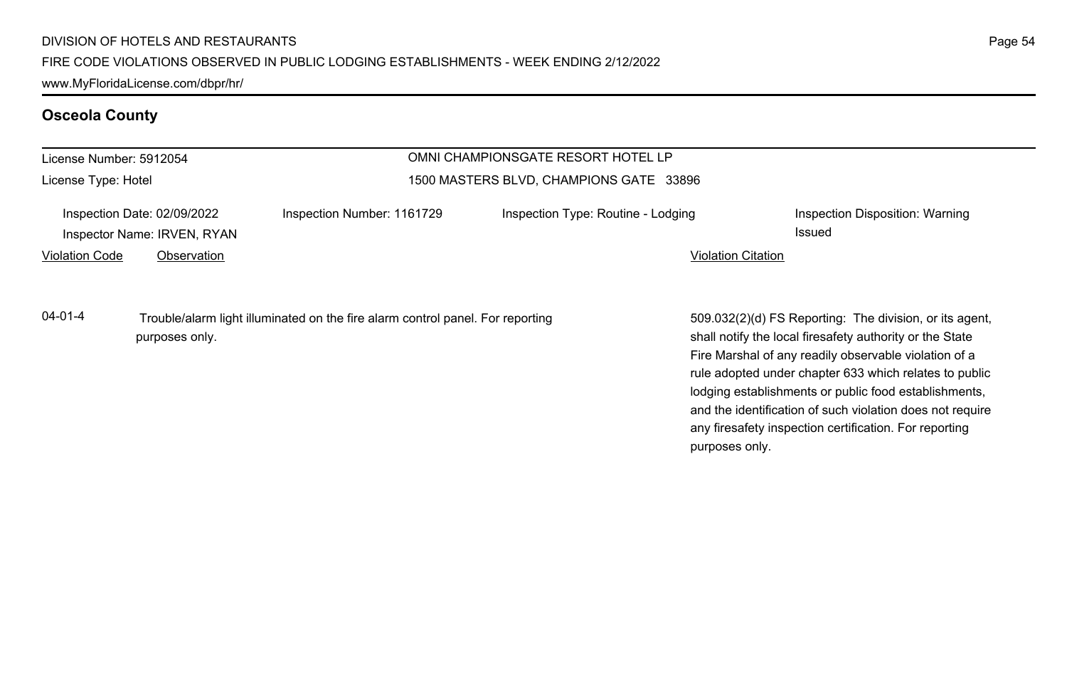www.MyFloridaLicense.com/dbpr/hr/

# **Osceola County**

| License Number: 5912054 |                                                                           |                                                                                | OMNI CHAMPIONSGATE RESORT HOTEL LP      |                                                                                                                                                                                                                                                                                                                                                                                                                                          |
|-------------------------|---------------------------------------------------------------------------|--------------------------------------------------------------------------------|-----------------------------------------|------------------------------------------------------------------------------------------------------------------------------------------------------------------------------------------------------------------------------------------------------------------------------------------------------------------------------------------------------------------------------------------------------------------------------------------|
| License Type: Hotel     |                                                                           |                                                                                | 1500 MASTERS BLVD, CHAMPIONS GATE 33896 |                                                                                                                                                                                                                                                                                                                                                                                                                                          |
| <b>Violation Code</b>   | Inspection Date: 02/09/2022<br>Inspector Name: IRVEN, RYAN<br>Observation | Inspection Number: 1161729                                                     | Inspection Type: Routine - Lodging      | Inspection Disposition: Warning<br>Issued<br><b>Violation Citation</b>                                                                                                                                                                                                                                                                                                                                                                   |
| $04 - 01 - 4$           | purposes only.                                                            | Trouble/alarm light illuminated on the fire alarm control panel. For reporting |                                         | 509.032(2)(d) FS Reporting: The division, or its agent,<br>shall notify the local firesafety authority or the State<br>Fire Marshal of any readily observable violation of a<br>rule adopted under chapter 633 which relates to public<br>lodging establishments or public food establishments,<br>and the identification of such violation does not require<br>any firesafety inspection certification. For reporting<br>purposes only. |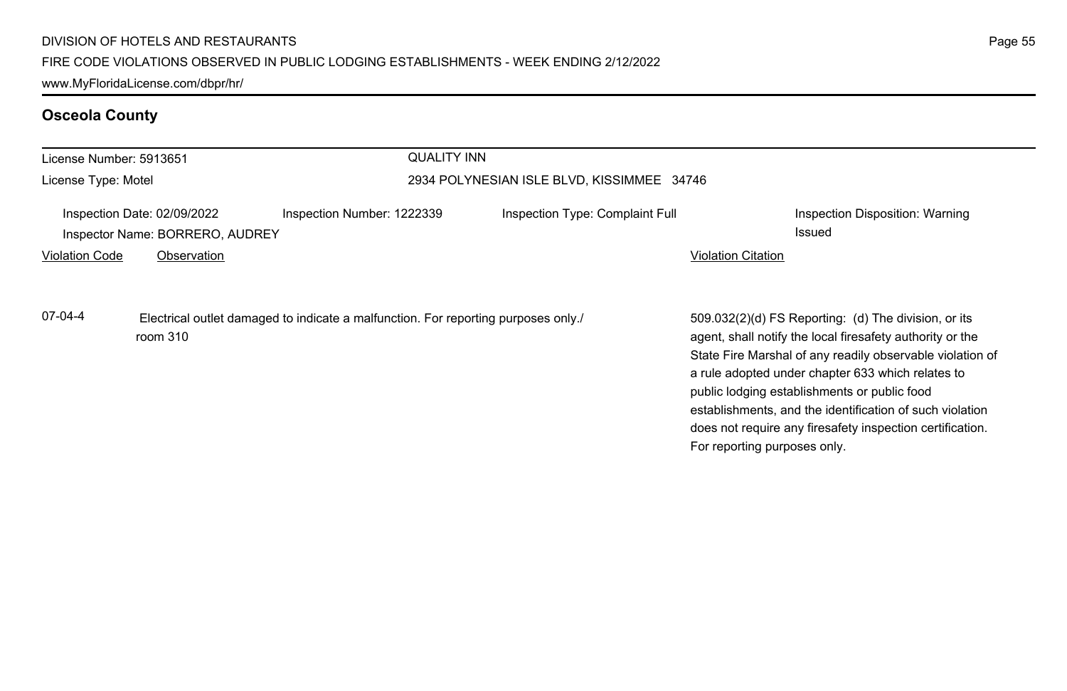# **Osceola County**

| License Number: 5913651 |                                                                               |                                                                                    | <b>QUALITY INN</b>                         |                              |                                                                                                                                                                                                                                                                                                                                                                                                              |
|-------------------------|-------------------------------------------------------------------------------|------------------------------------------------------------------------------------|--------------------------------------------|------------------------------|--------------------------------------------------------------------------------------------------------------------------------------------------------------------------------------------------------------------------------------------------------------------------------------------------------------------------------------------------------------------------------------------------------------|
| License Type: Motel     |                                                                               |                                                                                    | 2934 POLYNESIAN ISLE BLVD, KISSIMMEE 34746 |                              |                                                                                                                                                                                                                                                                                                                                                                                                              |
| <b>Violation Code</b>   | Inspection Date: 02/09/2022<br>Inspector Name: BORRERO, AUDREY<br>Observation | Inspection Number: 1222339                                                         | Inspection Type: Complaint Full            | <b>Violation Citation</b>    | Inspection Disposition: Warning<br><b>Issued</b>                                                                                                                                                                                                                                                                                                                                                             |
| 07-04-4                 | room $310$                                                                    | Electrical outlet damaged to indicate a malfunction. For reporting purposes only./ |                                            | For reporting purposes only. | 509.032(2)(d) FS Reporting: (d) The division, or its<br>agent, shall notify the local firesafety authority or the<br>State Fire Marshal of any readily observable violation of<br>a rule adopted under chapter 633 which relates to<br>public lodging establishments or public food<br>establishments, and the identification of such violation<br>does not require any firesafety inspection certification. |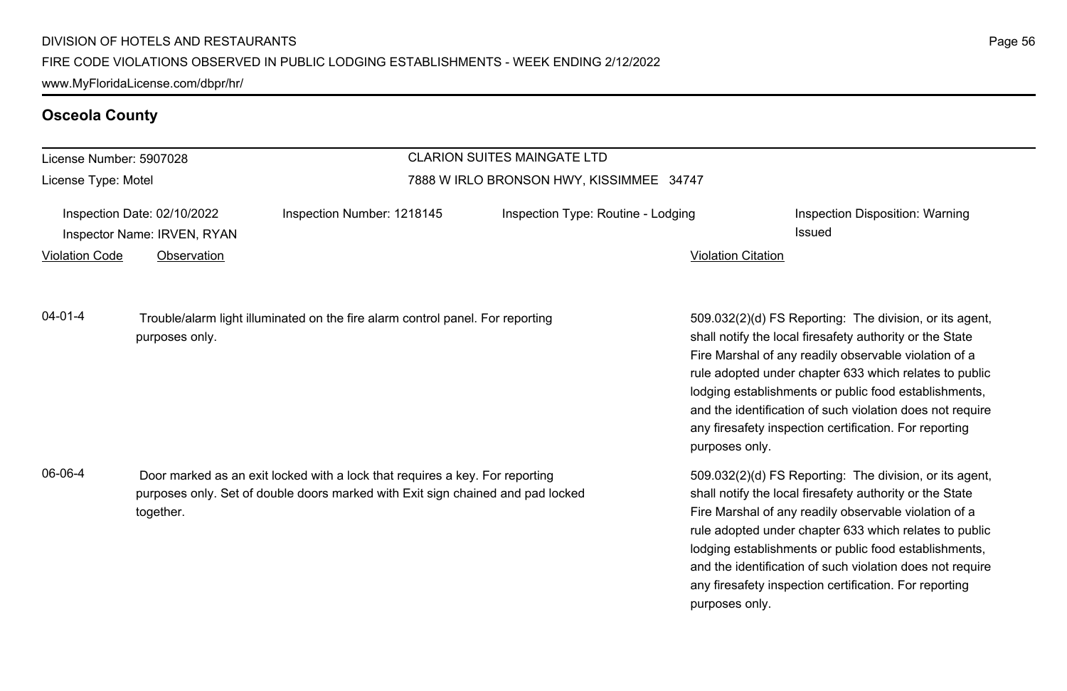### **Osceola County**

#### License Number: 5907028 License Type: Motel CLARION SUITES MAINGATE LTD 7888 W IRLO BRONSON HWY, KISSIMMEE 34747 Inspection Date: 02/10/2022 Inspection Number: 1218145 Inspection Type: Routine - Lodging Inspection Disposition: Warning Inspector Name: IRVEN, RYAN Issued Violation Code Observation Violation Citation 509.032(2)(d) FS Reporting: The division, or its agent, shall notify the local firesafety authority or the State Fire Marshal of any readily observable violation of a rule adopted under chapter 633 which relates to public lodging establishments or public food establishments, and the identification of such violation does not require any firesafety inspection certification. For reporting purposes only. 04-01-4 Trouble/alarm light illuminated on the fire alarm control panel. For reporting purposes only. 509.032(2)(d) FS Reporting: The division, or its agent, shall notify the local firesafety authority or the State Fire Marshal of any readily observable violation of a rule adopted under chapter 633 which relates to public lodging establishments or public food establishments, and the identification of such violation does not require 06-06-4 Door marked as an exit locked with a lock that requires a key. For reporting purposes only. Set of double doors marked with Exit sign chained and pad locked together.

any firesafety inspection certification. For reporting

purposes only.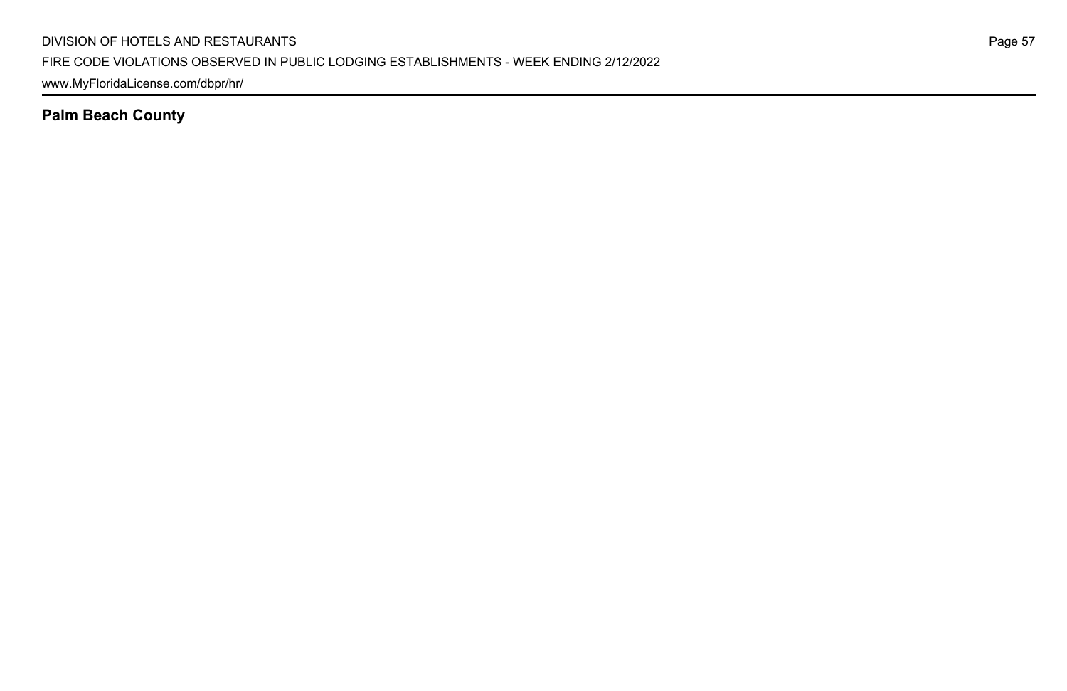**Palm Beach County**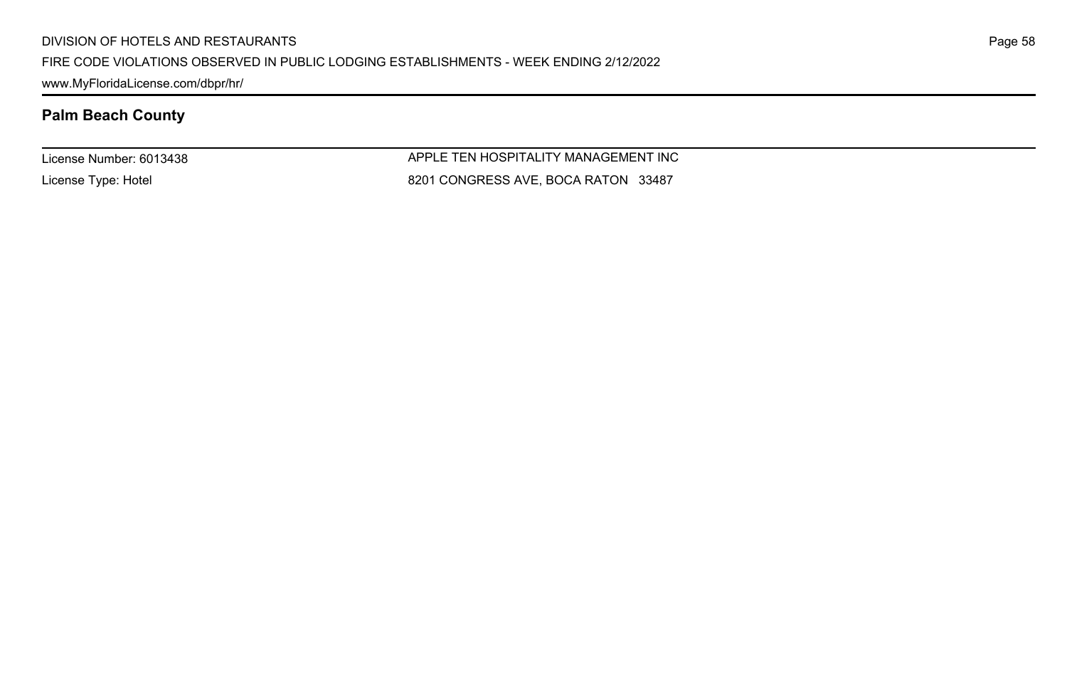www.MyFloridaLicense.com/dbpr/hr/

# **Palm Beach County**

License Number: 6013438

License Type: Hotel

APPLE TEN HOSPITALITY MANAGEMENT INC 8201 CONGRESS AVE, BOCA RATON 33487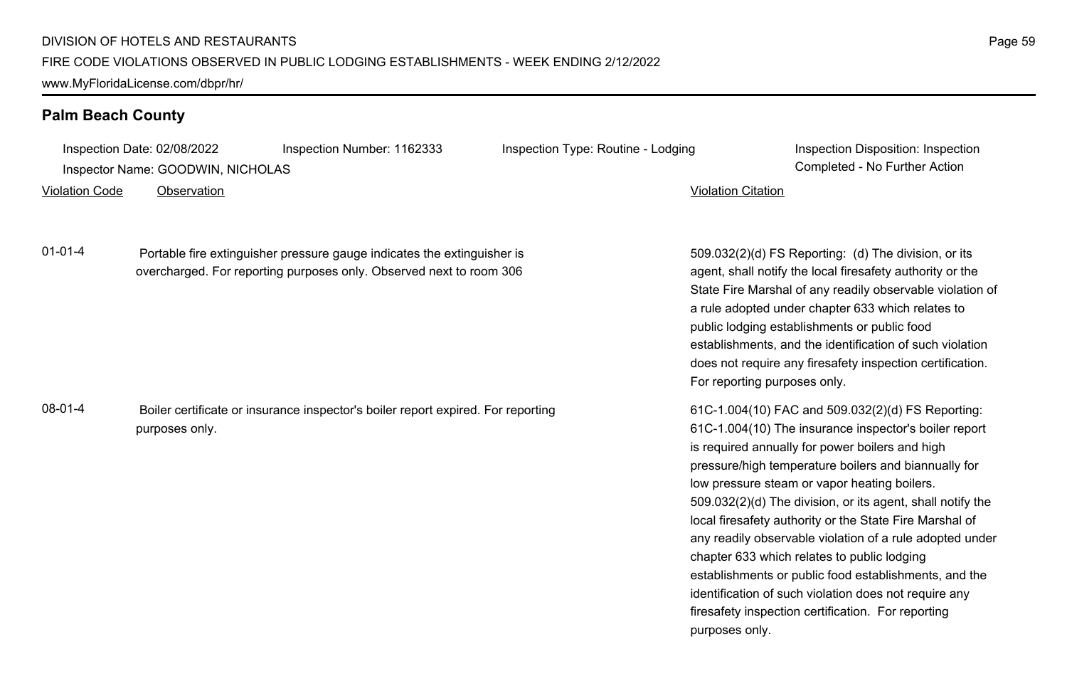### **Palm Beach County**

Inspection Date: 02/08/2022 Inspection Number: 1162333 Inspection Type: Routine - Lodging Inspection Disposition: Inspection

Inspector Name: GOODWIN, NICHOLAS Completed - No Further Action

Violation Code Observation Violation Citation

01-01-4 Portable fire extinguisher pressure gauge indicates the extinguisher is overcharged. For reporting purposes only. Observed next to room 306

08-01-4 Boiler certificate or insurance inspector's boiler report expired. For reporting purposes only.

509.032(2)(d) FS Reporting: (d) The division, or its agent, shall notify the local firesafety authority or the State Fire Marshal of any readily observable violation of a rule adopted under chapter 633 which relates to public lodging establishments or public food establishments, and the identification of such violation does not require any firesafety inspection certification. For reporting purposes only.

61C-1.004(10) FAC and 509.032(2)(d) FS Reporting: 61C-1.004(10) The insurance inspector's boiler report is required annually for power boilers and high pressure/high temperature boilers and biannually for low pressure steam or vapor heating boilers. 509.032(2)(d) The division, or its agent, shall notify the local firesafety authority or the State Fire Marshal of any readily observable violation of a rule adopted under chapter 633 which relates to public lodging establishments or public food establishments, and the identification of such violation does not require any firesafety inspection certification. For reporting purposes only.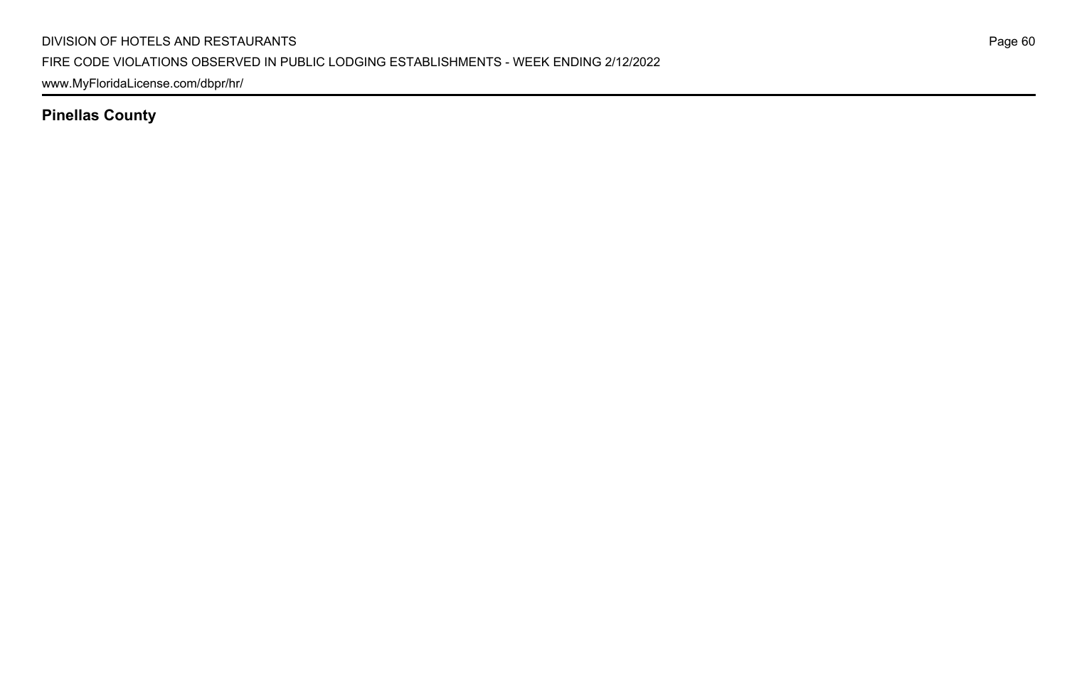www.MyFloridaLicense.com/dbpr/hr/

**Pinellas County**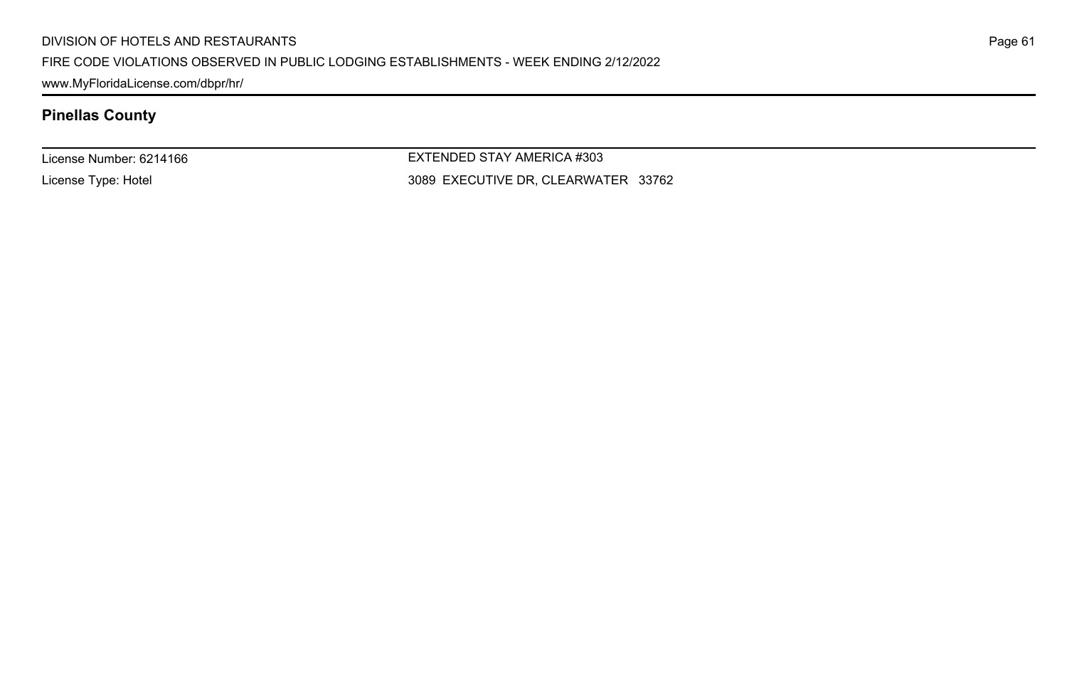#### DIVISION OF HOTELS AND RESTAURANTS

#### FIRE CODE VIOLATIONS OBSERVED IN PUBLIC LODGING ESTABLISHMENTS - WEEK ENDING 2/12/2022

www.MyFloridaLicense.com/dbpr/hr/

# **Pinellas County**

License Number: 6214166

License Type: Hotel

EXTENDED STAY AMERICA #303 3089 EXECUTIVE DR, CLEARWATER 33762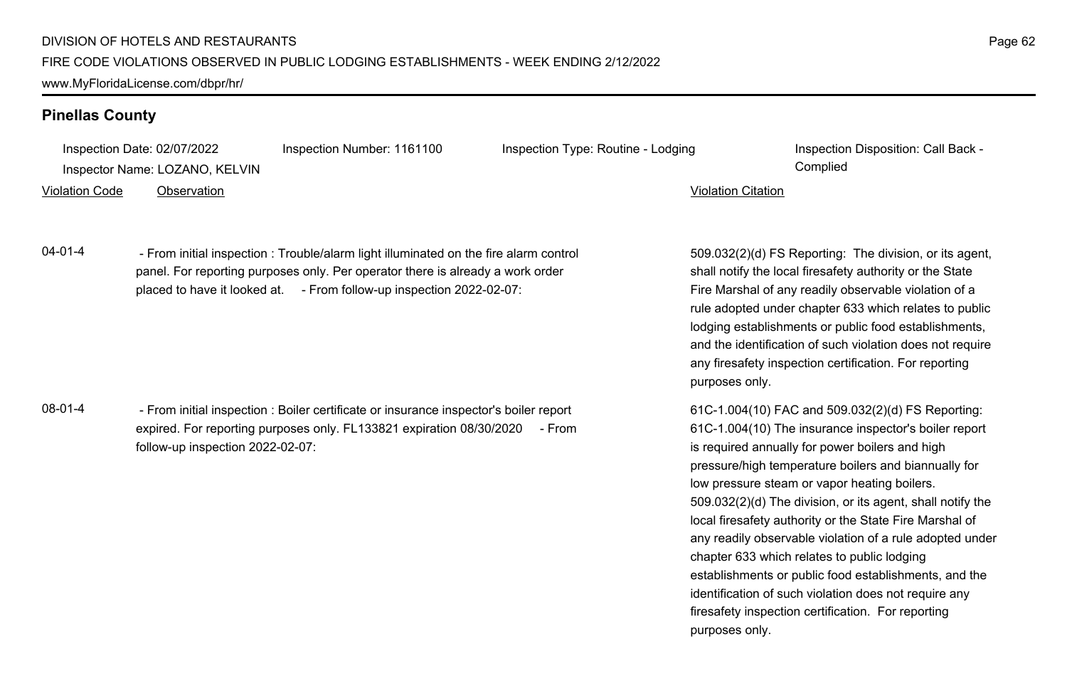### **Pinellas County**

Inspection Date: 02/07/2022 Inspection Number: 1161100 Inspection Type: Routine - Lodging Inspection Disposition: Call Back -

Inspector Name: LOZANO, KELVIN Complied

#### Violation Code Observation Violation Citation

04-01-4 - From initial inspection : Trouble/alarm light illuminated on the fire alarm control panel. For reporting purposes only. Per operator there is already a work order placed to have it looked at. - From follow-up inspection 2022-02-07:

08-01-4 - From initial inspection : Boiler certificate or insurance inspector's boiler report expired. For reporting purposes only. FL133821 expiration 08/30/2020 - From follow-up inspection 2022-02-07:

509.032(2)(d) FS Reporting: The division, or its agent, shall notify the local firesafety authority or the State Fire Marshal of any readily observable violation of a rule adopted under chapter 633 which relates to public lodging establishments or public food establishments, and the identification of such violation does not require any firesafety inspection certification. For reporting purposes only.

61C-1.004(10) FAC and 509.032(2)(d) FS Reporting: 61C-1.004(10) The insurance inspector's boiler report is required annually for power boilers and high pressure/high temperature boilers and biannually for low pressure steam or vapor heating boilers. 509.032(2)(d) The division, or its agent, shall notify the local firesafety authority or the State Fire Marshal of any readily observable violation of a rule adopted under chapter 633 which relates to public lodging establishments or public food establishments, and the identification of such violation does not require any firesafety inspection certification. For reporting purposes only.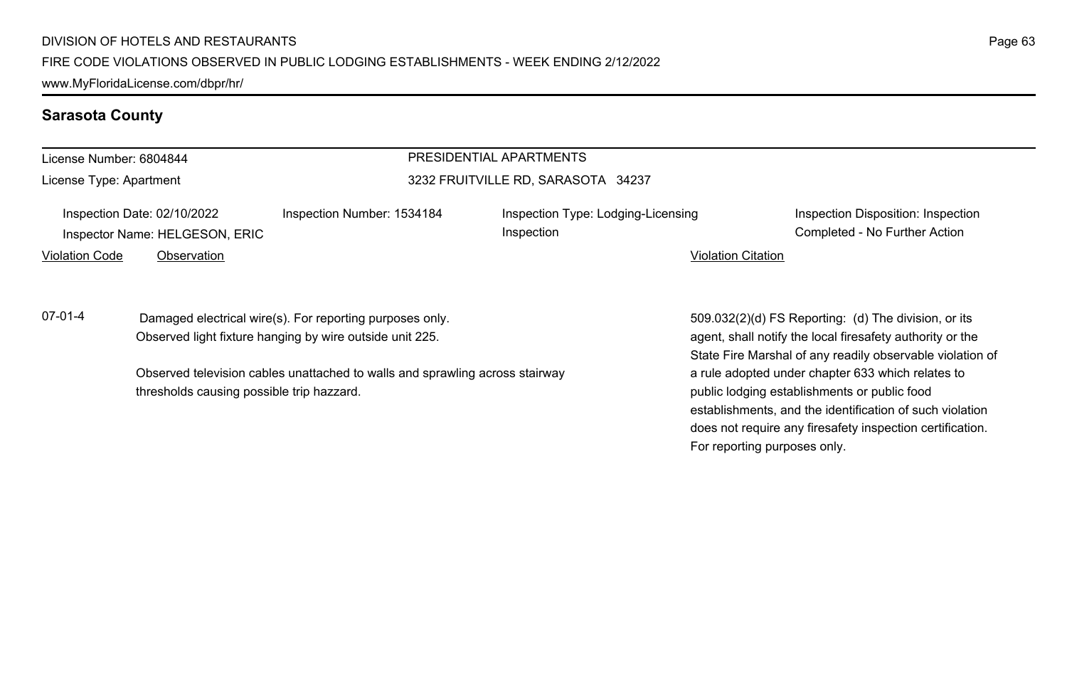#### **Sarasota County**

### License Number: 6804844

License Type: Apartment

# PRESIDENTIAL APARTMENTS

#### 3232 FRUITVILLE RD, SARASOTA 34237

Inspection

Inspection Date: 02/10/2022 Inspection Number: 1534184 Inspection Type: Lodging-Licensing Inspector Name: HELGESON, ERIC Completed - No Further Action

Violation Code Observation Violation Citation

07-01-4 Damaged electrical wire(s). For reporting purposes only. Observed light fixture hanging by wire outside unit 225.

> Observed television cables unattached to walls and sprawling across stairway thresholds causing possible trip hazzard.

Inspection Disposition: Inspection

509.032(2)(d) FS Reporting: (d) The division, or its agent, shall notify the local firesafety authority or the State Fire Marshal of any readily observable violation of a rule adopted under chapter 633 which relates to public lodging establishments or public food establishments, and the identification of such violation does not require any firesafety inspection certification. For reporting purposes only.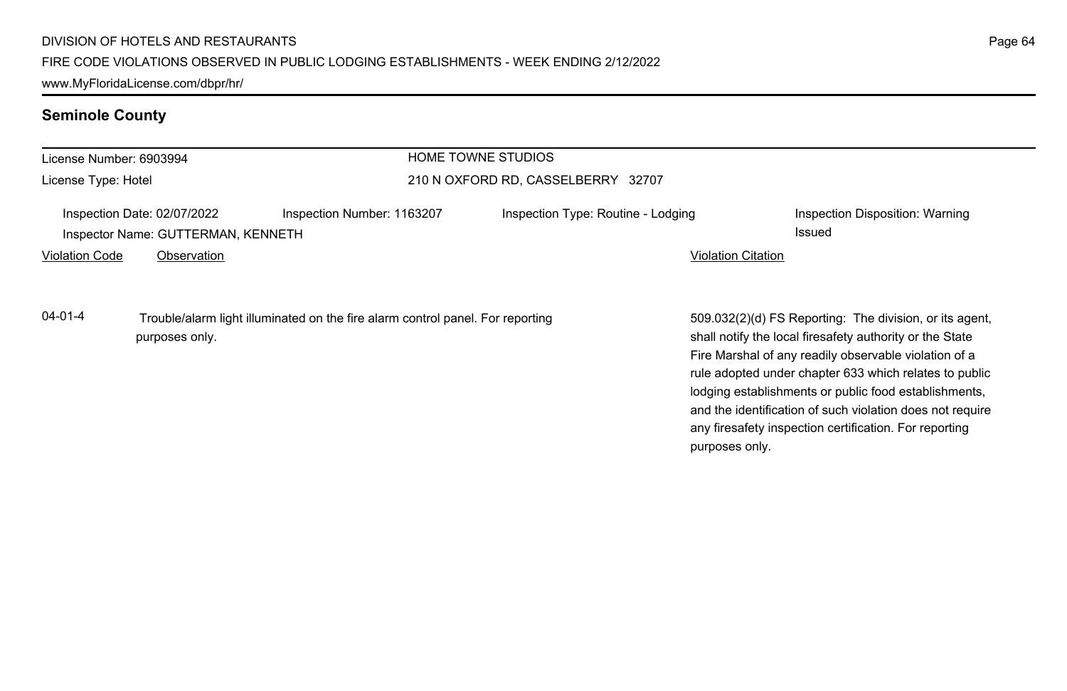www.MyFloridaLicense.com/dbpr/hr/

# **Seminole County**

| HOME TOWNE STUDIOS<br>License Number: 6903994 |                                                                   |                                                                                |                                    |                           |                                                                                                                                                                                                                                                                                                 |
|-----------------------------------------------|-------------------------------------------------------------------|--------------------------------------------------------------------------------|------------------------------------|---------------------------|-------------------------------------------------------------------------------------------------------------------------------------------------------------------------------------------------------------------------------------------------------------------------------------------------|
| License Type: Hotel                           |                                                                   |                                                                                | 210 N OXFORD RD, CASSELBERRY 32707 |                           |                                                                                                                                                                                                                                                                                                 |
|                                               | Inspection Date: 02/07/2022<br>Inspector Name: GUTTERMAN, KENNETH | Inspection Number: 1163207                                                     | Inspection Type: Routine - Lodging |                           | Inspection Disposition: Warning<br>Issued                                                                                                                                                                                                                                                       |
| <b>Violation Code</b>                         | Observation                                                       |                                                                                |                                    | <b>Violation Citation</b> |                                                                                                                                                                                                                                                                                                 |
| $04 - 01 - 4$                                 | purposes only.                                                    | Trouble/alarm light illuminated on the fire alarm control panel. For reporting |                                    |                           | 509.032(2)(d) FS Reporting: The division, or its agent,<br>shall notify the local firesafety authority or the State<br>Fire Marshal of any readily observable violation of a<br>rule adopted under chapter 633 which relates to public<br>lodging establishments or public food establishments, |

and the identification of such violation does not require any firesafety inspection certification. For reporting

purposes only.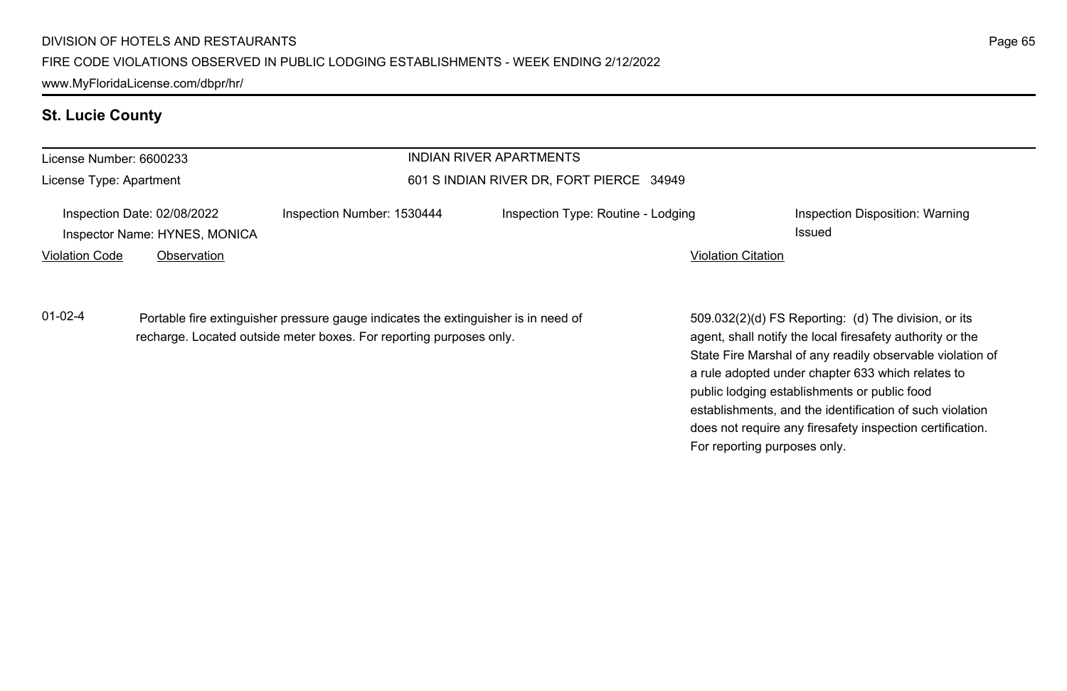# **St. Lucie County**

| License Number: 6600233 |                                                                                                                                                           |                                          | <b>INDIAN RIVER APARTMENTS</b>     |                                                                                                                                                                                                                                                                                                                                                                                                                                              |
|-------------------------|-----------------------------------------------------------------------------------------------------------------------------------------------------------|------------------------------------------|------------------------------------|----------------------------------------------------------------------------------------------------------------------------------------------------------------------------------------------------------------------------------------------------------------------------------------------------------------------------------------------------------------------------------------------------------------------------------------------|
| License Type: Apartment |                                                                                                                                                           | 601 S INDIAN RIVER DR, FORT PIERCE 34949 |                                    |                                                                                                                                                                                                                                                                                                                                                                                                                                              |
|                         | Inspection Date: 02/08/2022<br>Inspector Name: HYNES, MONICA                                                                                              | Inspection Number: 1530444               | Inspection Type: Routine - Lodging | Inspection Disposition: Warning<br><b>Issued</b>                                                                                                                                                                                                                                                                                                                                                                                             |
| <b>Violation Code</b>   | Observation                                                                                                                                               |                                          |                                    | <b>Violation Citation</b>                                                                                                                                                                                                                                                                                                                                                                                                                    |
| $01 - 02 - 4$           | Portable fire extinguisher pressure gauge indicates the extinguisher is in need of<br>recharge. Located outside meter boxes. For reporting purposes only. |                                          |                                    | 509.032(2)(d) FS Reporting: (d) The division, or its<br>agent, shall notify the local firesafety authority or the<br>State Fire Marshal of any readily observable violation of<br>a rule adopted under chapter 633 which relates to<br>public lodging establishments or public food<br>establishments, and the identification of such violation<br>does not require any firesafety inspection certification.<br>For reporting purposes only. |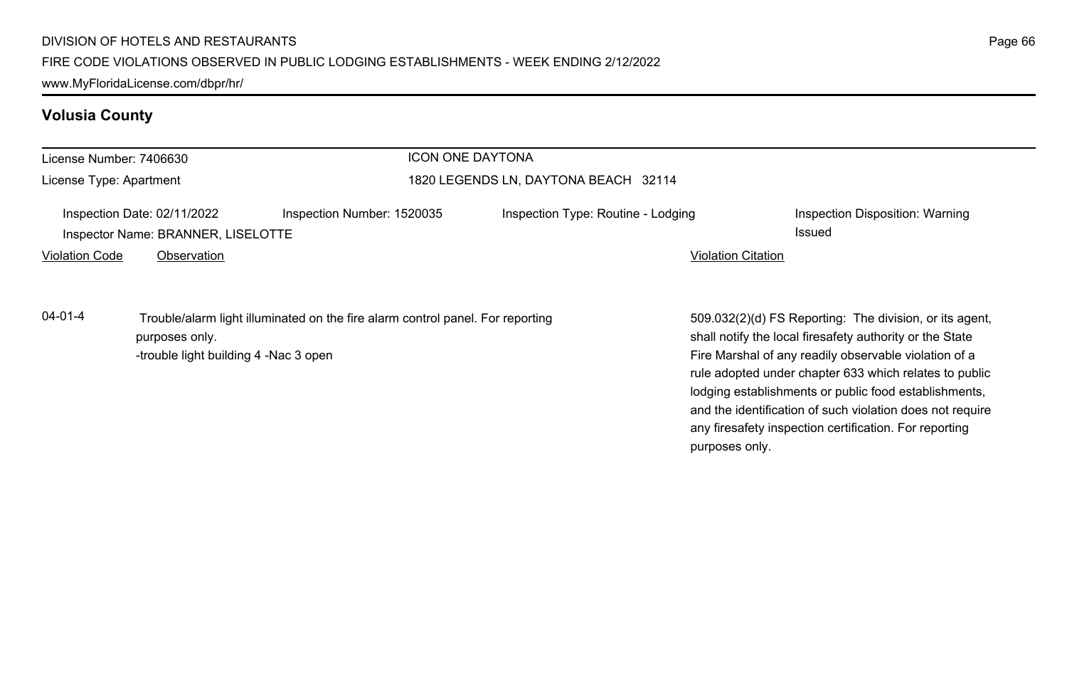# **Volusia County**

| License Number: 7406630 |                                                                   | <b>ICON ONE DAYTONA</b>                                                        |                                    |                           |                                                                                                                                                                              |
|-------------------------|-------------------------------------------------------------------|--------------------------------------------------------------------------------|------------------------------------|---------------------------|------------------------------------------------------------------------------------------------------------------------------------------------------------------------------|
| License Type: Apartment |                                                                   | 1820 LEGENDS LN, DAYTONA BEACH 32114                                           |                                    |                           |                                                                                                                                                                              |
|                         | Inspection Date: 02/11/2022<br>Inspector Name: BRANNER, LISELOTTE | Inspection Number: 1520035                                                     | Inspection Type: Routine - Lodging |                           | Inspection Disposition: Warning<br>Issued                                                                                                                                    |
| <b>Violation Code</b>   | Observation                                                       |                                                                                |                                    | <b>Violation Citation</b> |                                                                                                                                                                              |
| $04 - 01 - 4$           | purposes only.<br>-trouble light building 4 -Nac 3 open           | Trouble/alarm light illuminated on the fire alarm control panel. For reporting |                                    |                           | 509.032(2)(d) FS Reporting: The division, or its agent,<br>shall notify the local firesafety authority or the State<br>Fire Marshal of any readily observable violation of a |
|                         |                                                                   |                                                                                |                                    |                           | rule adopted under chapter 633 which relates to public<br>lodging establishments or public food establishments,                                                              |

and the identification of such violation does not require any firesafety inspection certification. For reporting

purposes only.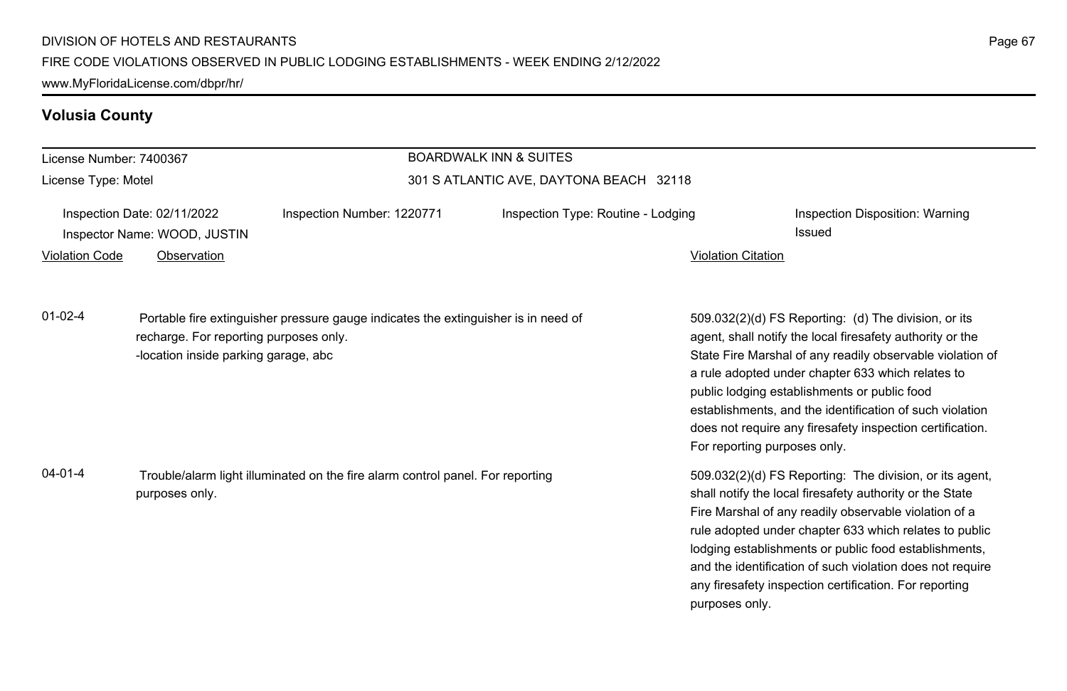# **Volusia County**

| License Number: 7400367                                     |                                                                                                  |                                                                                    | <b>BOARDWALK INN &amp; SUITES</b>  |                                                                                                                                                                                                                                                                                                                                                                                                                        |                                                                                                                                                                                                                                                                                                                                                                                                              |
|-------------------------------------------------------------|--------------------------------------------------------------------------------------------------|------------------------------------------------------------------------------------|------------------------------------|------------------------------------------------------------------------------------------------------------------------------------------------------------------------------------------------------------------------------------------------------------------------------------------------------------------------------------------------------------------------------------------------------------------------|--------------------------------------------------------------------------------------------------------------------------------------------------------------------------------------------------------------------------------------------------------------------------------------------------------------------------------------------------------------------------------------------------------------|
| License Type: Motel                                         |                                                                                                  | 301 S ATLANTIC AVE, DAYTONA BEACH 32118                                            |                                    |                                                                                                                                                                                                                                                                                                                                                                                                                        |                                                                                                                                                                                                                                                                                                                                                                                                              |
| Inspection Date: 02/11/2022<br>Inspector Name: WOOD, JUSTIN |                                                                                                  | Inspection Number: 1220771                                                         | Inspection Type: Routine - Lodging |                                                                                                                                                                                                                                                                                                                                                                                                                        | Inspection Disposition: Warning<br><b>Issued</b>                                                                                                                                                                                                                                                                                                                                                             |
| <b>Violation Code</b>                                       | Observation                                                                                      |                                                                                    |                                    | <b>Violation Citation</b>                                                                                                                                                                                                                                                                                                                                                                                              |                                                                                                                                                                                                                                                                                                                                                                                                              |
| $01 - 02 - 4$                                               | recharge. For reporting purposes only.<br>-location inside parking garage, abc                   | Portable fire extinguisher pressure gauge indicates the extinguisher is in need of |                                    | For reporting purposes only.                                                                                                                                                                                                                                                                                                                                                                                           | 509.032(2)(d) FS Reporting: (d) The division, or its<br>agent, shall notify the local firesafety authority or the<br>State Fire Marshal of any readily observable violation of<br>a rule adopted under chapter 633 which relates to<br>public lodging establishments or public food<br>establishments, and the identification of such violation<br>does not require any firesafety inspection certification. |
| $04 - 01 - 4$                                               | Trouble/alarm light illuminated on the fire alarm control panel. For reporting<br>purposes only. |                                                                                    | purposes only.                     | 509.032(2)(d) FS Reporting: The division, or its agent,<br>shall notify the local firesafety authority or the State<br>Fire Marshal of any readily observable violation of a<br>rule adopted under chapter 633 which relates to public<br>lodging establishments or public food establishments,<br>and the identification of such violation does not require<br>any firesafety inspection certification. For reporting |                                                                                                                                                                                                                                                                                                                                                                                                              |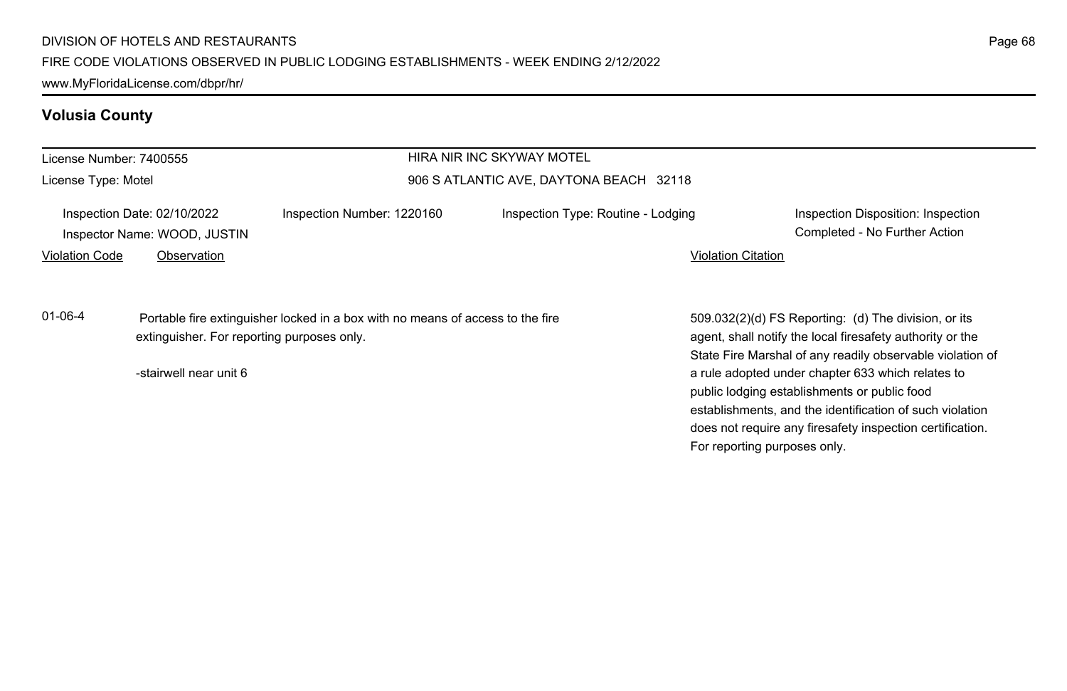# **Volusia County**

| License Number: 7400555                                     |                        |                                                                                                                              | HIRA NIR INC SKYWAY MOTEL          |                                                                                                                                                                                                                            |
|-------------------------------------------------------------|------------------------|------------------------------------------------------------------------------------------------------------------------------|------------------------------------|----------------------------------------------------------------------------------------------------------------------------------------------------------------------------------------------------------------------------|
| License Type: Motel                                         |                        | 906 S ATLANTIC AVE, DAYTONA BEACH 32118                                                                                      |                                    |                                                                                                                                                                                                                            |
| Inspection Date: 02/10/2022<br>Inspector Name: WOOD, JUSTIN |                        | Inspection Number: 1220160                                                                                                   | Inspection Type: Routine - Lodging | Inspection Disposition: Inspection<br>Completed - No Further Action                                                                                                                                                        |
| <b>Violation Code</b>                                       | Observation            |                                                                                                                              |                                    | <b>Violation Citation</b>                                                                                                                                                                                                  |
| $01 - 06 - 4$                                               |                        | Portable fire extinguisher locked in a box with no means of access to the fire<br>extinguisher. For reporting purposes only. |                                    | 509.032(2)(d) FS Reporting: (d) The division, or its<br>agent, shall notify the local firesafety authority or the                                                                                                          |
|                                                             | -stairwell near unit 6 |                                                                                                                              |                                    | State Fire Marshal of any readily observable violation of<br>a rule adopted under chapter 633 which relates to<br>public lodging establishments or public food<br>establishments, and the identification of such violation |
|                                                             |                        |                                                                                                                              |                                    | does not require any firesafety inspection certification.                                                                                                                                                                  |

For reporting purposes only.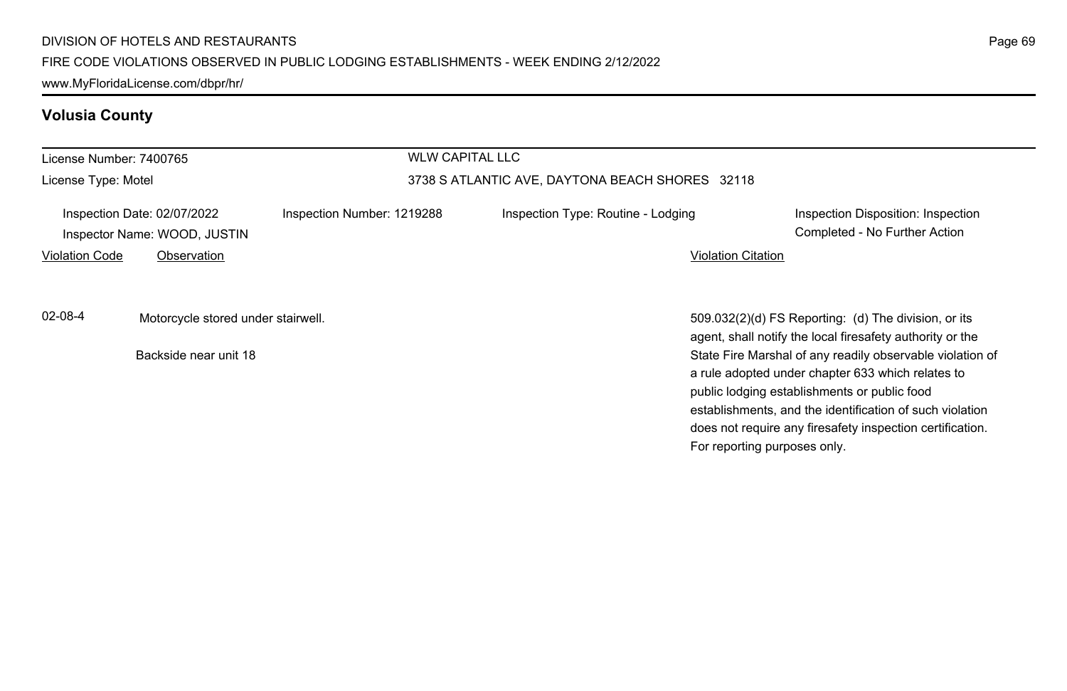# **Volusia County**

| License Number: 7400765 |                                                                            |                            | <b>WLW CAPITAL LLC</b>                          |                                                                                                                                                                                                                                                                                                                                                                                                                                              |  |  |  |
|-------------------------|----------------------------------------------------------------------------|----------------------------|-------------------------------------------------|----------------------------------------------------------------------------------------------------------------------------------------------------------------------------------------------------------------------------------------------------------------------------------------------------------------------------------------------------------------------------------------------------------------------------------------------|--|--|--|
| License Type: Motel     |                                                                            |                            | 3738 S ATLANTIC AVE, DAYTONA BEACH SHORES 32118 |                                                                                                                                                                                                                                                                                                                                                                                                                                              |  |  |  |
| <b>Violation Code</b>   | Inspection Date: 02/07/2022<br>Inspector Name: WOOD, JUSTIN<br>Observation | Inspection Number: 1219288 | Inspection Type: Routine - Lodging              | Inspection Disposition: Inspection<br>Completed - No Further Action<br><b>Violation Citation</b>                                                                                                                                                                                                                                                                                                                                             |  |  |  |
| 02-08-4                 | Motorcycle stored under stairwell.<br>Backside near unit 18                |                            |                                                 | 509.032(2)(d) FS Reporting: (d) The division, or its<br>agent, shall notify the local firesafety authority or the<br>State Fire Marshal of any readily observable violation of<br>a rule adopted under chapter 633 which relates to<br>public lodging establishments or public food<br>establishments, and the identification of such violation<br>does not require any firesafety inspection certification.<br>For reporting purposes only. |  |  |  |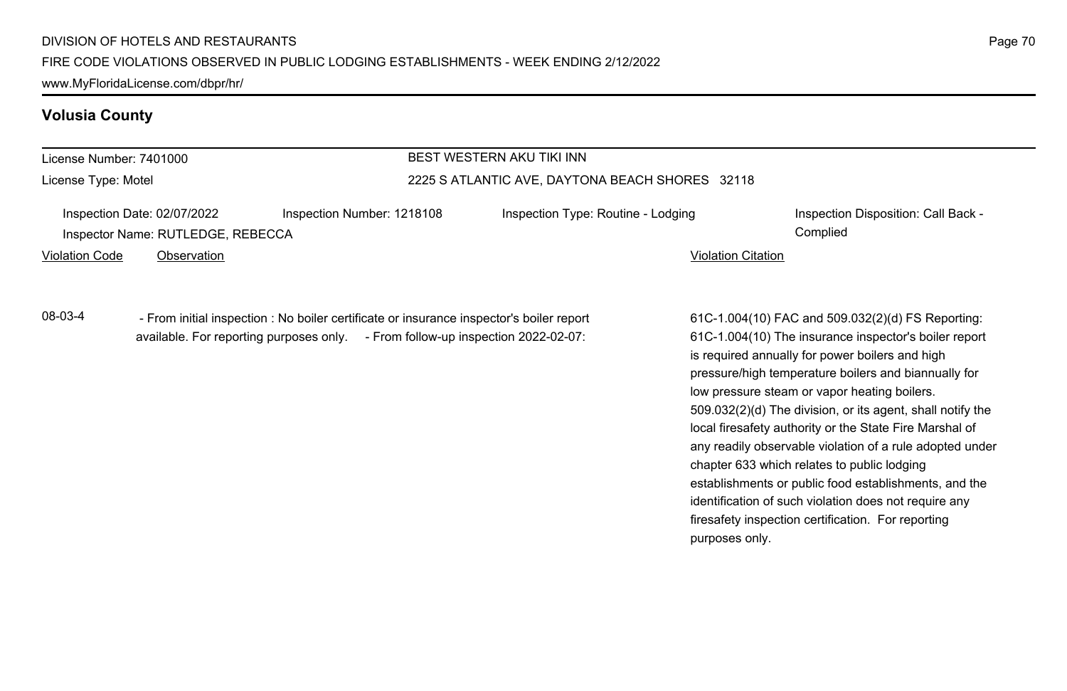www.MyFloridaLicense.com/dbpr/hr/

### **Volusia County**

| License Number: 7401000<br>License Type: Motel |                                         |  |                                                 | BEST WESTERN AKU TIKI INN                                                                |                           |                                                       |  |
|------------------------------------------------|-----------------------------------------|--|-------------------------------------------------|------------------------------------------------------------------------------------------|---------------------------|-------------------------------------------------------|--|
|                                                |                                         |  | 2225 S ATLANTIC AVE, DAYTONA BEACH SHORES 32118 |                                                                                          |                           |                                                       |  |
|                                                | Inspection Date: 02/07/2022             |  | Inspection Number: 1218108                      | Inspection Type: Routine - Lodging                                                       |                           | Inspection Disposition: Call Back -                   |  |
|                                                | Inspector Name: RUTLEDGE, REBECCA       |  |                                                 |                                                                                          |                           | Complied                                              |  |
| Violation Code                                 | Observation                             |  |                                                 |                                                                                          | <b>Violation Citation</b> |                                                       |  |
| 08-03-4                                        |                                         |  |                                                 | - From initial inspection : No boiler certificate or insurance inspector's boiler report |                           | 61C-1.004(10) FAC and 509.032(2)(d) FS Reporting:     |  |
|                                                | available. For reporting purposes only. |  |                                                 | - From follow-up inspection 2022-02-07:                                                  |                           | 61C-1.004(10) The insurance inspector's boiler report |  |

61C-1.004(10) The insurance inspector's boiler report is required annually for power boilers and high pressure/high temperature boilers and biannually for low pressure steam or vapor heating boilers. 509.032(2)(d) The division, or its agent, shall notify the local firesafety authority or the State Fire Marshal of any readily observable violation of a rule adopted under chapter 633 which relates to public lodging establishments or public food establishments, and the identification of such violation does not require any firesafety inspection certification. For reporting purposes only.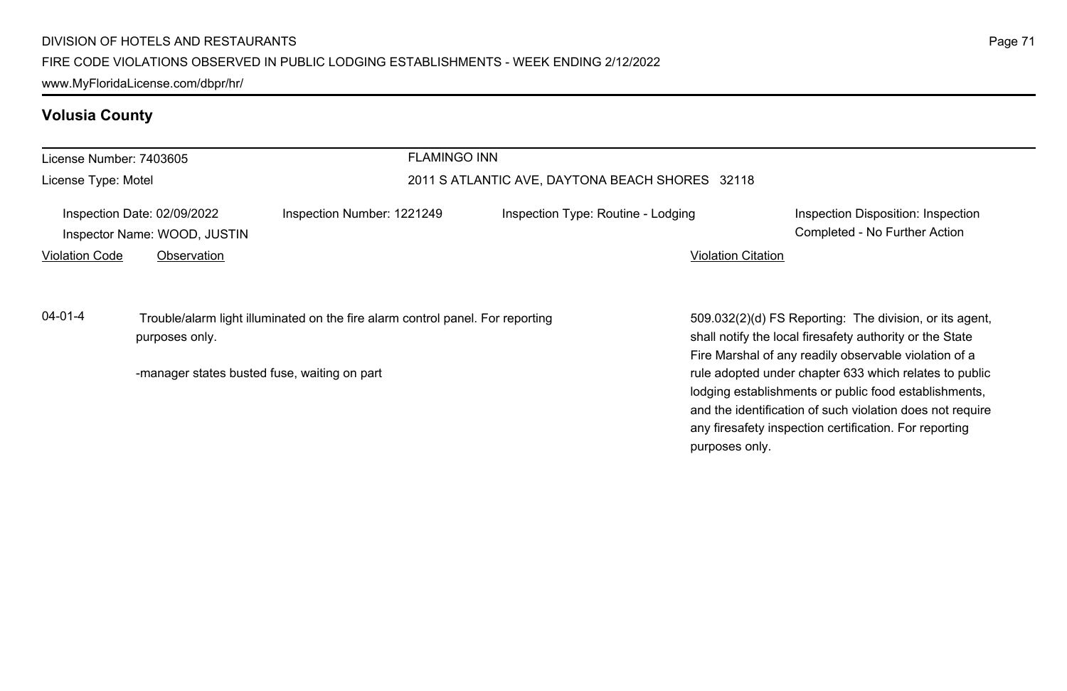# **Volusia County**

| License Number: 7403605 |                                                                            |                                                                                | <b>FLAMINGO INN</b>                             |                                                                                                                                                                                                                                                          |  |  |
|-------------------------|----------------------------------------------------------------------------|--------------------------------------------------------------------------------|-------------------------------------------------|----------------------------------------------------------------------------------------------------------------------------------------------------------------------------------------------------------------------------------------------------------|--|--|
| License Type: Motel     |                                                                            |                                                                                | 2011 S ATLANTIC AVE, DAYTONA BEACH SHORES 32118 |                                                                                                                                                                                                                                                          |  |  |
| <b>Violation Code</b>   | Inspection Date: 02/09/2022<br>Inspector Name: WOOD, JUSTIN<br>Observation | Inspection Number: 1221249                                                     | Inspection Type: Routine - Lodging              | Inspection Disposition: Inspection<br>Completed - No Further Action<br><b>Violation Citation</b>                                                                                                                                                         |  |  |
| $04 - 01 - 4$           | purposes only.                                                             | Trouble/alarm light illuminated on the fire alarm control panel. For reporting |                                                 | 509.032(2)(d) FS Reporting: The division, or its agent,<br>shall notify the local firesafety authority or the State<br>Fire Marshal of any readily observable violation of a                                                                             |  |  |
|                         | -manager states busted fuse, waiting on part                               |                                                                                |                                                 | rule adopted under chapter 633 which relates to public<br>lodging establishments or public food establishments,<br>and the identification of such violation does not require<br>any firesafety inspection certification. For reporting<br>purposes only. |  |  |